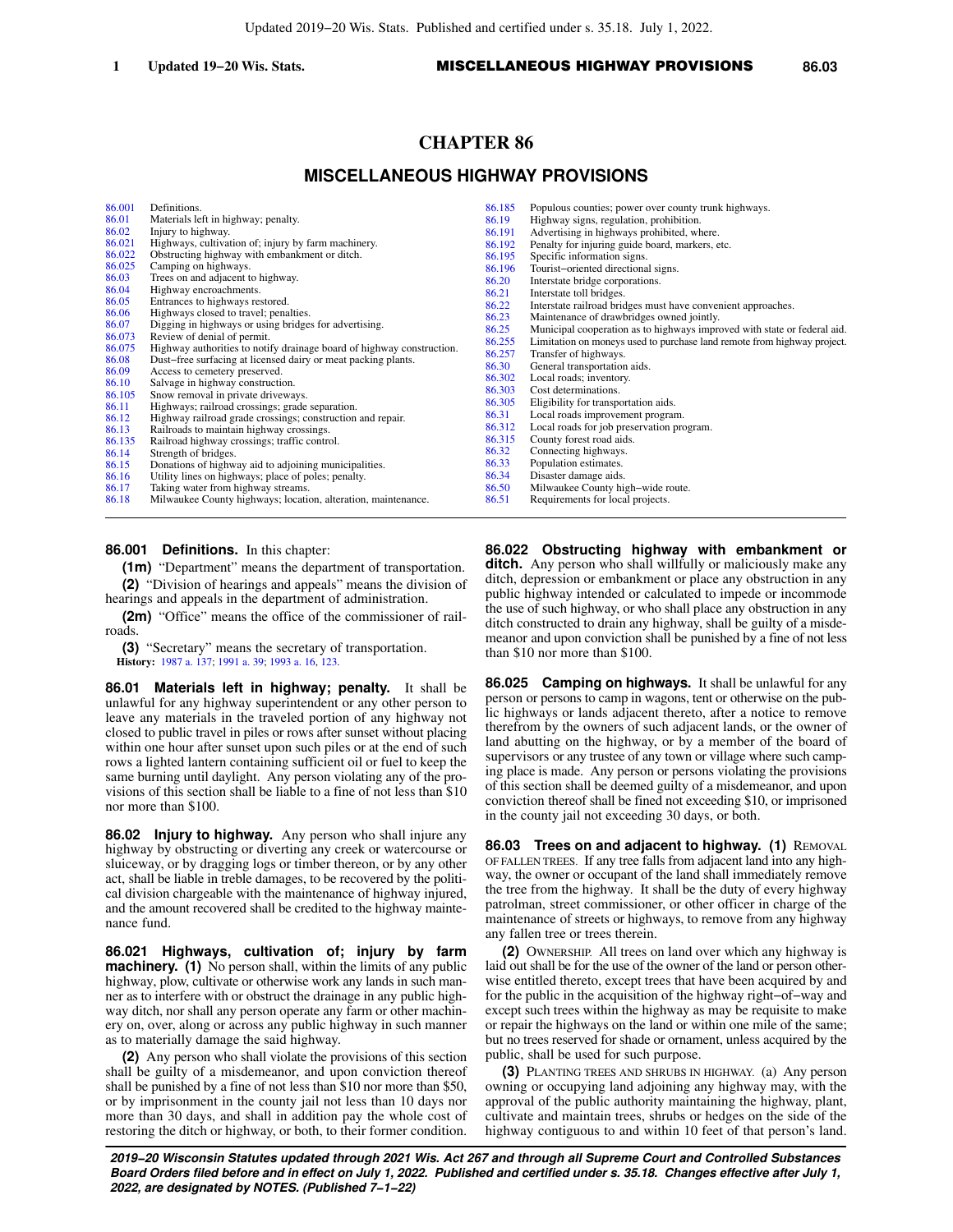# **CHAPTER 86**

# **MISCELLANEOUS HIGHWAY PROVISIONS**

| 86.001 | Definitions.                                                          | 86.185 |
|--------|-----------------------------------------------------------------------|--------|
| 86.01  | Materials left in highway; penalty.                                   | 86.19  |
| 86.02  | Injury to highway.                                                    | 86.191 |
| 86.021 | Highways, cultivation of; injury by farm machinery.                   | 86.192 |
| 86.022 | Obstructing highway with embankment or ditch.                         | 86.195 |
| 86.025 | Camping on highways.                                                  | 86.196 |
| 86.03  | Trees on and adjacent to highway.                                     | 86.20  |
| 86.04  | Highway encroachments.                                                | 86.21  |
| 86.05  | Entrances to highways restored.                                       | 86.22  |
| 86.06  | Highways closed to travel; penalties.                                 | 86.23  |
| 86.07  | Digging in highways or using bridges for advertising.                 | 86.25  |
| 86.073 | Review of denial of permit.                                           | 86.255 |
| 86.075 | Highway authorities to notify drainage board of highway construction. | 86.257 |
| 86.08  | Dust-free surfacing at licensed dairy or meat packing plants.         | 86.30  |
| 86.09  | Access to cemetery preserved.                                         | 86.302 |
| 86.10  | Salvage in highway construction.                                      | 86.303 |
| 86.105 | Snow removal in private driveways.                                    | 86.305 |
| 86.11  | Highways; railroad crossings; grade separation.                       |        |
| 86.12  | Highway railroad grade crossings; construction and repair.            | 86.31  |
| 86.13  | Railroads to maintain highway crossings.                              | 86.312 |
| 86.135 | Railroad highway crossings; traffic control.                          | 86.315 |
| 86.14  | Strength of bridges.                                                  | 86.32  |
| 86.15  | Donations of highway aid to adjoining municipalities.                 | 86.33  |
| 86.16  | Utility lines on highways; place of poles; penalty.                   | 86.34  |
| 86.17  | Taking water from highway streams.                                    | 86.50  |
| 86.18  | Milwaukee County highways; location, alteration, maintenance.         | 86.51  |
|        |                                                                       |        |

**86.001 Definitions.** In this chapter:

**(1m)** "Department" means the department of transportation. **(2)** "Division of hearings and appeals" means the division of hearings and appeals in the department of administration.

**(2m)** "Office" means the office of the commissioner of railroads.

**(3)** "Secretary" means the secretary of transportation. **History:** [1987 a. 137](https://docs.legis.wisconsin.gov/document/acts/1987/137); [1991 a. 39;](https://docs.legis.wisconsin.gov/document/acts/1991/39) [1993 a. 16,](https://docs.legis.wisconsin.gov/document/acts/1993/16) [123.](https://docs.legis.wisconsin.gov/document/acts/1993/123)

**86.01 Materials left in highway; penalty.** It shall be unlawful for any highway superintendent or any other person to leave any materials in the traveled portion of any highway not closed to public travel in piles or rows after sunset without placing within one hour after sunset upon such piles or at the end of such rows a lighted lantern containing sufficient oil or fuel to keep the same burning until daylight. Any person violating any of the provisions of this section shall be liable to a fine of not less than \$10 nor more than \$100.

**86.02 Injury to highway.** Any person who shall injure any highway by obstructing or diverting any creek or watercourse or sluiceway, or by dragging logs or timber thereon, or by any other act, shall be liable in treble damages, to be recovered by the political division chargeable with the maintenance of highway injured, and the amount recovered shall be credited to the highway maintenance fund.

**86.021 Highways, cultivation of; injury by farm machinery.** (1) No person shall, within the limits of any public highway, plow, cultivate or otherwise work any lands in such manner as to interfere with or obstruct the drainage in any public highway ditch, nor shall any person operate any farm or other machinery on, over, along or across any public highway in such manner as to materially damage the said highway.

**(2)** Any person who shall violate the provisions of this section shall be guilty of a misdemeanor, and upon conviction thereof shall be punished by a fine of not less than \$10 nor more than \$50, or by imprisonment in the county jail not less than 10 days nor more than 30 days, and shall in addition pay the whole cost of restoring the ditch or highway, or both, to their former condition.

| 86.185 | Populous counties; power over county trunk highways.                     |
|--------|--------------------------------------------------------------------------|
| 86.19  | Highway signs, regulation, prohibition.                                  |
| 86.191 | Advertising in highways prohibited, where.                               |
| 86.192 | Penalty for injuring guide board, markers, etc.                          |
| 86.195 | Specific information signs.                                              |
| 86.196 | Tourist-oriented directional signs.                                      |
| 86.20  | Interstate bridge corporations.                                          |
| 86.21  | Interstate toll bridges.                                                 |
| 86.22  | Interstate railroad bridges must have convenient approaches.             |
| 86.23  | Maintenance of drawbridges owned jointly.                                |
| 86.25  | Municipal cooperation as to highways improved with state or federal aid. |
| 86.255 | Limitation on moneys used to purchase land remote from highway project.  |
| 86.257 | Transfer of highways.                                                    |
| 86.30  | General transportation aids.                                             |
| 86.302 | Local roads; inventory.                                                  |
| 86.303 | Cost determinations.                                                     |
| 86.305 | Eligibility for transportation aids.                                     |
| 86.31  | Local roads improvement program.                                         |
| 86.312 | Local roads for job preservation program.                                |
| 86.315 | County forest road aids.                                                 |
| 86.32  | Connecting highways.                                                     |
| 86.33  | Population estimates.                                                    |
| 86.34  | Disaster damage aids.                                                    |
| 86.50  | Milwaukee County high-wide route.                                        |
| 86.51  | Requirements for local projects.                                         |

**86.022 Obstructing highway with embankment or ditch.** Any person who shall willfully or maliciously make any ditch, depression or embankment or place any obstruction in any public highway intended or calculated to impede or incommode the use of such highway, or who shall place any obstruction in any ditch constructed to drain any highway, shall be guilty of a misdemeanor and upon conviction shall be punished by a fine of not less than \$10 nor more than \$100.

**86.025 Camping on highways.** It shall be unlawful for any person or persons to camp in wagons, tent or otherwise on the public highways or lands adjacent thereto, after a notice to remove therefrom by the owners of such adjacent lands, or the owner of land abutting on the highway, or by a member of the board of supervisors or any trustee of any town or village where such camping place is made. Any person or persons violating the provisions of this section shall be deemed guilty of a misdemeanor, and upon conviction thereof shall be fined not exceeding \$10, or imprisoned in the county jail not exceeding 30 days, or both.

**86.03 Trees on and adjacent to highway. (1)** REMOVAL OF FALLEN TREES. If any tree falls from adjacent land into any highway, the owner or occupant of the land shall immediately remove the tree from the highway. It shall be the duty of every highway patrolman, street commissioner, or other officer in charge of the maintenance of streets or highways, to remove from any highway any fallen tree or trees therein.

**(2)** OWNERSHIP. All trees on land over which any highway is laid out shall be for the use of the owner of the land or person otherwise entitled thereto, except trees that have been acquired by and for the public in the acquisition of the highway right−of−way and except such trees within the highway as may be requisite to make or repair the highways on the land or within one mile of the same; but no trees reserved for shade or ornament, unless acquired by the public, shall be used for such purpose.

**(3)** PLANTING TREES AND SHRUBS IN HIGHWAY. (a) Any person owning or occupying land adjoining any highway may, with the approval of the public authority maintaining the highway, plant, cultivate and maintain trees, shrubs or hedges on the side of the highway contiguous to and within 10 feet of that person's land.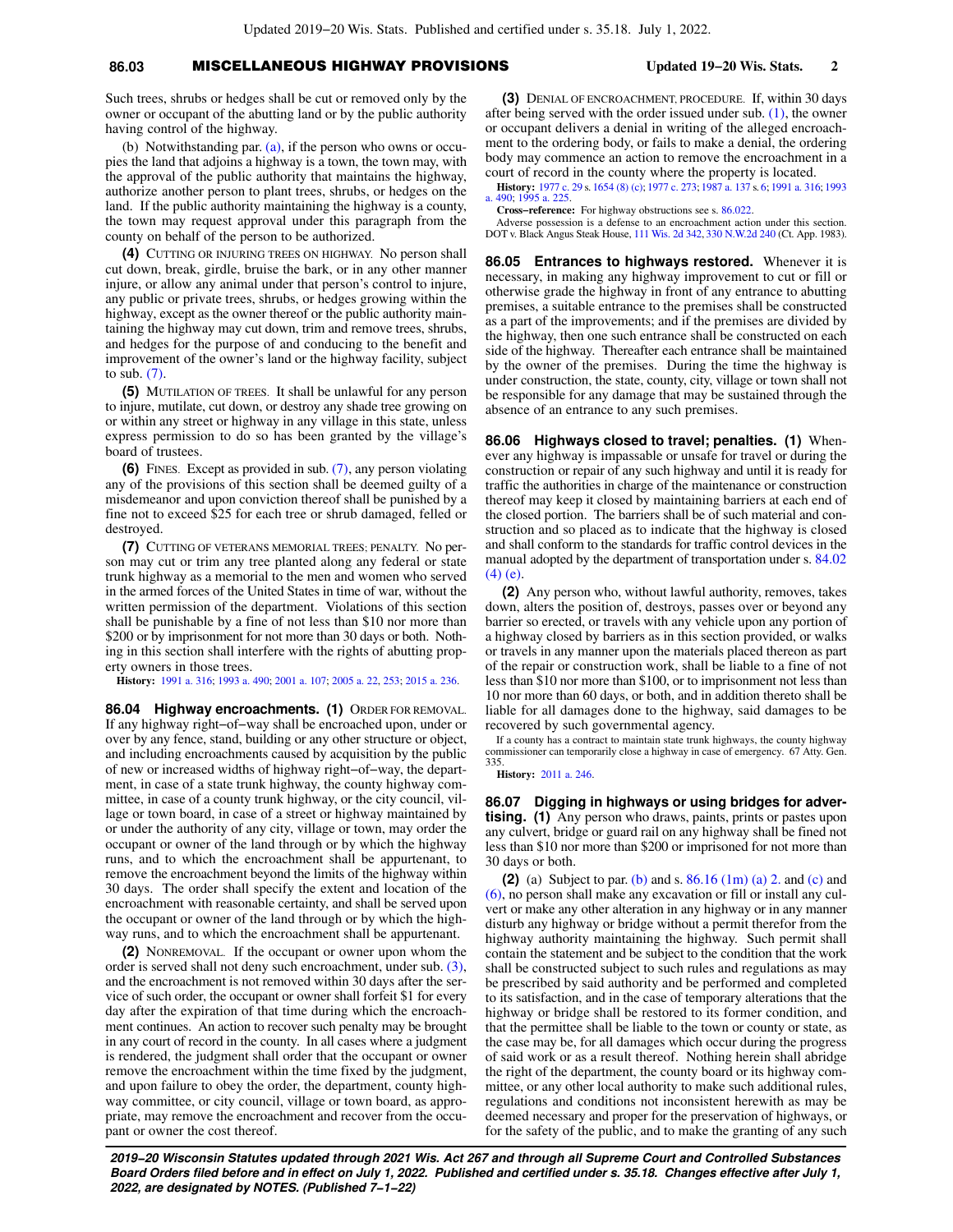## **86.03** MISCELLANEOUS HIGHWAY PROVISIONS **Updated 19−20 Wis. Stats. 2**

(b) Notwithstanding par. [\(a\),](https://docs.legis.wisconsin.gov/document/statutes/86.03(3)(a)) if the person who owns or occupies the land that adjoins a highway is a town, the town may, with the approval of the public authority that maintains the highway, authorize another person to plant trees, shrubs, or hedges on the land. If the public authority maintaining the highway is a county, the town may request approval under this paragraph from the county on behalf of the person to be authorized.

**(4)** CUTTING OR INJURING TREES ON HIGHWAY. No person shall cut down, break, girdle, bruise the bark, or in any other manner injure, or allow any animal under that person's control to injure, any public or private trees, shrubs, or hedges growing within the highway, except as the owner thereof or the public authority maintaining the highway may cut down, trim and remove trees, shrubs, and hedges for the purpose of and conducing to the benefit and improvement of the owner's land or the highway facility, subject to sub.  $(7)$ .

**(5)** MUTILATION OF TREES. It shall be unlawful for any person to injure, mutilate, cut down, or destroy any shade tree growing on or within any street or highway in any village in this state, unless express permission to do so has been granted by the village's board of trustees.

**(6)** FINES. Except as provided in sub. [\(7\),](https://docs.legis.wisconsin.gov/document/statutes/86.03(7)) any person violating any of the provisions of this section shall be deemed guilty of a misdemeanor and upon conviction thereof shall be punished by a fine not to exceed \$25 for each tree or shrub damaged, felled or destroyed.

**(7)** CUTTING OF VETERANS MEMORIAL TREES; PENALTY. No person may cut or trim any tree planted along any federal or state trunk highway as a memorial to the men and women who served in the armed forces of the United States in time of war, without the written permission of the department. Violations of this section shall be punishable by a fine of not less than \$10 nor more than \$200 or by imprisonment for not more than 30 days or both. Nothing in this section shall interfere with the rights of abutting property owners in those trees.

**History:** [1991 a. 316](https://docs.legis.wisconsin.gov/document/acts/1991/316); [1993 a. 490](https://docs.legis.wisconsin.gov/document/acts/1993/490); [2001 a. 107;](https://docs.legis.wisconsin.gov/document/acts/2001/107) [2005 a. 22,](https://docs.legis.wisconsin.gov/document/acts/2005/22) [253;](https://docs.legis.wisconsin.gov/document/acts/2005/253) [2015 a. 236.](https://docs.legis.wisconsin.gov/document/acts/2015/236)

**86.04 Highway encroachments. (1)** ORDER FOR REMOVAL. If any highway right−of−way shall be encroached upon, under or over by any fence, stand, building or any other structure or object, and including encroachments caused by acquisition by the public of new or increased widths of highway right−of−way, the department, in case of a state trunk highway, the county highway committee, in case of a county trunk highway, or the city council, village or town board, in case of a street or highway maintained by or under the authority of any city, village or town, may order the occupant or owner of the land through or by which the highway runs, and to which the encroachment shall be appurtenant, to remove the encroachment beyond the limits of the highway within 30 days. The order shall specify the extent and location of the encroachment with reasonable certainty, and shall be served upon the occupant or owner of the land through or by which the highway runs, and to which the encroachment shall be appurtenant.

**(2)** NONREMOVAL. If the occupant or owner upon whom the order is served shall not deny such encroachment, under sub. [\(3\),](https://docs.legis.wisconsin.gov/document/statutes/86.04(3)) and the encroachment is not removed within 30 days after the service of such order, the occupant or owner shall forfeit \$1 for every day after the expiration of that time during which the encroachment continues. An action to recover such penalty may be brought in any court of record in the county. In all cases where a judgment is rendered, the judgment shall order that the occupant or owner remove the encroachment within the time fixed by the judgment, and upon failure to obey the order, the department, county highway committee, or city council, village or town board, as appropriate, may remove the encroachment and recover from the occupant or owner the cost thereof.

**(3)** DENIAL OF ENCROACHMENT, PROCEDURE. If, within 30 days after being served with the order issued under sub. [\(1\),](https://docs.legis.wisconsin.gov/document/statutes/86.04(1)) the owner or occupant delivers a denial in writing of the alleged encroachment to the ordering body, or fails to make a denial, the ordering body may commence an action to remove the encroachment in a court of record in the county where the property is located.

**History:** [1977 c. 29](https://docs.legis.wisconsin.gov/document/acts/1977/29) s. [1654 \(8\) \(c\)](https://docs.legis.wisconsin.gov/document/acts/1977/29,%20s.%201654); [1977 c. 273;](https://docs.legis.wisconsin.gov/document/acts/1977/273) [1987 a. 137](https://docs.legis.wisconsin.gov/document/acts/1987/137) s. [6;](https://docs.legis.wisconsin.gov/document/acts/1987/137,%20s.%206) [1991 a. 316](https://docs.legis.wisconsin.gov/document/acts/1991/316); [1993](https://docs.legis.wisconsin.gov/document/acts/1993/490) [a. 490](https://docs.legis.wisconsin.gov/document/acts/1993/490); [1995 a. 225.](https://docs.legis.wisconsin.gov/document/acts/1995/225)

**Cross−reference:** For highway obstructions see s. [86.022.](https://docs.legis.wisconsin.gov/document/statutes/86.022)

Adverse possession is a defense to an encroachment action under this section. DOT v. Black Angus Steak House, [111 Wis. 2d 342,](https://docs.legis.wisconsin.gov/document/courts/111%20Wis.%202d%20342) [330 N.W.2d 240](https://docs.legis.wisconsin.gov/document/courts/330%20N.W.2d%20240) (Ct. App. 1983).

**86.05 Entrances to highways restored.** Whenever it is necessary, in making any highway improvement to cut or fill or otherwise grade the highway in front of any entrance to abutting premises, a suitable entrance to the premises shall be constructed as a part of the improvements; and if the premises are divided by the highway, then one such entrance shall be constructed on each side of the highway. Thereafter each entrance shall be maintained by the owner of the premises. During the time the highway is under construction, the state, county, city, village or town shall not be responsible for any damage that may be sustained through the absence of an entrance to any such premises.

**86.06 Highways closed to travel; penalties. (1)** Whenever any highway is impassable or unsafe for travel or during the construction or repair of any such highway and until it is ready for traffic the authorities in charge of the maintenance or construction thereof may keep it closed by maintaining barriers at each end of the closed portion. The barriers shall be of such material and construction and so placed as to indicate that the highway is closed and shall conform to the standards for traffic control devices in the manual adopted by the department of transportation under s. [84.02](https://docs.legis.wisconsin.gov/document/statutes/84.02(4)(e)) [\(4\) \(e\).](https://docs.legis.wisconsin.gov/document/statutes/84.02(4)(e))

**(2)** Any person who, without lawful authority, removes, takes down, alters the position of, destroys, passes over or beyond any barrier so erected, or travels with any vehicle upon any portion of a highway closed by barriers as in this section provided, or walks or travels in any manner upon the materials placed thereon as part of the repair or construction work, shall be liable to a fine of not less than \$10 nor more than \$100, or to imprisonment not less than 10 nor more than 60 days, or both, and in addition thereto shall be liable for all damages done to the highway, said damages to be recovered by such governmental agency.

If a county has a contract to maintain state trunk highways, the county highway commissioner can temporarily close a highway in case of emergency. 67 Atty. Gen. 335.

**History:** [2011 a. 246](https://docs.legis.wisconsin.gov/document/acts/2011/246).

**86.07 Digging in highways or using bridges for advertising. (1)** Any person who draws, paints, prints or pastes upon any culvert, bridge or guard rail on any highway shall be fined not less than \$10 nor more than \$200 or imprisoned for not more than 30 days or both.

**(2)** (a) Subject to par. [\(b\)](https://docs.legis.wisconsin.gov/document/statutes/86.07(2)(b)) and s. [86.16 \(1m\) \(a\) 2.](https://docs.legis.wisconsin.gov/document/statutes/86.16(1m)(a)2.) and [\(c\)](https://docs.legis.wisconsin.gov/document/statutes/86.16(1m)(c)) and [\(6\),](https://docs.legis.wisconsin.gov/document/statutes/86.16(6)) no person shall make any excavation or fill or install any culvert or make any other alteration in any highway or in any manner disturb any highway or bridge without a permit therefor from the highway authority maintaining the highway. Such permit shall contain the statement and be subject to the condition that the work shall be constructed subject to such rules and regulations as may be prescribed by said authority and be performed and completed to its satisfaction, and in the case of temporary alterations that the highway or bridge shall be restored to its former condition, and that the permittee shall be liable to the town or county or state, as the case may be, for all damages which occur during the progress of said work or as a result thereof. Nothing herein shall abridge the right of the department, the county board or its highway committee, or any other local authority to make such additional rules, regulations and conditions not inconsistent herewith as may be deemed necessary and proper for the preservation of highways, or for the safety of the public, and to make the granting of any such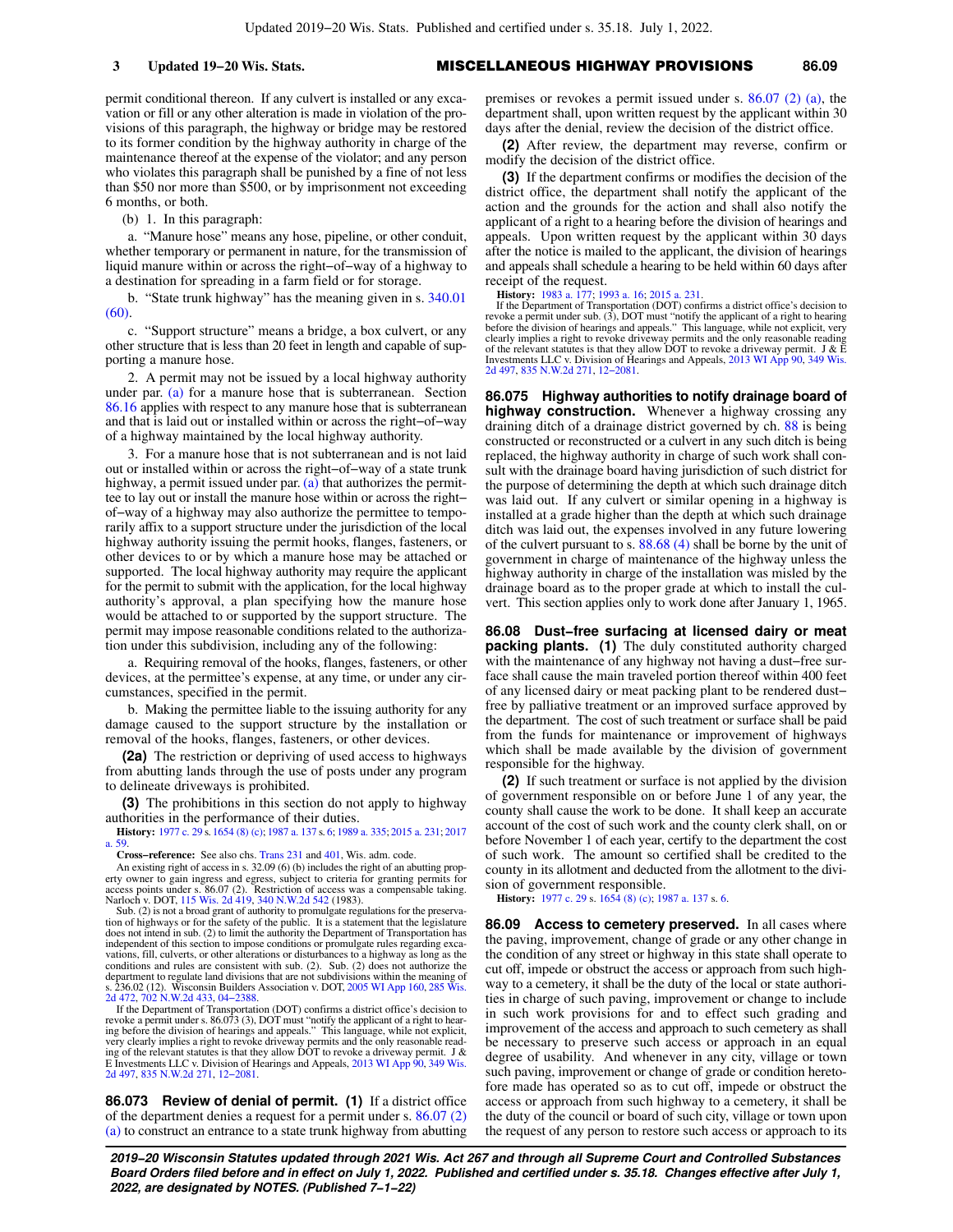permit conditional thereon. If any culvert is installed or any excavation or fill or any other alteration is made in violation of the provisions of this paragraph, the highway or bridge may be restored to its former condition by the highway authority in charge of the maintenance thereof at the expense of the violator; and any person who violates this paragraph shall be punished by a fine of not less than \$50 nor more than \$500, or by imprisonment not exceeding 6 months, or both.

(b) 1. In this paragraph:

a. "Manure hose" means any hose, pipeline, or other conduit, whether temporary or permanent in nature, for the transmission of liquid manure within or across the right−of−way of a highway to a destination for spreading in a farm field or for storage.

b. "State trunk highway" has the meaning given in s. [340.01](https://docs.legis.wisconsin.gov/document/statutes/340.01(60)) [\(60\).](https://docs.legis.wisconsin.gov/document/statutes/340.01(60))

c. "Support structure" means a bridge, a box culvert, or any other structure that is less than 20 feet in length and capable of supporting a manure hose.

2. A permit may not be issued by a local highway authority under par. [\(a\)](https://docs.legis.wisconsin.gov/document/statutes/86.07(2)(a)) for a manure hose that is subterranean. Section [86.16](https://docs.legis.wisconsin.gov/document/statutes/86.16) applies with respect to any manure hose that is subterranean and that is laid out or installed within or across the right−of−way of a highway maintained by the local highway authority.

3. For a manure hose that is not subterranean and is not laid out or installed within or across the right−of−way of a state trunk highway, a permit issued under par.  $(a)$  that authorizes the permittee to lay out or install the manure hose within or across the right− of−way of a highway may also authorize the permittee to temporarily affix to a support structure under the jurisdiction of the local highway authority issuing the permit hooks, flanges, fasteners, or other devices to or by which a manure hose may be attached or supported. The local highway authority may require the applicant for the permit to submit with the application, for the local highway authority's approval, a plan specifying how the manure hose would be attached to or supported by the support structure. The permit may impose reasonable conditions related to the authorization under this subdivision, including any of the following:

a. Requiring removal of the hooks, flanges, fasteners, or other devices, at the permittee's expense, at any time, or under any circumstances, specified in the permit.

b. Making the permittee liable to the issuing authority for any damage caused to the support structure by the installation or removal of the hooks, flanges, fasteners, or other devices.

**(2a)** The restriction or depriving of used access to highways from abutting lands through the use of posts under any program to delineate driveways is prohibited.

**(3)** The prohibitions in this section do not apply to highway authorities in the performance of their duties.

**History:** [1977 c. 29](https://docs.legis.wisconsin.gov/document/acts/1977/29) s. [1654 \(8\) \(c\);](https://docs.legis.wisconsin.gov/document/acts/1977/29,%20s.%201654) [1987 a. 137](https://docs.legis.wisconsin.gov/document/acts/1987/137) s. [6;](https://docs.legis.wisconsin.gov/document/acts/1987/137,%20s.%206) [1989 a. 335](https://docs.legis.wisconsin.gov/document/acts/1989/335); [2015 a. 231;](https://docs.legis.wisconsin.gov/document/acts/2015/231) [2017](https://docs.legis.wisconsin.gov/document/acts/2017/59) [a. 59](https://docs.legis.wisconsin.gov/document/acts/2017/59).

**Cross−reference:** See also chs. [Trans 231](https://docs.legis.wisconsin.gov/document/administrativecode/ch.%20Trans%20231) and [401](https://docs.legis.wisconsin.gov/document/administrativecode/ch.%20Trans%20401), Wis. adm. code.

An existing right of access in s. 32.09 (6) (b) includes the right of an abutting prop erty owner to gain ingress and egress, subject to criteria for granting permits for access points under s. 86.07 (2). Restriction of access was a compensable taking. Narloch v. DOT, [115 Wis. 2d 419,](https://docs.legis.wisconsin.gov/document/courts/115%20Wis.%202d%20419) [340 N.W.2d 542](https://docs.legis.wisconsin.gov/document/courts/340%20N.W.2d%20542) (1983).

Sub. (2) is not a broad grant of authority to promulgate regulations for the preservation of highways or for the safety of the public. It is a statement that the legislature does not intend in sub. (2) to limit the authority the Department of Transportation has independent of this section to impose conditions or promulgate rules regarding excavations, fill, culverts, or other alterations or disturbances to a highway as long as the conditions and rules are consistent with sub. (2). Sub. (2) does not authorize the department to regulate land divisions that are not subdivisions within the meaning of<br>s. 236.02 (12). Wisconsin Builders Association v. DOT, [2005 WI App 160](https://docs.legis.wisconsin.gov/document/courts/2005%20WI%20App%20160), [285 Wis.](https://docs.legis.wisconsin.gov/document/courts/285%20Wis.%202d%20472)<br>[2d 472](https://docs.legis.wisconsin.gov/document/courts/285%20Wis.%202d%20472), [702 N.W.2d 433,](https://docs.legis.wisconsin.gov/document/courts/702%20N.W.2d%20433) [04−2388.](https://docs.legis.wisconsin.gov/document/wicourtofappeals/04-2388)

If the Department of Transportation (DOT) confirms a district office's decision to<br>revoke a permit under s. 86.073 (3), DOT must "notify the applicant of a right to hear-<br>ing before the division of hearings and appeals." E Investments LLC v. Division of Hearings and Appeals, [2013 WI App 90](https://docs.legis.wisconsin.gov/document/courts/2013%20WI%20App%2090), [349 Wis.](https://docs.legis.wisconsin.gov/document/courts/349%20Wis.%202d%20497) [2d 497](https://docs.legis.wisconsin.gov/document/courts/349%20Wis.%202d%20497), [835 N.W.2d 271,](https://docs.legis.wisconsin.gov/document/courts/835%20N.W.2d%20271) [12−2081.](https://docs.legis.wisconsin.gov/document/wicourtofappeals/12-2081)

**86.073 Review of denial of permit. (1)** If a district office of the department denies a request for a permit under s. [86.07 \(2\)](https://docs.legis.wisconsin.gov/document/statutes/86.07(2)(a)) [\(a\)](https://docs.legis.wisconsin.gov/document/statutes/86.07(2)(a)) to construct an entrance to a state trunk highway from abutting

premises or revokes a permit issued under s. [86.07 \(2\) \(a\),](https://docs.legis.wisconsin.gov/document/statutes/86.07(2)(a)) the department shall, upon written request by the applicant within 30 days after the denial, review the decision of the district office.

**(2)** After review, the department may reverse, confirm or modify the decision of the district office.

**(3)** If the department confirms or modifies the decision of the district office, the department shall notify the applicant of the action and the grounds for the action and shall also notify the applicant of a right to a hearing before the division of hearings and appeals. Upon written request by the applicant within 30 days after the notice is mailed to the applicant, the division of hearings and appeals shall schedule a hearing to be held within 60 days after receipt of the request.

**History:** [1983 a. 177;](https://docs.legis.wisconsin.gov/document/acts/1983/177) [1993 a. 16;](https://docs.legis.wisconsin.gov/document/acts/1993/16) [2015 a. 231](https://docs.legis.wisconsin.gov/document/acts/2015/231).

If the Department of Transportation (DOT) confirms a district office's decision to<br>revoke a permit under sub. (3), DOT must "notify the applicant of a right to hearing<br>before the division of hearings and appeals." This lan clearly implies a right to revoke driveway permits and the only reasonable reading of the relevant statutes is that they allow DOT to revoke a driveway permit. J & E Investments LLC v. Division of Hearings and Appeals, [2013 WI App 90,](https://docs.legis.wisconsin.gov/document/courts/2013%20WI%20App%2090) [349 Wis.](https://docs.legis.wisconsin.gov/document/courts/349%20Wis.%202d%20497) [2d 497](https://docs.legis.wisconsin.gov/document/courts/349%20Wis.%202d%20497), [835 N.W.2d 271,](https://docs.legis.wisconsin.gov/document/courts/835%20N.W.2d%20271) [12−2081](https://docs.legis.wisconsin.gov/document/wicourtofappeals/12-2081).

**86.075 Highway authorities to notify drainage board of highway construction.** Whenever a highway crossing any draining ditch of a drainage district governed by ch. [88](https://docs.legis.wisconsin.gov/document/statutes/ch.%2088) is being constructed or reconstructed or a culvert in any such ditch is being replaced, the highway authority in charge of such work shall consult with the drainage board having jurisdiction of such district for the purpose of determining the depth at which such drainage ditch was laid out. If any culvert or similar opening in a highway is installed at a grade higher than the depth at which such drainage ditch was laid out, the expenses involved in any future lowering of the culvert pursuant to s. [88.68 \(4\)](https://docs.legis.wisconsin.gov/document/statutes/88.68(4)) shall be borne by the unit of government in charge of maintenance of the highway unless the highway authority in charge of the installation was misled by the drainage board as to the proper grade at which to install the culvert. This section applies only to work done after January 1, 1965.

**86.08 Dust−free surfacing at licensed dairy or meat packing plants.** (1) The duly constituted authority charged with the maintenance of any highway not having a dust−free surface shall cause the main traveled portion thereof within 400 feet of any licensed dairy or meat packing plant to be rendered dust− free by palliative treatment or an improved surface approved by the department. The cost of such treatment or surface shall be paid from the funds for maintenance or improvement of highways which shall be made available by the division of government responsible for the highway.

**(2)** If such treatment or surface is not applied by the division of government responsible on or before June 1 of any year, the county shall cause the work to be done. It shall keep an accurate account of the cost of such work and the county clerk shall, on or before November 1 of each year, certify to the department the cost of such work. The amount so certified shall be credited to the county in its allotment and deducted from the allotment to the division of government responsible.

**History:** [1977 c. 29](https://docs.legis.wisconsin.gov/document/acts/1977/29) s. [1654 \(8\) \(c\);](https://docs.legis.wisconsin.gov/document/acts/1977/29,%20s.%201654) [1987 a. 137](https://docs.legis.wisconsin.gov/document/acts/1987/137) s. [6.](https://docs.legis.wisconsin.gov/document/acts/1987/137,%20s.%206)

**86.09 Access to cemetery preserved.** In all cases where the paving, improvement, change of grade or any other change in the condition of any street or highway in this state shall operate to cut off, impede or obstruct the access or approach from such highway to a cemetery, it shall be the duty of the local or state authorities in charge of such paving, improvement or change to include in such work provisions for and to effect such grading and improvement of the access and approach to such cemetery as shall be necessary to preserve such access or approach in an equal degree of usability. And whenever in any city, village or town such paving, improvement or change of grade or condition heretofore made has operated so as to cut off, impede or obstruct the access or approach from such highway to a cemetery, it shall be the duty of the council or board of such city, village or town upon the request of any person to restore such access or approach to its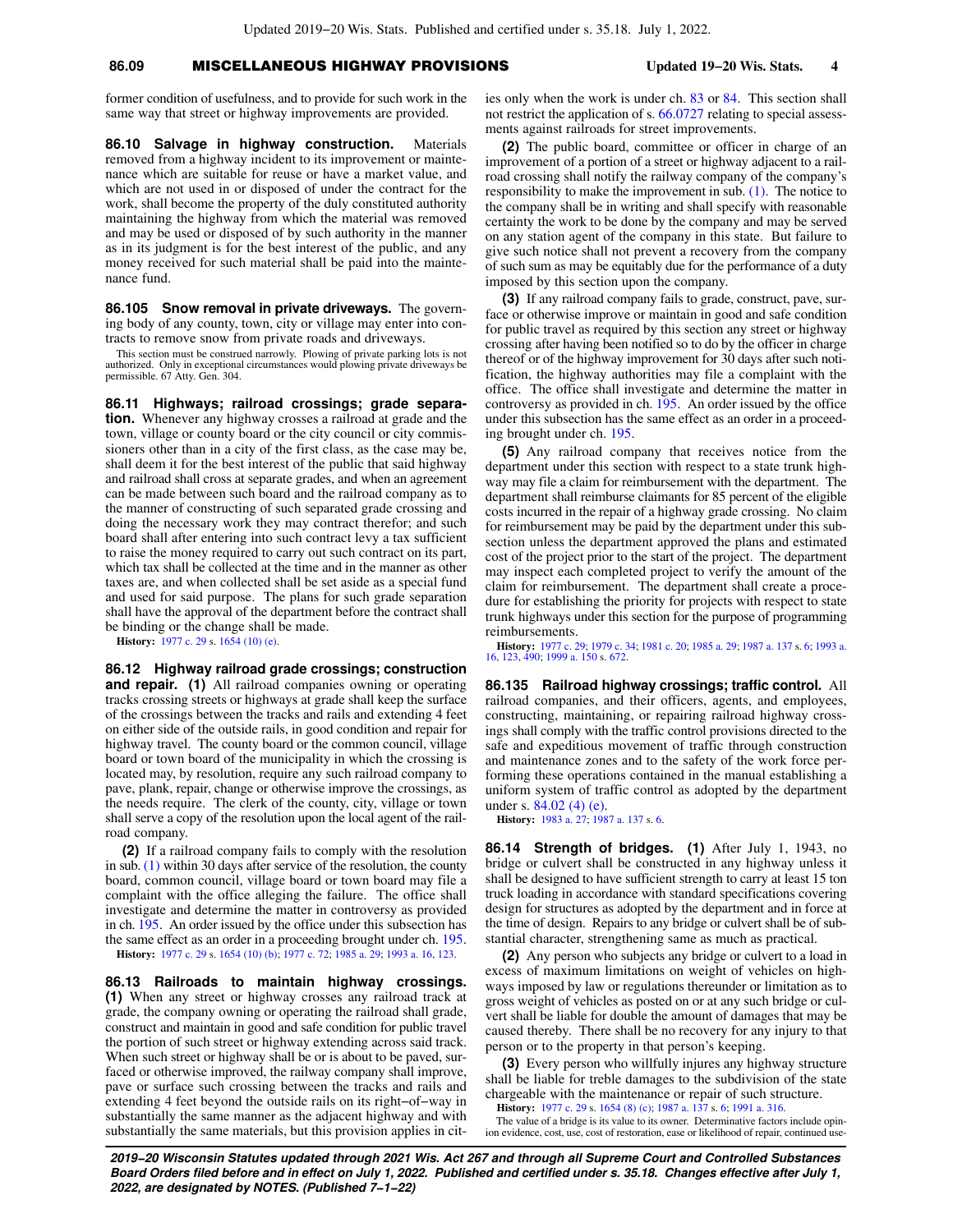## **86.09** MISCELLANEOUS HIGHWAY PROVISIONS **Updated 19−20 Wis. Stats. 4**

former condition of usefulness, and to provide for such work in the same way that street or highway improvements are provided.

**86.10 Salvage in highway construction.** Materials removed from a highway incident to its improvement or maintenance which are suitable for reuse or have a market value, and which are not used in or disposed of under the contract for the work, shall become the property of the duly constituted authority maintaining the highway from which the material was removed and may be used or disposed of by such authority in the manner as in its judgment is for the best interest of the public, and any money received for such material shall be paid into the maintenance fund.

**86.105 Snow removal in private driveways.** The governing body of any county, town, city or village may enter into contracts to remove snow from private roads and driveways.

This section must be construed narrowly. Plowing of private parking lots is not authorized. Only in exceptional circumstances would plowing private driveways be permissible. 67 Atty. Gen. 304.

**86.11 Highways; railroad crossings; grade separation.** Whenever any highway crosses a railroad at grade and the town, village or county board or the city council or city commissioners other than in a city of the first class, as the case may be, shall deem it for the best interest of the public that said highway and railroad shall cross at separate grades, and when an agreement can be made between such board and the railroad company as to the manner of constructing of such separated grade crossing and doing the necessary work they may contract therefor; and such board shall after entering into such contract levy a tax sufficient to raise the money required to carry out such contract on its part, which tax shall be collected at the time and in the manner as other taxes are, and when collected shall be set aside as a special fund and used for said purpose. The plans for such grade separation shall have the approval of the department before the contract shall be binding or the change shall be made.

**History:** [1977 c. 29](https://docs.legis.wisconsin.gov/document/acts/1977/29) s. [1654 \(10\) \(e\).](https://docs.legis.wisconsin.gov/document/acts/1977/29,%20s.%201654)

**86.12 Highway railroad grade crossings; construction and repair. (1)** All railroad companies owning or operating tracks crossing streets or highways at grade shall keep the surface of the crossings between the tracks and rails and extending 4 feet on either side of the outside rails, in good condition and repair for highway travel. The county board or the common council, village board or town board of the municipality in which the crossing is located may, by resolution, require any such railroad company to pave, plank, repair, change or otherwise improve the crossings, as the needs require. The clerk of the county, city, village or town shall serve a copy of the resolution upon the local agent of the railroad company.

**(2)** If a railroad company fails to comply with the resolution in sub. [\(1\)](https://docs.legis.wisconsin.gov/document/statutes/86.12(1)) within 30 days after service of the resolution, the county board, common council, village board or town board may file a complaint with the office alleging the failure. The office shall investigate and determine the matter in controversy as provided in ch. [195](https://docs.legis.wisconsin.gov/document/statutes/ch.%20195). An order issued by the office under this subsection has the same effect as an order in a proceeding brought under ch. [195.](https://docs.legis.wisconsin.gov/document/statutes/ch.%20195) **History:** [1977 c. 29](https://docs.legis.wisconsin.gov/document/acts/1977/29) s. [1654 \(10\) \(b\)](https://docs.legis.wisconsin.gov/document/acts/1977/29,%20s.%201654); [1977 c. 72](https://docs.legis.wisconsin.gov/document/acts/1977/72); [1985 a. 29;](https://docs.legis.wisconsin.gov/document/acts/1985/29) [1993 a. 16,](https://docs.legis.wisconsin.gov/document/acts/1993/16) [123.](https://docs.legis.wisconsin.gov/document/acts/1993/123)

**86.13 Railroads to maintain highway crossings. (1)** When any street or highway crosses any railroad track at grade, the company owning or operating the railroad shall grade, construct and maintain in good and safe condition for public travel the portion of such street or highway extending across said track. When such street or highway shall be or is about to be paved, surfaced or otherwise improved, the railway company shall improve, pave or surface such crossing between the tracks and rails and extending 4 feet beyond the outside rails on its right−of−way in substantially the same manner as the adjacent highway and with substantially the same materials, but this provision applies in cities only when the work is under ch. [83](https://docs.legis.wisconsin.gov/document/statutes/ch.%2083) or [84.](https://docs.legis.wisconsin.gov/document/statutes/ch.%2084) This section shall not restrict the application of s. [66.0727](https://docs.legis.wisconsin.gov/document/statutes/66.0727) relating to special assessments against railroads for street improvements.

**(2)** The public board, committee or officer in charge of an improvement of a portion of a street or highway adjacent to a railroad crossing shall notify the railway company of the company's responsibility to make the improvement in sub. [\(1\).](https://docs.legis.wisconsin.gov/document/statutes/86.13(1)) The notice to the company shall be in writing and shall specify with reasonable certainty the work to be done by the company and may be served on any station agent of the company in this state. But failure to give such notice shall not prevent a recovery from the company of such sum as may be equitably due for the performance of a duty imposed by this section upon the company.

**(3)** If any railroad company fails to grade, construct, pave, surface or otherwise improve or maintain in good and safe condition for public travel as required by this section any street or highway crossing after having been notified so to do by the officer in charge thereof or of the highway improvement for 30 days after such notification, the highway authorities may file a complaint with the office. The office shall investigate and determine the matter in controversy as provided in ch. [195](https://docs.legis.wisconsin.gov/document/statutes/ch.%20195). An order issued by the office under this subsection has the same effect as an order in a proceeding brought under ch. [195.](https://docs.legis.wisconsin.gov/document/statutes/ch.%20195)

**(5)** Any railroad company that receives notice from the department under this section with respect to a state trunk highway may file a claim for reimbursement with the department. The department shall reimburse claimants for 85 percent of the eligible costs incurred in the repair of a highway grade crossing. No claim for reimbursement may be paid by the department under this subsection unless the department approved the plans and estimated cost of the project prior to the start of the project. The department may inspect each completed project to verify the amount of the claim for reimbursement. The department shall create a procedure for establishing the priority for projects with respect to state trunk highways under this section for the purpose of programming reimbursements.

**History:** [1977 c. 29](https://docs.legis.wisconsin.gov/document/acts/1977/29); [1979 c. 34;](https://docs.legis.wisconsin.gov/document/acts/1979/34) [1981 c. 20](https://docs.legis.wisconsin.gov/document/acts/1981/20); [1985 a. 29](https://docs.legis.wisconsin.gov/document/acts/1985/29); [1987 a. 137](https://docs.legis.wisconsin.gov/document/acts/1987/137) s. [6](https://docs.legis.wisconsin.gov/document/acts/1987/137,%20s.%206); [1993 a.](https://docs.legis.wisconsin.gov/document/acts/1993/16) [16](https://docs.legis.wisconsin.gov/document/acts/1993/16), [123](https://docs.legis.wisconsin.gov/document/acts/1993/123), [490](https://docs.legis.wisconsin.gov/document/acts/1993/490); [1999 a. 150](https://docs.legis.wisconsin.gov/document/acts/1999/150) s. [672](https://docs.legis.wisconsin.gov/document/acts/1999/150,%20s.%20672).

**86.135 Railroad highway crossings; traffic control.** All railroad companies, and their officers, agents, and employees, constructing, maintaining, or repairing railroad highway crossings shall comply with the traffic control provisions directed to the safe and expeditious movement of traffic through construction and maintenance zones and to the safety of the work force performing these operations contained in the manual establishing a uniform system of traffic control as adopted by the department under s. [84.02 \(4\) \(e\)](https://docs.legis.wisconsin.gov/document/statutes/84.02(4)(e)).

**History:** [1983 a. 27](https://docs.legis.wisconsin.gov/document/acts/1983/27); [1987 a. 137](https://docs.legis.wisconsin.gov/document/acts/1987/137) s. [6](https://docs.legis.wisconsin.gov/document/acts/1987/137,%20s.%206).

**86.14 Strength of bridges. (1)** After July 1, 1943, no bridge or culvert shall be constructed in any highway unless it shall be designed to have sufficient strength to carry at least 15 ton truck loading in accordance with standard specifications covering design for structures as adopted by the department and in force at the time of design. Repairs to any bridge or culvert shall be of substantial character, strengthening same as much as practical.

**(2)** Any person who subjects any bridge or culvert to a load in excess of maximum limitations on weight of vehicles on highways imposed by law or regulations thereunder or limitation as to gross weight of vehicles as posted on or at any such bridge or culvert shall be liable for double the amount of damages that may be caused thereby. There shall be no recovery for any injury to that person or to the property in that person's keeping.

**(3)** Every person who willfully injures any highway structure shall be liable for treble damages to the subdivision of the state chargeable with the maintenance or repair of such structure.

**History:** [1977 c. 29](https://docs.legis.wisconsin.gov/document/acts/1977/29) s. [1654 \(8\) \(c\);](https://docs.legis.wisconsin.gov/document/acts/1977/29,%20s.%201654) [1987 a. 137](https://docs.legis.wisconsin.gov/document/acts/1987/137) s. [6;](https://docs.legis.wisconsin.gov/document/acts/1987/137,%20s.%206) [1991 a. 316](https://docs.legis.wisconsin.gov/document/acts/1991/316).

The value of a bridge is its value to its owner. Determinative factors include opinion evidence, cost, use, cost of restoration, ease or likelihood of repair, continued use-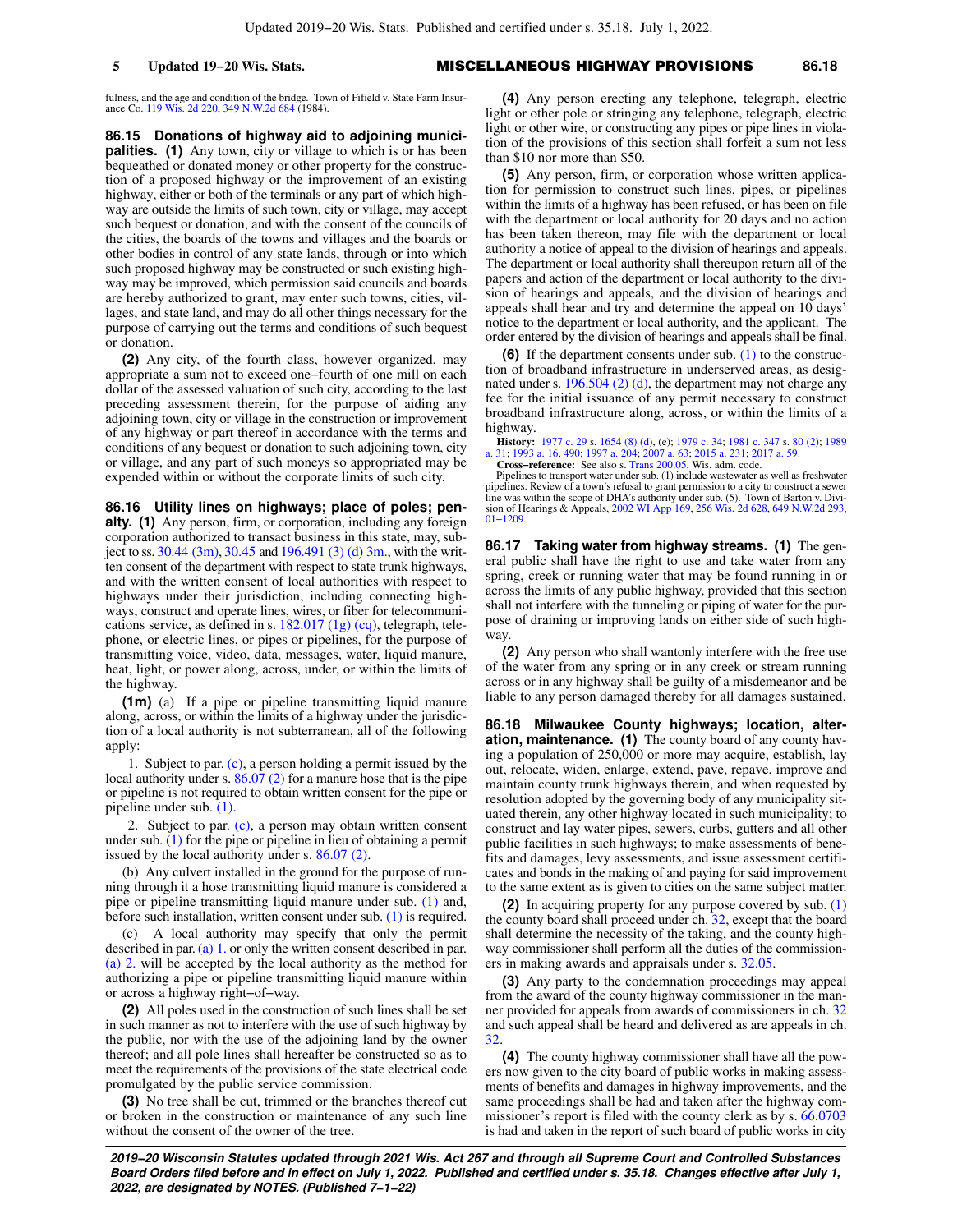fulness, and the age and condition of the bridge. Town of Fifield v. State Farm Insur-<br>ance Co. [119 Wis. 2d 220,](https://docs.legis.wisconsin.gov/document/courts/119%20Wis.%202d%20220) [349 N.W.2d 684](https://docs.legis.wisconsin.gov/document/courts/349%20N.W.2d%20684) (1984).

**86.15 Donations of highway aid to adjoining municipalities.** (1) Any town, city or village to which is or has been bequeathed or donated money or other property for the construction of a proposed highway or the improvement of an existing highway, either or both of the terminals or any part of which highway are outside the limits of such town, city or village, may accept such bequest or donation, and with the consent of the councils of the cities, the boards of the towns and villages and the boards or other bodies in control of any state lands, through or into which such proposed highway may be constructed or such existing highway may be improved, which permission said councils and boards are hereby authorized to grant, may enter such towns, cities, villages, and state land, and may do all other things necessary for the purpose of carrying out the terms and conditions of such bequest or donation.

**(2)** Any city, of the fourth class, however organized, may appropriate a sum not to exceed one−fourth of one mill on each dollar of the assessed valuation of such city, according to the last preceding assessment therein, for the purpose of aiding any adjoining town, city or village in the construction or improvement of any highway or part thereof in accordance with the terms and conditions of any bequest or donation to such adjoining town, city or village, and any part of such moneys so appropriated may be expended within or without the corporate limits of such city.

**86.16 Utility lines on highways; place of poles; penalty. (1)** Any person, firm, or corporation, including any foreign corporation authorized to transact business in this state, may, subject to ss.  $30.44$  (3m),  $30.45$  and  $196.491$  (3) (d) 3m., with the written consent of the department with respect to state trunk highways, and with the written consent of local authorities with respect to highways under their jurisdiction, including connecting highways, construct and operate lines, wires, or fiber for telecommunications service, as defined in s.  $182.017$  (1g) (cq), telegraph, telephone, or electric lines, or pipes or pipelines, for the purpose of transmitting voice, video, data, messages, water, liquid manure, heat, light, or power along, across, under, or within the limits of the highway.

**(1m)** (a) If a pipe or pipeline transmitting liquid manure along, across, or within the limits of a highway under the jurisdiction of a local authority is not subterranean, all of the following apply:

1. Subject to par. [\(c\)](https://docs.legis.wisconsin.gov/document/statutes/86.16(1m)(c)), a person holding a permit issued by the local authority under s. [86.07 \(2\)](https://docs.legis.wisconsin.gov/document/statutes/86.07(2)) for a manure hose that is the pipe or pipeline is not required to obtain written consent for the pipe or pipeline under sub. [\(1\).](https://docs.legis.wisconsin.gov/document/statutes/86.16(1))

2. Subject to par. [\(c\),](https://docs.legis.wisconsin.gov/document/statutes/86.16(1m)(c)) a person may obtain written consent under sub.  $(1)$  for the pipe or pipeline in lieu of obtaining a permit issued by the local authority under s. [86.07 \(2\)](https://docs.legis.wisconsin.gov/document/statutes/86.07(2)).

(b) Any culvert installed in the ground for the purpose of running through it a hose transmitting liquid manure is considered a pipe or pipeline transmitting liquid manure under sub. [\(1\)](https://docs.legis.wisconsin.gov/document/statutes/86.16(1)) and, before such installation, written consent under sub. [\(1\)](https://docs.legis.wisconsin.gov/document/statutes/86.16(1)) is required.

(c) A local authority may specify that only the permit described in par. [\(a\) 1.](https://docs.legis.wisconsin.gov/document/statutes/86.16(1m)(a)1.) or only the written consent described in par. [\(a\) 2.](https://docs.legis.wisconsin.gov/document/statutes/86.16(1m)(a)2.) will be accepted by the local authority as the method for authorizing a pipe or pipeline transmitting liquid manure within or across a highway right−of−way.

**(2)** All poles used in the construction of such lines shall be set in such manner as not to interfere with the use of such highway by the public, nor with the use of the adjoining land by the owner thereof; and all pole lines shall hereafter be constructed so as to meet the requirements of the provisions of the state electrical code promulgated by the public service commission.

**(3)** No tree shall be cut, trimmed or the branches thereof cut or broken in the construction or maintenance of any such line without the consent of the owner of the tree.

**5 Updated 19−20 Wis. Stats.** MISCELLANEOUS HIGHWAY PROVISIONS **86.18**

**(4)** Any person erecting any telephone, telegraph, electric light or other pole or stringing any telephone, telegraph, electric light or other wire, or constructing any pipes or pipe lines in violation of the provisions of this section shall forfeit a sum not less than \$10 nor more than \$50.

**(5)** Any person, firm, or corporation whose written application for permission to construct such lines, pipes, or pipelines within the limits of a highway has been refused, or has been on file with the department or local authority for 20 days and no action has been taken thereon, may file with the department or local authority a notice of appeal to the division of hearings and appeals. The department or local authority shall thereupon return all of the papers and action of the department or local authority to the division of hearings and appeals, and the division of hearings and appeals shall hear and try and determine the appeal on 10 days' notice to the department or local authority, and the applicant. The order entered by the division of hearings and appeals shall be final.

**(6)** If the department consents under sub. [\(1\)](https://docs.legis.wisconsin.gov/document/statutes/86.16(1)) to the construction of broadband infrastructure in underserved areas, as designated under s. [196.504 \(2\) \(d\),](https://docs.legis.wisconsin.gov/document/statutes/196.504(2)(d)) the department may not charge any fee for the initial issuance of any permit necessary to construct broadband infrastructure along, across, or within the limits of a highway.

**History:** [1977 c. 29](https://docs.legis.wisconsin.gov/document/acts/1977/29) s. [1654 \(8\) \(d\),](https://docs.legis.wisconsin.gov/document/acts/1977/29,%20s.%201654) (e); [1979 c. 34](https://docs.legis.wisconsin.gov/document/acts/1979/34); [1981 c. 347](https://docs.legis.wisconsin.gov/document/acts/1981/347) s. [80 \(2\)](https://docs.legis.wisconsin.gov/document/acts/1981/347,%20s.%2080); [1989](https://docs.legis.wisconsin.gov/document/acts/1989/31) [a. 31;](https://docs.legis.wisconsin.gov/document/acts/1989/31) [1993 a. 16,](https://docs.legis.wisconsin.gov/document/acts/1993/16) [490;](https://docs.legis.wisconsin.gov/document/acts/1993/490) [1997 a. 204;](https://docs.legis.wisconsin.gov/document/acts/1997/204) [2007 a. 63;](https://docs.legis.wisconsin.gov/document/acts/2007/63) [2015 a. 231](https://docs.legis.wisconsin.gov/document/acts/2015/231); [2017 a. 59.](https://docs.legis.wisconsin.gov/document/acts/2017/59) **Cross−reference:** See also s. [Trans 200.05](https://docs.legis.wisconsin.gov/document/administrativecode/Trans%20200.05), Wis. adm. code.

Pipelines to transport water under sub. (1) include wastewater as well as freshwater pipelines. Review of a town's refusal to grant permission to a city to construct a sewer line was within the scope of DHA's authority under sub. (5). Town of Barton v. Divi-sion of Hearings & Appeals, [2002 WI App 169,](https://docs.legis.wisconsin.gov/document/courts/2002%20WI%20App%20169) [256 Wis. 2d 628](https://docs.legis.wisconsin.gov/document/courts/256%20Wis.%202d%20628), [649 N.W.2d 293](https://docs.legis.wisconsin.gov/document/courts/649%20N.W.2d%20293), [01−1209.](https://docs.legis.wisconsin.gov/document/wicourtofappeals/01-1209)

**86.17 Taking water from highway streams. (1)** The general public shall have the right to use and take water from any spring, creek or running water that may be found running in or across the limits of any public highway, provided that this section shall not interfere with the tunneling or piping of water for the purpose of draining or improving lands on either side of such highway.

**(2)** Any person who shall wantonly interfere with the free use of the water from any spring or in any creek or stream running across or in any highway shall be guilty of a misdemeanor and be liable to any person damaged thereby for all damages sustained.

**86.18 Milwaukee County highways; location, alteration, maintenance. (1)** The county board of any county having a population of 250,000 or more may acquire, establish, lay out, relocate, widen, enlarge, extend, pave, repave, improve and maintain county trunk highways therein, and when requested by resolution adopted by the governing body of any municipality situated therein, any other highway located in such municipality; to construct and lay water pipes, sewers, curbs, gutters and all other public facilities in such highways; to make assessments of benefits and damages, levy assessments, and issue assessment certificates and bonds in the making of and paying for said improvement to the same extent as is given to cities on the same subject matter.

**(2)** In acquiring property for any purpose covered by sub. [\(1\)](https://docs.legis.wisconsin.gov/document/statutes/86.18(1)) the county board shall proceed under ch. [32](https://docs.legis.wisconsin.gov/document/statutes/ch.%2032), except that the board shall determine the necessity of the taking, and the county highway commissioner shall perform all the duties of the commissioners in making awards and appraisals under s. [32.05.](https://docs.legis.wisconsin.gov/document/statutes/32.05)

**(3)** Any party to the condemnation proceedings may appeal from the award of the county highway commissioner in the manner provided for appeals from awards of commissioners in ch. [32](https://docs.legis.wisconsin.gov/document/statutes/ch.%2032) and such appeal shall be heard and delivered as are appeals in ch. [32](https://docs.legis.wisconsin.gov/document/statutes/ch.%2032).

**(4)** The county highway commissioner shall have all the powers now given to the city board of public works in making assessments of benefits and damages in highway improvements, and the same proceedings shall be had and taken after the highway com-missioner's report is filed with the county clerk as by s. [66.0703](https://docs.legis.wisconsin.gov/document/statutes/66.0703) is had and taken in the report of such board of public works in city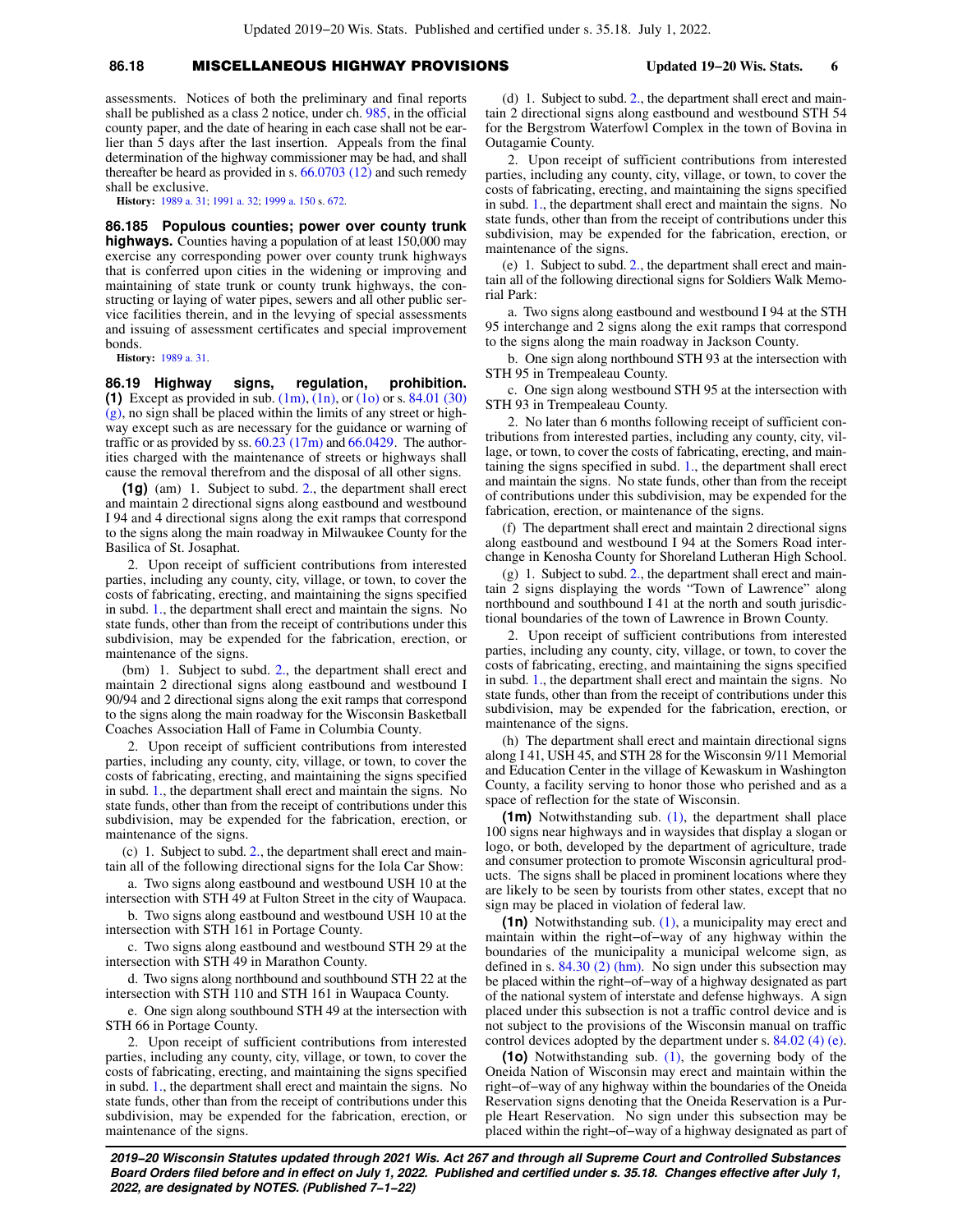# **86.18** MISCELLANEOUS HIGHWAY PROVISIONS **Updated 19−20 Wis. Stats. 6**

assessments. Notices of both the preliminary and final reports shall be published as a class 2 notice, under ch. [985,](https://docs.legis.wisconsin.gov/document/statutes/ch.%20985) in the official county paper, and the date of hearing in each case shall not be earlier than  $\bar{5}$  days after the last insertion. Appeals from the final determination of the highway commissioner may be had, and shall thereafter be heard as provided in s. [66.0703 \(12\)](https://docs.legis.wisconsin.gov/document/statutes/66.0703(12)) and such remedy shall be exclusive.

**History:** [1989 a. 31;](https://docs.legis.wisconsin.gov/document/acts/1989/31) [1991 a. 32;](https://docs.legis.wisconsin.gov/document/acts/1991/32) [1999 a. 150](https://docs.legis.wisconsin.gov/document/acts/1999/150) s. [672](https://docs.legis.wisconsin.gov/document/acts/1999/150,%20s.%20672).

**86.185 Populous counties; power over county trunk highways.** Counties having a population of at least 150,000 may exercise any corresponding power over county trunk highways that is conferred upon cities in the widening or improving and maintaining of state trunk or county trunk highways, the constructing or laying of water pipes, sewers and all other public service facilities therein, and in the levying of special assessments and issuing of assessment certificates and special improvement bonds.

**History:** [1989 a. 31.](https://docs.legis.wisconsin.gov/document/acts/1989/31)

**86.19 Highway signs, regulation, prohibition. (1)** Except as provided in sub. [\(1m\)](https://docs.legis.wisconsin.gov/document/statutes/86.19(1m)), [\(1n\),](https://docs.legis.wisconsin.gov/document/statutes/86.19(1n)) or [\(1o\)](https://docs.legis.wisconsin.gov/document/statutes/86.19(1o)) or s. [84.01 \(30\)](https://docs.legis.wisconsin.gov/document/statutes/84.01(30)(g))  $(g)$ , no sign shall be placed within the limits of any street or highway except such as are necessary for the guidance or warning of traffic or as provided by ss.  $60.23$  (17m) and  $66.0429$ . The authorities charged with the maintenance of streets or highways shall cause the removal therefrom and the disposal of all other signs.

**(1g)** (am) 1. Subject to subd. [2.](https://docs.legis.wisconsin.gov/document/statutes/86.19(1g)(am)2.), the department shall erect and maintain 2 directional signs along eastbound and westbound I 94 and 4 directional signs along the exit ramps that correspond to the signs along the main roadway in Milwaukee County for the Basilica of St. Josaphat.

2. Upon receipt of sufficient contributions from interested parties, including any county, city, village, or town, to cover the costs of fabricating, erecting, and maintaining the signs specified in subd. [1.,](https://docs.legis.wisconsin.gov/document/statutes/86.19(1g)(am)1.) the department shall erect and maintain the signs. No state funds, other than from the receipt of contributions under this subdivision, may be expended for the fabrication, erection, or maintenance of the signs.

(bm) 1. Subject to subd. [2.,](https://docs.legis.wisconsin.gov/document/statutes/86.19(1g)(bm)2.) the department shall erect and maintain 2 directional signs along eastbound and westbound I 90/94 and 2 directional signs along the exit ramps that correspond to the signs along the main roadway for the Wisconsin Basketball Coaches Association Hall of Fame in Columbia County.

2. Upon receipt of sufficient contributions from interested parties, including any county, city, village, or town, to cover the costs of fabricating, erecting, and maintaining the signs specified in subd. [1.,](https://docs.legis.wisconsin.gov/document/statutes/86.19(1g)(bm)1.) the department shall erect and maintain the signs. No state funds, other than from the receipt of contributions under this subdivision, may be expended for the fabrication, erection, or maintenance of the signs.

(c) 1. Subject to subd. [2.](https://docs.legis.wisconsin.gov/document/statutes/86.19(1g)(c)2.), the department shall erect and maintain all of the following directional signs for the Iola Car Show:

a. Two signs along eastbound and westbound USH 10 at the intersection with STH 49 at Fulton Street in the city of Waupaca.

b. Two signs along eastbound and westbound USH 10 at the intersection with STH 161 in Portage County.

c. Two signs along eastbound and westbound STH 29 at the intersection with STH 49 in Marathon County.

d. Two signs along northbound and southbound STH 22 at the intersection with STH 110 and STH 161 in Waupaca County.

e. One sign along southbound STH 49 at the intersection with STH 66 in Portage County.

2. Upon receipt of sufficient contributions from interested parties, including any county, city, village, or town, to cover the costs of fabricating, erecting, and maintaining the signs specified in subd. [1.,](https://docs.legis.wisconsin.gov/document/statutes/86.19(1g)(c)1.) the department shall erect and maintain the signs. No state funds, other than from the receipt of contributions under this subdivision, may be expended for the fabrication, erection, or maintenance of the signs.

(d) 1. Subject to subd. [2.,](https://docs.legis.wisconsin.gov/document/statutes/86.19(1g)(d)2.) the department shall erect and maintain 2 directional signs along eastbound and westbound STH 54 for the Bergstrom Waterfowl Complex in the town of Bovina in Outagamie County.

2. Upon receipt of sufficient contributions from interested parties, including any county, city, village, or town, to cover the costs of fabricating, erecting, and maintaining the signs specified in subd. [1.,](https://docs.legis.wisconsin.gov/document/statutes/86.19(1g)(d)1.) the department shall erect and maintain the signs. No state funds, other than from the receipt of contributions under this subdivision, may be expended for the fabrication, erection, or maintenance of the signs.

(e) 1. Subject to subd. [2.](https://docs.legis.wisconsin.gov/document/statutes/86.19(1g)(e)2.), the department shall erect and maintain all of the following directional signs for Soldiers Walk Memorial Park:

a. Two signs along eastbound and westbound I 94 at the STH 95 interchange and 2 signs along the exit ramps that correspond to the signs along the main roadway in Jackson County.

b. One sign along northbound STH 93 at the intersection with STH 95 in Trempealeau County.

c. One sign along westbound STH 95 at the intersection with STH 93 in Trempealeau County.

2. No later than 6 months following receipt of sufficient contributions from interested parties, including any county, city, village, or town, to cover the costs of fabricating, erecting, and maintaining the signs specified in subd. [1.](https://docs.legis.wisconsin.gov/document/statutes/86.19(1g)(e)1.), the department shall erect and maintain the signs. No state funds, other than from the receipt of contributions under this subdivision, may be expended for the fabrication, erection, or maintenance of the signs.

(f) The department shall erect and maintain 2 directional signs along eastbound and westbound I 94 at the Somers Road interchange in Kenosha County for Shoreland Lutheran High School.

(g) 1. Subject to subd. [2.,](https://docs.legis.wisconsin.gov/document/statutes/86.19(1g)(g)2.) the department shall erect and maintain 2 signs displaying the words "Town of Lawrence" along northbound and southbound I 41 at the north and south jurisdictional boundaries of the town of Lawrence in Brown County.

2. Upon receipt of sufficient contributions from interested parties, including any county, city, village, or town, to cover the costs of fabricating, erecting, and maintaining the signs specified in subd. [1.,](https://docs.legis.wisconsin.gov/document/statutes/86.19(1g)(g)1.) the department shall erect and maintain the signs. No state funds, other than from the receipt of contributions under this subdivision, may be expended for the fabrication, erection, or maintenance of the signs.

(h) The department shall erect and maintain directional signs along I 41, USH 45, and STH 28 for the Wisconsin 9/11 Memorial and Education Center in the village of Kewaskum in Washington County, a facility serving to honor those who perished and as a space of reflection for the state of Wisconsin.

**(1m)** Notwithstanding sub. [\(1\)](https://docs.legis.wisconsin.gov/document/statutes/86.19(1)), the department shall place 100 signs near highways and in waysides that display a slogan or logo, or both, developed by the department of agriculture, trade and consumer protection to promote Wisconsin agricultural products. The signs shall be placed in prominent locations where they are likely to be seen by tourists from other states, except that no sign may be placed in violation of federal law.

**(1n)** Notwithstanding sub. [\(1\)](https://docs.legis.wisconsin.gov/document/statutes/86.19(1)), a municipality may erect and maintain within the right−of−way of any highway within the boundaries of the municipality a municipal welcome sign, as defined in s.  $84.30$  (2) (hm). No sign under this subsection may be placed within the right−of−way of a highway designated as part of the national system of interstate and defense highways. A sign placed under this subsection is not a traffic control device and is not subject to the provisions of the Wisconsin manual on traffic control devices adopted by the department under s. [84.02 \(4\) \(e\).](https://docs.legis.wisconsin.gov/document/statutes/84.02(4)(e))

**(1o)** Notwithstanding sub. [\(1\)](https://docs.legis.wisconsin.gov/document/statutes/86.19(1)), the governing body of the Oneida Nation of Wisconsin may erect and maintain within the right−of−way of any highway within the boundaries of the Oneida Reservation signs denoting that the Oneida Reservation is a Purple Heart Reservation. No sign under this subsection may be placed within the right−of−way of a highway designated as part of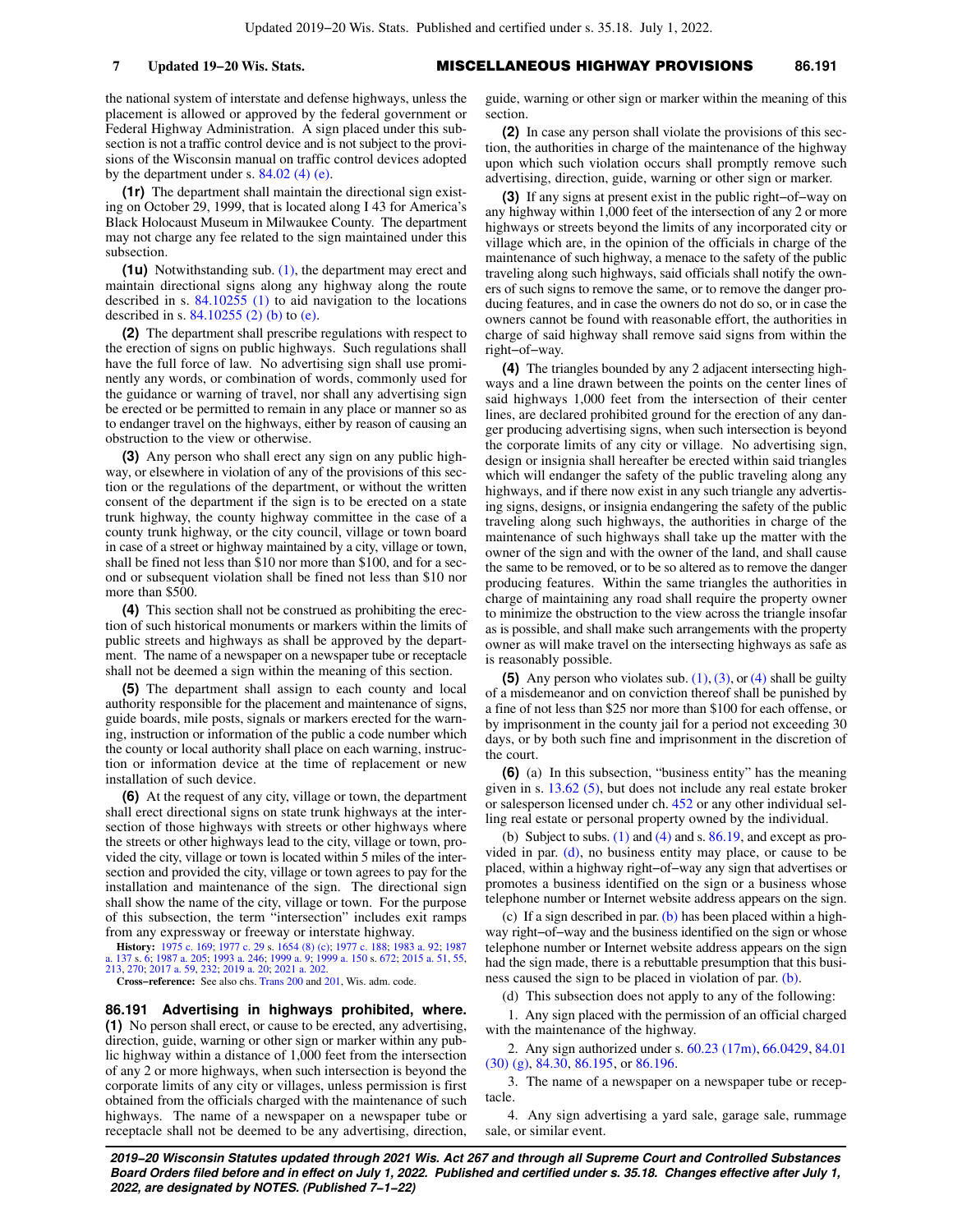the national system of interstate and defense highways, unless the placement is allowed or approved by the federal government or Federal Highway Administration. A sign placed under this subsection is not a traffic control device and is not subject to the provisions of the Wisconsin manual on traffic control devices adopted by the department under s.  $84.02$  (4) (e).

**(1r)** The department shall maintain the directional sign existing on October 29, 1999, that is located along I 43 for America's Black Holocaust Museum in Milwaukee County. The department may not charge any fee related to the sign maintained under this subsection.

**(1u)** Notwithstanding sub. [\(1\)](https://docs.legis.wisconsin.gov/document/statutes/86.19(1)), the department may erect and maintain directional signs along any highway along the route described in s. [84.10255 \(1\)](https://docs.legis.wisconsin.gov/document/statutes/84.10255(1)) to aid navigation to the locations described in s. [84.10255 \(2\) \(b\)](https://docs.legis.wisconsin.gov/document/statutes/84.10255(2)(b)) to [\(e\)](https://docs.legis.wisconsin.gov/document/statutes/84.10255(2)(e)).

**(2)** The department shall prescribe regulations with respect to the erection of signs on public highways. Such regulations shall have the full force of law. No advertising sign shall use prominently any words, or combination of words, commonly used for the guidance or warning of travel, nor shall any advertising sign be erected or be permitted to remain in any place or manner so as to endanger travel on the highways, either by reason of causing an obstruction to the view or otherwise.

**(3)** Any person who shall erect any sign on any public highway, or elsewhere in violation of any of the provisions of this section or the regulations of the department, or without the written consent of the department if the sign is to be erected on a state trunk highway, the county highway committee in the case of a county trunk highway, or the city council, village or town board in case of a street or highway maintained by a city, village or town, shall be fined not less than \$10 nor more than \$100, and for a second or subsequent violation shall be fined not less than \$10 nor more than \$500.

**(4)** This section shall not be construed as prohibiting the erection of such historical monuments or markers within the limits of public streets and highways as shall be approved by the department. The name of a newspaper on a newspaper tube or receptacle shall not be deemed a sign within the meaning of this section.

**(5)** The department shall assign to each county and local authority responsible for the placement and maintenance of signs, guide boards, mile posts, signals or markers erected for the warning, instruction or information of the public a code number which the county or local authority shall place on each warning, instruction or information device at the time of replacement or new installation of such device.

**(6)** At the request of any city, village or town, the department shall erect directional signs on state trunk highways at the intersection of those highways with streets or other highways where the streets or other highways lead to the city, village or town, provided the city, village or town is located within 5 miles of the intersection and provided the city, village or town agrees to pay for the installation and maintenance of the sign. The directional sign shall show the name of the city, village or town. For the purpose of this subsection, the term "intersection" includes exit ramps from any expressway or freeway or interstate highway.

**History:** [1975 c. 169;](https://docs.legis.wisconsin.gov/document/acts/1975/169) [1977 c. 29](https://docs.legis.wisconsin.gov/document/acts/1977/29) s. [1654 \(8\) \(c\);](https://docs.legis.wisconsin.gov/document/acts/1977/29,%20s.%201654) [1977 c. 188;](https://docs.legis.wisconsin.gov/document/acts/1977/188) [1983 a. 92](https://docs.legis.wisconsin.gov/document/acts/1983/92); [1987](https://docs.legis.wisconsin.gov/document/acts/1987/137) [a. 137](https://docs.legis.wisconsin.gov/document/acts/1987/137) s. [6](https://docs.legis.wisconsin.gov/document/acts/1987/137,%20s.%206); [1987 a. 205](https://docs.legis.wisconsin.gov/document/acts/1987/205); [1993 a. 246;](https://docs.legis.wisconsin.gov/document/acts/1993/246) [1999 a. 9](https://docs.legis.wisconsin.gov/document/acts/1999/9); [1999 a. 150](https://docs.legis.wisconsin.gov/document/acts/1999/150) s. [672;](https://docs.legis.wisconsin.gov/document/acts/1999/150,%20s.%20672) [2015 a. 51,](https://docs.legis.wisconsin.gov/document/acts/2015/51) [55](https://docs.legis.wisconsin.gov/document/acts/2015/55), [213](https://docs.legis.wisconsin.gov/document/acts/2015/213), [270](https://docs.legis.wisconsin.gov/document/acts/2015/270); [2017 a. 59,](https://docs.legis.wisconsin.gov/document/acts/2017/59) [232;](https://docs.legis.wisconsin.gov/document/acts/2017/232) [2019 a. 20;](https://docs.legis.wisconsin.gov/document/acts/2019/20) [2021 a. 202](https://docs.legis.wisconsin.gov/document/acts/2021/202).

**Cross−reference:** See also chs. [Trans 200](https://docs.legis.wisconsin.gov/document/administrativecode/ch.%20Trans%20200) and [201](https://docs.legis.wisconsin.gov/document/administrativecode/ch.%20Trans%20201), Wis. adm. code.

**86.191 Advertising in highways prohibited, where. (1)** No person shall erect, or cause to be erected, any advertising, direction, guide, warning or other sign or marker within any public highway within a distance of 1,000 feet from the intersection of any 2 or more highways, when such intersection is beyond the corporate limits of any city or villages, unless permission is first obtained from the officials charged with the maintenance of such highways. The name of a newspaper on a newspaper tube or receptacle shall not be deemed to be any advertising, direction,

guide, warning or other sign or marker within the meaning of this section.

**(2)** In case any person shall violate the provisions of this section, the authorities in charge of the maintenance of the highway upon which such violation occurs shall promptly remove such advertising, direction, guide, warning or other sign or marker.

**(3)** If any signs at present exist in the public right−of−way on any highway within 1,000 feet of the intersection of any 2 or more highways or streets beyond the limits of any incorporated city or village which are, in the opinion of the officials in charge of the maintenance of such highway, a menace to the safety of the public traveling along such highways, said officials shall notify the owners of such signs to remove the same, or to remove the danger producing features, and in case the owners do not do so, or in case the owners cannot be found with reasonable effort, the authorities in charge of said highway shall remove said signs from within the right−of−way.

**(4)** The triangles bounded by any 2 adjacent intersecting highways and a line drawn between the points on the center lines of said highways 1,000 feet from the intersection of their center lines, are declared prohibited ground for the erection of any danger producing advertising signs, when such intersection is beyond the corporate limits of any city or village. No advertising sign, design or insignia shall hereafter be erected within said triangles which will endanger the safety of the public traveling along any highways, and if there now exist in any such triangle any advertising signs, designs, or insignia endangering the safety of the public traveling along such highways, the authorities in charge of the maintenance of such highways shall take up the matter with the owner of the sign and with the owner of the land, and shall cause the same to be removed, or to be so altered as to remove the danger producing features. Within the same triangles the authorities in charge of maintaining any road shall require the property owner to minimize the obstruction to the view across the triangle insofar as is possible, and shall make such arrangements with the property owner as will make travel on the intersecting highways as safe as is reasonably possible.

**(5)** Any person who violates sub.  $(1)$ ,  $(3)$ , or  $(4)$  shall be guilty of a misdemeanor and on conviction thereof shall be punished by a fine of not less than \$25 nor more than \$100 for each offense, or by imprisonment in the county jail for a period not exceeding 30 days, or by both such fine and imprisonment in the discretion of the court.

**(6)** (a) In this subsection, "business entity" has the meaning given in s. [13.62 \(5\)](https://docs.legis.wisconsin.gov/document/statutes/13.62(5)), but does not include any real estate broker or salesperson licensed under ch. [452](https://docs.legis.wisconsin.gov/document/statutes/ch.%20452) or any other individual selling real estate or personal property owned by the individual.

(b) Subject to subs.  $(1)$  and  $(4)$  and s.  $86.19$ , and except as provided in par. [\(d\),](https://docs.legis.wisconsin.gov/document/statutes/86.191(6)(d)) no business entity may place, or cause to be placed, within a highway right−of−way any sign that advertises or promotes a business identified on the sign or a business whose telephone number or Internet website address appears on the sign.

(c) If a sign described in par.  $(b)$  has been placed within a highway right−of−way and the business identified on the sign or whose telephone number or Internet website address appears on the sign had the sign made, there is a rebuttable presumption that this business caused the sign to be placed in violation of par. [\(b\)](https://docs.legis.wisconsin.gov/document/statutes/86.191(6)(b)).

(d) This subsection does not apply to any of the following:

1. Any sign placed with the permission of an official charged with the maintenance of the highway.

2. Any sign authorized under s. [60.23 \(17m\)](https://docs.legis.wisconsin.gov/document/statutes/60.23(17m)), [66.0429,](https://docs.legis.wisconsin.gov/document/statutes/66.0429) [84.01](https://docs.legis.wisconsin.gov/document/statutes/84.01(30)(g)) [\(30\) \(g\),](https://docs.legis.wisconsin.gov/document/statutes/84.01(30)(g)) [84.30,](https://docs.legis.wisconsin.gov/document/statutes/84.30) [86.195](https://docs.legis.wisconsin.gov/document/statutes/86.195), or [86.196.](https://docs.legis.wisconsin.gov/document/statutes/86.196)

3. The name of a newspaper on a newspaper tube or receptacle.

4. Any sign advertising a yard sale, garage sale, rummage sale, or similar event.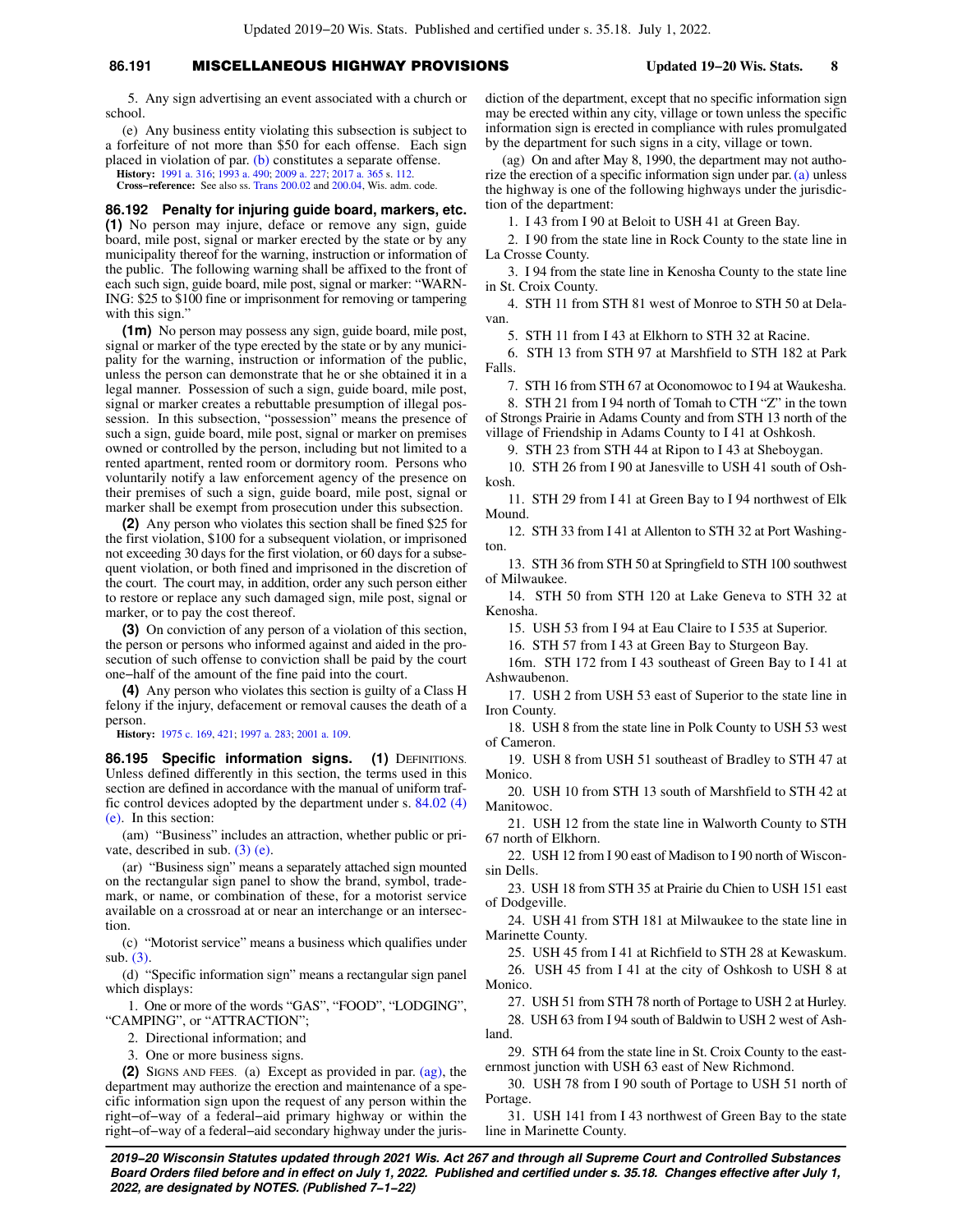## **86.191** MISCELLANEOUS HIGHWAY PROVISIONS **Updated 19−20 Wis. Stats. 8**

5. Any sign advertising an event associated with a church or school.

(e) Any business entity violating this subsection is subject to a forfeiture of not more than \$50 for each offense. Each sign placed in violation of par. [\(b\)](https://docs.legis.wisconsin.gov/document/statutes/86.191(6)(b)) constitutes a separate offense.

**History:** [1991 a. 316](https://docs.legis.wisconsin.gov/document/acts/1991/316); [1993 a. 490](https://docs.legis.wisconsin.gov/document/acts/1993/490); [2009 a. 227;](https://docs.legis.wisconsin.gov/document/acts/2009/227) [2017 a. 365](https://docs.legis.wisconsin.gov/document/acts/2017/365) s. [112.](https://docs.legis.wisconsin.gov/document/acts/2017/365,%20s.%20112)

**Cross−reference:** See also ss. [Trans 200.02](https://docs.legis.wisconsin.gov/document/administrativecode/Trans%20200.02) and [200.04,](https://docs.legis.wisconsin.gov/document/administrativecode/Trans%20200.04) Wis. adm. code.

**86.192 Penalty for injuring guide board, markers, etc. (1)** No person may injure, deface or remove any sign, guide board, mile post, signal or marker erected by the state or by any municipality thereof for the warning, instruction or information of the public. The following warning shall be affixed to the front of each such sign, guide board, mile post, signal or marker: "WARN-ING: \$25 to \$100 fine or imprisonment for removing or tampering with this sign."

**(1m)** No person may possess any sign, guide board, mile post, signal or marker of the type erected by the state or by any municipality for the warning, instruction or information of the public, unless the person can demonstrate that he or she obtained it in a legal manner. Possession of such a sign, guide board, mile post, signal or marker creates a rebuttable presumption of illegal possession. In this subsection, "possession" means the presence of such a sign, guide board, mile post, signal or marker on premises owned or controlled by the person, including but not limited to a rented apartment, rented room or dormitory room. Persons who voluntarily notify a law enforcement agency of the presence on their premises of such a sign, guide board, mile post, signal or marker shall be exempt from prosecution under this subsection.

**(2)** Any person who violates this section shall be fined \$25 for the first violation, \$100 for a subsequent violation, or imprisoned not exceeding 30 days for the first violation, or 60 days for a subsequent violation, or both fined and imprisoned in the discretion of the court. The court may, in addition, order any such person either to restore or replace any such damaged sign, mile post, signal or marker, or to pay the cost thereof.

**(3)** On conviction of any person of a violation of this section, the person or persons who informed against and aided in the prosecution of such offense to conviction shall be paid by the court one−half of the amount of the fine paid into the court.

**(4)** Any person who violates this section is guilty of a Class H felony if the injury, defacement or removal causes the death of a person.

**History:** [1975 c. 169](https://docs.legis.wisconsin.gov/document/acts/1975/169), [421](https://docs.legis.wisconsin.gov/document/acts/1975/421); [1997 a. 283](https://docs.legis.wisconsin.gov/document/acts/1997/283); [2001 a. 109.](https://docs.legis.wisconsin.gov/document/acts/2001/109)

86.195 Specific information signs. (1) DEFINITIONS. Unless defined differently in this section, the terms used in this section are defined in accordance with the manual of uniform traffic control devices adopted by the department under s. [84.02 \(4\)](https://docs.legis.wisconsin.gov/document/statutes/84.02(4)(e)) [\(e\).](https://docs.legis.wisconsin.gov/document/statutes/84.02(4)(e)) In this section:

(am) "Business" includes an attraction, whether public or private, described in sub. [\(3\) \(e\).](https://docs.legis.wisconsin.gov/document/statutes/86.195(3)(e))

(ar) "Business sign" means a separately attached sign mounted on the rectangular sign panel to show the brand, symbol, trademark, or name, or combination of these, for a motorist service available on a crossroad at or near an interchange or an intersection.

(c) "Motorist service" means a business which qualifies under sub. [\(3\)](https://docs.legis.wisconsin.gov/document/statutes/86.195(3)).

(d) "Specific information sign" means a rectangular sign panel which displays:

1. One or more of the words "GAS", "FOOD", "LODGING", "CAMPING", or "ATTRACTION";

2. Directional information; and

3. One or more business signs.

**(2)** SIGNS AND FEES. (a) Except as provided in par. [\(ag\)](https://docs.legis.wisconsin.gov/document/statutes/86.195(2)(ag)), the department may authorize the erection and maintenance of a specific information sign upon the request of any person within the right−of−way of a federal−aid primary highway or within the right−of−way of a federal−aid secondary highway under the juris-

diction of the department, except that no specific information sign may be erected within any city, village or town unless the specific information sign is erected in compliance with rules promulgated by the department for such signs in a city, village or town.

(ag) On and after May 8, 1990, the department may not authorize the erection of a specific information sign under par. [\(a\)](https://docs.legis.wisconsin.gov/document/statutes/86.195(2)(a)) unless the highway is one of the following highways under the jurisdiction of the department:

1. I 43 from I 90 at Beloit to USH 41 at Green Bay.

2. I 90 from the state line in Rock County to the state line in La Crosse County.

3. I 94 from the state line in Kenosha County to the state line in St. Croix County.

4. STH 11 from STH 81 west of Monroe to STH 50 at Delavan.

5. STH 11 from I 43 at Elkhorn to STH 32 at Racine.

6. STH 13 from STH 97 at Marshfield to STH 182 at Park Falls.

7. STH 16 from STH 67 at Oconomowoc to I 94 at Waukesha.

8. STH 21 from I 94 north of Tomah to CTH "Z" in the town of Strongs Prairie in Adams County and from STH 13 north of the village of Friendship in Adams County to I 41 at Oshkosh.

9. STH 23 from STH 44 at Ripon to I 43 at Sheboygan.

10. STH 26 from I 90 at Janesville to USH 41 south of Oshkosh.

11. STH 29 from I 41 at Green Bay to I 94 northwest of Elk Mound.

12. STH 33 from I 41 at Allenton to STH 32 at Port Washington.

13. STH 36 from STH 50 at Springfield to STH 100 southwest of Milwaukee.

14. STH 50 from STH 120 at Lake Geneva to STH 32 at Kenosha.

15. USH 53 from I 94 at Eau Claire to I 535 at Superior.

16. STH 57 from I 43 at Green Bay to Sturgeon Bay.

16m. STH 172 from I 43 southeast of Green Bay to I 41 at Ashwaubenon.

17. USH 2 from USH 53 east of Superior to the state line in Iron County.

18. USH 8 from the state line in Polk County to USH 53 west of Cameron.

19. USH 8 from USH 51 southeast of Bradley to STH 47 at Monico.

20. USH 10 from STH 13 south of Marshfield to STH 42 at Manitowoc.

21. USH 12 from the state line in Walworth County to STH 67 north of Elkhorn.

22. USH 12 from I 90 east of Madison to I 90 north of Wisconsin Dells.

23. USH 18 from STH 35 at Prairie du Chien to USH 151 east of Dodgeville.

24. USH 41 from STH 181 at Milwaukee to the state line in Marinette County.

25. USH 45 from I 41 at Richfield to STH 28 at Kewaskum.

26. USH 45 from I 41 at the city of Oshkosh to USH 8 at Monico.

27. USH 51 from STH 78 north of Portage to USH 2 at Hurley.

28. USH 63 from I 94 south of Baldwin to USH 2 west of Ashland.

29. STH 64 from the state line in St. Croix County to the easternmost junction with USH 63 east of New Richmond.

30. USH 78 from I 90 south of Portage to USH 51 north of Portage.

31. USH 141 from I 43 northwest of Green Bay to the state line in Marinette County.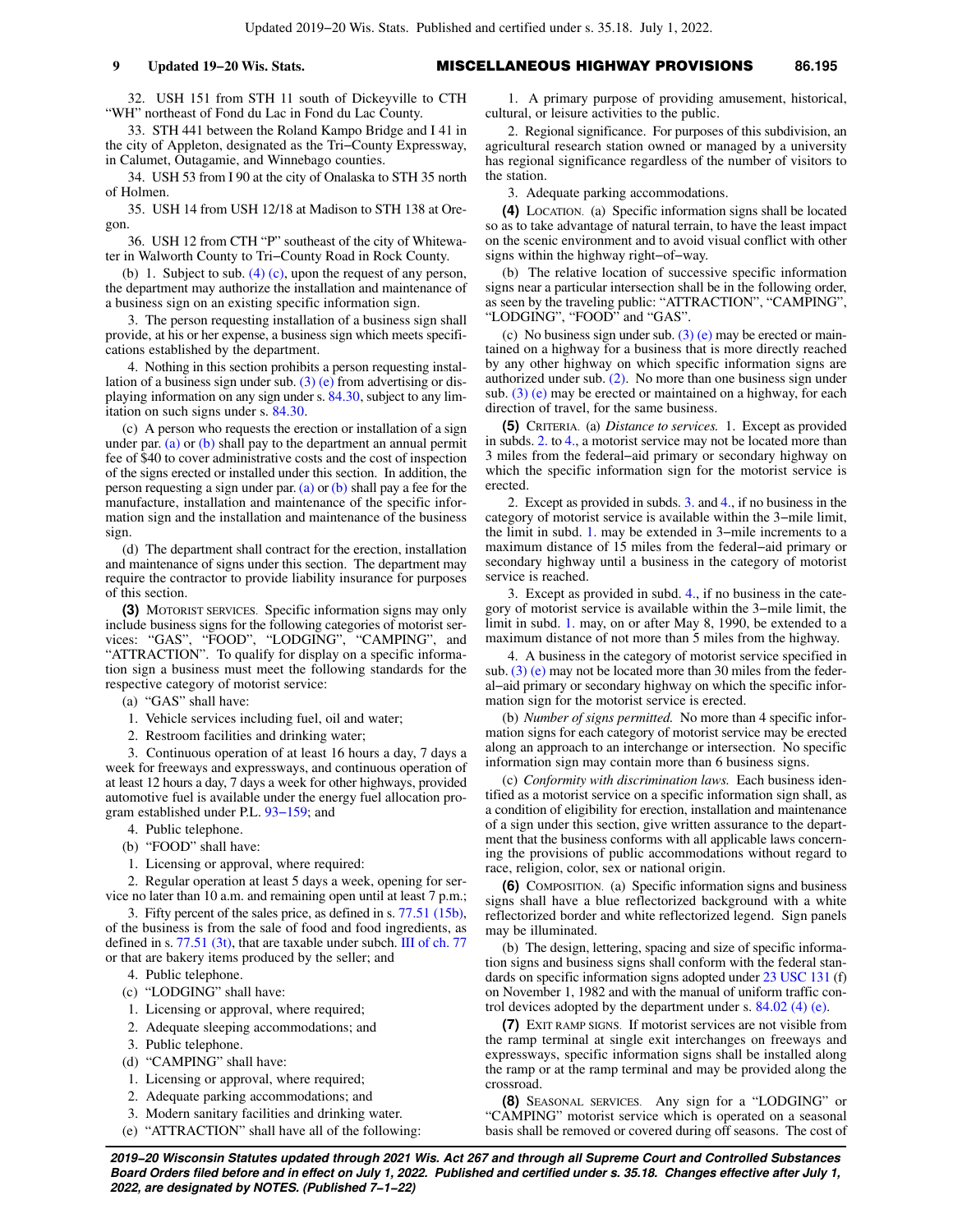32. USH 151 from STH 11 south of Dickeyville to CTH "WH" northeast of Fond du Lac in Fond du Lac County.

33. STH 441 between the Roland Kampo Bridge and I 41 in the city of Appleton, designated as the Tri−County Expressway, in Calumet, Outagamie, and Winnebago counties.

34. USH 53 from I 90 at the city of Onalaska to STH 35 north of Holmen.

35. USH 14 from USH 12/18 at Madison to STH 138 at Oregon.

36. USH 12 from CTH "P" southeast of the city of Whitewater in Walworth County to Tri−County Road in Rock County.

(b) 1. Subject to sub.  $(4)$  (c), upon the request of any person, the department may authorize the installation and maintenance of a business sign on an existing specific information sign.

3. The person requesting installation of a business sign shall provide, at his or her expense, a business sign which meets specifications established by the department.

4. Nothing in this section prohibits a person requesting installation of a business sign under sub.  $(3)$  (e) from advertising or displaying information on any sign under s. [84.30](https://docs.legis.wisconsin.gov/document/statutes/84.30), subject to any limitation on such signs under s. [84.30.](https://docs.legis.wisconsin.gov/document/statutes/84.30)

(c) A person who requests the erection or installation of a sign under par.  $(a)$  or  $(b)$  shall pay to the department an annual permit fee of \$40 to cover administrative costs and the cost of inspection of the signs erected or installed under this section. In addition, the person requesting a sign under par. [\(a\)](https://docs.legis.wisconsin.gov/document/statutes/86.195(2)(a)) or [\(b\)](https://docs.legis.wisconsin.gov/document/statutes/86.195(2)(b)) shall pay a fee for the manufacture, installation and maintenance of the specific information sign and the installation and maintenance of the business sign.

(d) The department shall contract for the erection, installation and maintenance of signs under this section. The department may require the contractor to provide liability insurance for purposes of this section.

**(3)** MOTORIST SERVICES. Specific information signs may only include business signs for the following categories of motorist services: "GAS", "FOOD", "LODGING", "CAMPING", and "ATTRACTION". To qualify for display on a specific information sign a business must meet the following standards for the respective category of motorist service:

(a) "GAS" shall have:

- 1. Vehicle services including fuel, oil and water;
- 2. Restroom facilities and drinking water;

3. Continuous operation of at least 16 hours a day, 7 days a week for freeways and expressways, and continuous operation of at least 12 hours a day, 7 days a week for other highways, provided automotive fuel is available under the energy fuel allocation program established under P.L. [93−159](https://docs.legis.wisconsin.gov/document/publiclaw/93-159); and

- 4. Public telephone.
- (b) "FOOD" shall have:

1. Licensing or approval, where required:

2. Regular operation at least 5 days a week, opening for service no later than 10 a.m. and remaining open until at least 7 p.m.;

3. Fifty percent of the sales price, as defined in s. [77.51 \(15b\),](https://docs.legis.wisconsin.gov/document/statutes/77.51(15b)) of the business is from the sale of food and food ingredients, as defined in s. [77.51 \(3t\),](https://docs.legis.wisconsin.gov/document/statutes/77.51(3t)) that are taxable under subch. [III of ch. 77](https://docs.legis.wisconsin.gov/document/statutes/subch.%20III%20of%20ch.%2077) or that are bakery items produced by the seller; and

- 4. Public telephone.
- (c) "LODGING" shall have:
- 1. Licensing or approval, where required;
- 2. Adequate sleeping accommodations; and
- 3. Public telephone.
- (d) "CAMPING" shall have:
- 1. Licensing or approval, where required;
- 2. Adequate parking accommodations; and
- 3. Modern sanitary facilities and drinking water.
- (e) "ATTRACTION" shall have all of the following:

1. A primary purpose of providing amusement, historical, cultural, or leisure activities to the public.

2. Regional significance. For purposes of this subdivision, an agricultural research station owned or managed by a university has regional significance regardless of the number of visitors to the station.

3. Adequate parking accommodations.

**(4)** LOCATION. (a) Specific information signs shall be located so as to take advantage of natural terrain, to have the least impact on the scenic environment and to avoid visual conflict with other signs within the highway right−of−way.

(b) The relative location of successive specific information signs near a particular intersection shall be in the following order, as seen by the traveling public: "ATTRACTION", "CAMPING", "LODGING", "FOOD" and "GAS".

(c) No business sign under sub. [\(3\) \(e\)](https://docs.legis.wisconsin.gov/document/statutes/86.195(3)(e)) may be erected or maintained on a highway for a business that is more directly reached by any other highway on which specific information signs are authorized under sub. [\(2\)](https://docs.legis.wisconsin.gov/document/statutes/86.195(2)). No more than one business sign under sub.  $(3)$  (e) may be erected or maintained on a highway, for each direction of travel, for the same business.

**(5)** CRITERIA. (a) *Distance to services.* 1. Except as provided in subds. [2.](https://docs.legis.wisconsin.gov/document/statutes/86.195(5)(a)2.) to [4.,](https://docs.legis.wisconsin.gov/document/statutes/86.195(5)(a)4.) a motorist service may not be located more than 3 miles from the federal−aid primary or secondary highway on which the specific information sign for the motorist service is erected.

2. Except as provided in subds. [3.](https://docs.legis.wisconsin.gov/document/statutes/86.195(5)(a)3.) and [4.](https://docs.legis.wisconsin.gov/document/statutes/86.195(5)(a)4.), if no business in the category of motorist service is available within the 3−mile limit, the limit in subd. [1.](https://docs.legis.wisconsin.gov/document/statutes/86.195(5)(a)1.) may be extended in 3−mile increments to a maximum distance of 15 miles from the federal−aid primary or secondary highway until a business in the category of motorist service is reached.

3. Except as provided in subd. [4.](https://docs.legis.wisconsin.gov/document/statutes/86.195(5)(a)4.), if no business in the category of motorist service is available within the 3−mile limit, the limit in subd. [1.](https://docs.legis.wisconsin.gov/document/statutes/86.195(5)(a)1.) may, on or after May 8, 1990, be extended to a maximum distance of not more than 5 miles from the highway.

4. A business in the category of motorist service specified in sub.  $(3)$  (e) may not be located more than 30 miles from the federal−aid primary or secondary highway on which the specific information sign for the motorist service is erected.

(b) *Number of signs permitted.* No more than 4 specific information signs for each category of motorist service may be erected along an approach to an interchange or intersection. No specific information sign may contain more than 6 business signs.

(c) *Conformity with discrimination laws.* Each business identified as a motorist service on a specific information sign shall, as a condition of eligibility for erection, installation and maintenance of a sign under this section, give written assurance to the department that the business conforms with all applicable laws concerning the provisions of public accommodations without regard to race, religion, color, sex or national origin.

**(6)** COMPOSITION. (a) Specific information signs and business signs shall have a blue reflectorized background with a white reflectorized border and white reflectorized legend. Sign panels may be illuminated.

(b) The design, lettering, spacing and size of specific information signs and business signs shall conform with the federal standards on specific information signs adopted under [23 USC 131](https://docs.legis.wisconsin.gov/document/usc/23%20USC%20131) (f) on November 1, 1982 and with the manual of uniform traffic control devices adopted by the department under s. [84.02 \(4\) \(e\)](https://docs.legis.wisconsin.gov/document/statutes/84.02(4)(e)).

**(7)** EXIT RAMP SIGNS. If motorist services are not visible from the ramp terminal at single exit interchanges on freeways and expressways, specific information signs shall be installed along the ramp or at the ramp terminal and may be provided along the crossroad.

**(8)** SEASONAL SERVICES. Any sign for a "LODGING" or "CAMPING" motorist service which is operated on a seasonal basis shall be removed or covered during off seasons. The cost of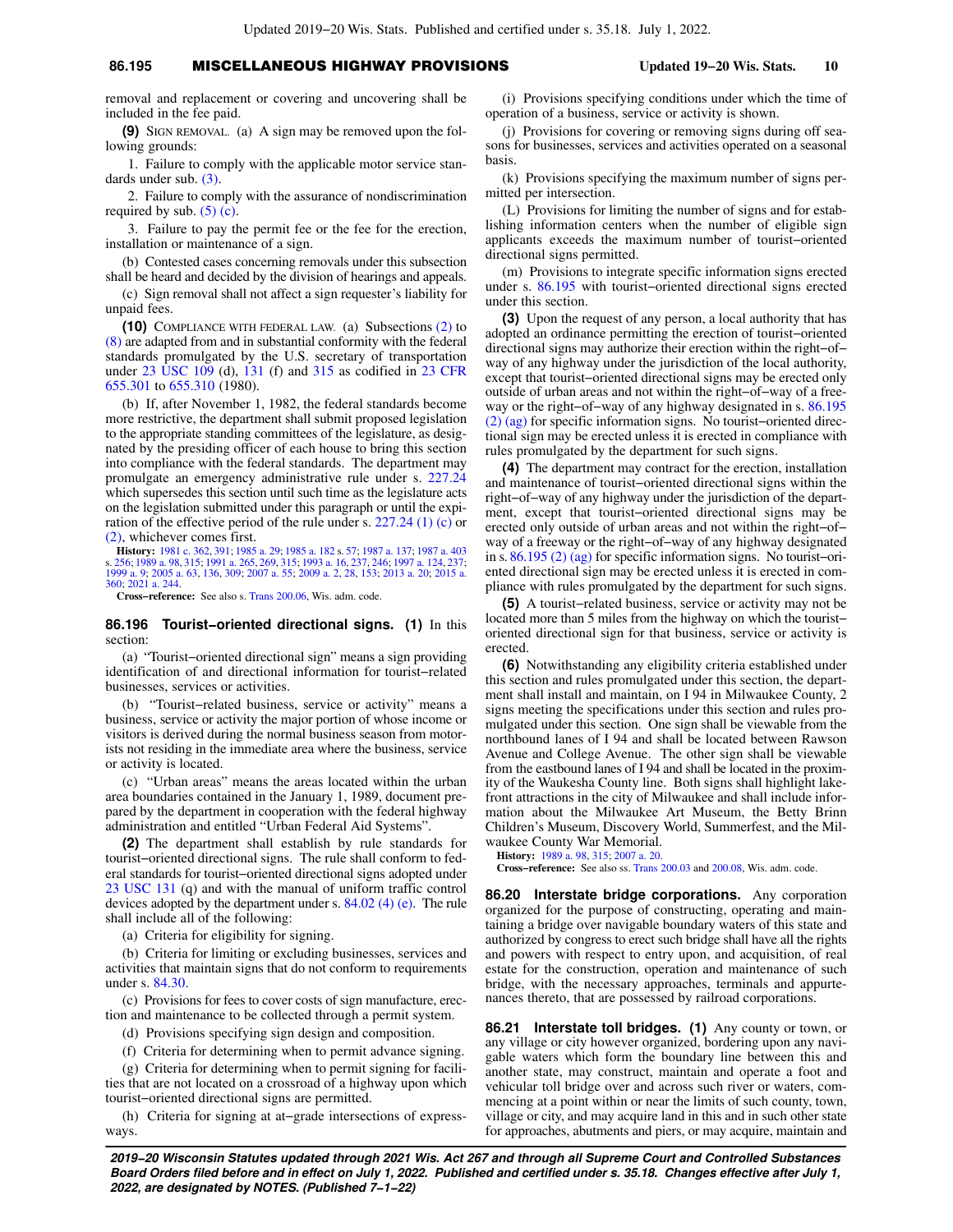## **86.195** MISCELLANEOUS HIGHWAY PROVISIONS **Updated 19−20 Wis. Stats. 10**

removal and replacement or covering and uncovering shall be included in the fee paid.

**(9)** SIGN REMOVAL. (a) A sign may be removed upon the following grounds:

1. Failure to comply with the applicable motor service standards under sub. [\(3\)](https://docs.legis.wisconsin.gov/document/statutes/86.195(3)).

2. Failure to comply with the assurance of nondiscrimination required by sub.  $(5)$  (c).

3. Failure to pay the permit fee or the fee for the erection, installation or maintenance of a sign.

(b) Contested cases concerning removals under this subsection shall be heard and decided by the division of hearings and appeals.

(c) Sign removal shall not affect a sign requester's liability for unpaid fees.

**(10)** COMPLIANCE WITH FEDERAL LAW. (a) Subsections [\(2\)](https://docs.legis.wisconsin.gov/document/statutes/86.195(2)) to [\(8\)](https://docs.legis.wisconsin.gov/document/statutes/86.195(8)) are adapted from and in substantial conformity with the federal standards promulgated by the U.S. secretary of transportation under [23 USC 109](https://docs.legis.wisconsin.gov/document/usc/23%20USC%20109) (d), [131](https://docs.legis.wisconsin.gov/document/usc/23%20USC%20131) (f) and [315](https://docs.legis.wisconsin.gov/document/usc/23%20USC%20315) as codified in [23 CFR](https://docs.legis.wisconsin.gov/document/cfr/23%20CFR%20655.301) [655.301](https://docs.legis.wisconsin.gov/document/cfr/23%20CFR%20655.301) to [655.310](https://docs.legis.wisconsin.gov/document/cfr/23%20CFR%20655.310) (1980).

(b) If, after November 1, 1982, the federal standards become more restrictive, the department shall submit proposed legislation to the appropriate standing committees of the legislature, as designated by the presiding officer of each house to bring this section into compliance with the federal standards. The department may promulgate an emergency administrative rule under s. [227.24](https://docs.legis.wisconsin.gov/document/statutes/227.24) which supersedes this section until such time as the legislature acts on the legislation submitted under this paragraph or until the expiration of the effective period of the rule under s. [227.24 \(1\) \(c\)](https://docs.legis.wisconsin.gov/document/statutes/227.24(1)(c)) or [\(2\)](https://docs.legis.wisconsin.gov/document/statutes/227.24(2)), whichever comes first.

**History:** [1981 c. 362,](https://docs.legis.wisconsin.gov/document/acts/1981/362) [391](https://docs.legis.wisconsin.gov/document/acts/1981/391); [1985 a. 29;](https://docs.legis.wisconsin.gov/document/acts/1985/29) [1985 a. 182](https://docs.legis.wisconsin.gov/document/acts/1985/182) s. [57](https://docs.legis.wisconsin.gov/document/acts/1985/182,%20s.%2057); [1987 a. 137;](https://docs.legis.wisconsin.gov/document/acts/1987/137) [1987 a. 403](https://docs.legis.wisconsin.gov/document/acts/1987/403) s. [256;](https://docs.legis.wisconsin.gov/document/acts/1987/403,%20s.%20256) [1989 a. 98](https://docs.legis.wisconsin.gov/document/acts/1989/98), [315;](https://docs.legis.wisconsin.gov/document/acts/1989/315) [1991 a. 265,](https://docs.legis.wisconsin.gov/document/acts/1991/265) [269](https://docs.legis.wisconsin.gov/document/acts/1991/269), [315;](https://docs.legis.wisconsin.gov/document/acts/1991/315) [1993 a. 16](https://docs.legis.wisconsin.gov/document/acts/1993/16), [237](https://docs.legis.wisconsin.gov/document/acts/1993/237), [246;](https://docs.legis.wisconsin.gov/document/acts/1993/246) [1997 a. 124,](https://docs.legis.wisconsin.gov/document/acts/1997/124) [237](https://docs.legis.wisconsin.gov/document/acts/1997/237); [1999 a. 9;](https://docs.legis.wisconsin.gov/document/acts/1999/9) [2005 a. 63,](https://docs.legis.wisconsin.gov/document/acts/2005/63) [136,](https://docs.legis.wisconsin.gov/document/acts/2005/136) [309;](https://docs.legis.wisconsin.gov/document/acts/2005/309) [2007 a. 55](https://docs.legis.wisconsin.gov/document/acts/2007/55); [2009 a. 2,](https://docs.legis.wisconsin.gov/document/acts/2009/2) [28](https://docs.legis.wisconsin.gov/document/acts/2009/28), [153](https://docs.legis.wisconsin.gov/document/acts/2009/153); [2013 a. 20;](https://docs.legis.wisconsin.gov/document/acts/2013/20) [2015 a.](https://docs.legis.wisconsin.gov/document/acts/2015/360) [360](https://docs.legis.wisconsin.gov/document/acts/2015/360); [2021 a. 244.](https://docs.legis.wisconsin.gov/document/acts/2021/244)

**Cross−reference:** See also s. [Trans 200.06](https://docs.legis.wisconsin.gov/document/administrativecode/Trans%20200.06), Wis. adm. code.

**86.196 Tourist−oriented directional signs. (1)** In this section:

(a) "Tourist−oriented directional sign" means a sign providing identification of and directional information for tourist−related businesses, services or activities.

(b) "Tourist−related business, service or activity" means a business, service or activity the major portion of whose income or visitors is derived during the normal business season from motorists not residing in the immediate area where the business, service or activity is located.

(c) "Urban areas" means the areas located within the urban area boundaries contained in the January 1, 1989, document prepared by the department in cooperation with the federal highway administration and entitled "Urban Federal Aid Systems".

**(2)** The department shall establish by rule standards for tourist−oriented directional signs. The rule shall conform to federal standards for tourist−oriented directional signs adopted under [23 USC 131](https://docs.legis.wisconsin.gov/document/usc/23%20USC%20131) (q) and with the manual of uniform traffic control devices adopted by the department under s. [84.02 \(4\) \(e\)](https://docs.legis.wisconsin.gov/document/statutes/84.02(4)(e)). The rule shall include all of the following:

(a) Criteria for eligibility for signing.

(b) Criteria for limiting or excluding businesses, services and activities that maintain signs that do not conform to requirements under s. [84.30](https://docs.legis.wisconsin.gov/document/statutes/84.30).

(c) Provisions for fees to cover costs of sign manufacture, erection and maintenance to be collected through a permit system.

(d) Provisions specifying sign design and composition.

(f) Criteria for determining when to permit advance signing.

(g) Criteria for determining when to permit signing for facilities that are not located on a crossroad of a highway upon which tourist−oriented directional signs are permitted.

(h) Criteria for signing at at−grade intersections of expressways.

(i) Provisions specifying conditions under which the time of operation of a business, service or activity is shown.

(j) Provisions for covering or removing signs during off seasons for businesses, services and activities operated on a seasonal basis.

(k) Provisions specifying the maximum number of signs permitted per intersection.

(L) Provisions for limiting the number of signs and for establishing information centers when the number of eligible sign applicants exceeds the maximum number of tourist−oriented directional signs permitted.

(m) Provisions to integrate specific information signs erected under s. [86.195](https://docs.legis.wisconsin.gov/document/statutes/86.195) with tourist−oriented directional signs erected under this section.

**(3)** Upon the request of any person, a local authority that has adopted an ordinance permitting the erection of tourist−oriented directional signs may authorize their erection within the right−of− way of any highway under the jurisdiction of the local authority, except that tourist−oriented directional signs may be erected only outside of urban areas and not within the right−of−way of a freeway or the right−of−way of any highway designated in s. [86.195](https://docs.legis.wisconsin.gov/document/statutes/86.195(2)(ag)) [\(2\) \(ag\)](https://docs.legis.wisconsin.gov/document/statutes/86.195(2)(ag)) for specific information signs. No tourist−oriented directional sign may be erected unless it is erected in compliance with rules promulgated by the department for such signs.

**(4)** The department may contract for the erection, installation and maintenance of tourist−oriented directional signs within the right−of−way of any highway under the jurisdiction of the department, except that tourist−oriented directional signs may be erected only outside of urban areas and not within the right−of− way of a freeway or the right−of−way of any highway designated in s. [86.195 \(2\) \(ag\)](https://docs.legis.wisconsin.gov/document/statutes/86.195(2)(ag)) for specific information signs. No tourist−oriented directional sign may be erected unless it is erected in compliance with rules promulgated by the department for such signs.

**(5)** A tourist−related business, service or activity may not be located more than 5 miles from the highway on which the tourist− oriented directional sign for that business, service or activity is erected.

**(6)** Notwithstanding any eligibility criteria established under this section and rules promulgated under this section, the department shall install and maintain, on I 94 in Milwaukee County, 2 signs meeting the specifications under this section and rules promulgated under this section. One sign shall be viewable from the northbound lanes of I 94 and shall be located between Rawson Avenue and College Avenue. The other sign shall be viewable from the eastbound lanes of I 94 and shall be located in the proximity of the Waukesha County line. Both signs shall highlight lakefront attractions in the city of Milwaukee and shall include information about the Milwaukee Art Museum, the Betty Brinn Children's Museum, Discovery World, Summerfest, and the Milwaukee County War Memorial.

**History:** [1989 a. 98](https://docs.legis.wisconsin.gov/document/acts/1989/98), [315](https://docs.legis.wisconsin.gov/document/acts/1989/315); [2007 a. 20](https://docs.legis.wisconsin.gov/document/acts/2007/20).

**Cross−reference:** See also ss. [Trans 200.03](https://docs.legis.wisconsin.gov/document/administrativecode/Trans%20200.03) and [200.08,](https://docs.legis.wisconsin.gov/document/administrativecode/Trans%20200.08) Wis. adm. code.

**86.20 Interstate bridge corporations.** Any corporation organized for the purpose of constructing, operating and maintaining a bridge over navigable boundary waters of this state and authorized by congress to erect such bridge shall have all the rights and powers with respect to entry upon, and acquisition, of real estate for the construction, operation and maintenance of such bridge, with the necessary approaches, terminals and appurtenances thereto, that are possessed by railroad corporations.

**86.21 Interstate toll bridges. (1)** Any county or town, or any village or city however organized, bordering upon any navigable waters which form the boundary line between this and another state, may construct, maintain and operate a foot and vehicular toll bridge over and across such river or waters, commencing at a point within or near the limits of such county, town, village or city, and may acquire land in this and in such other state for approaches, abutments and piers, or may acquire, maintain and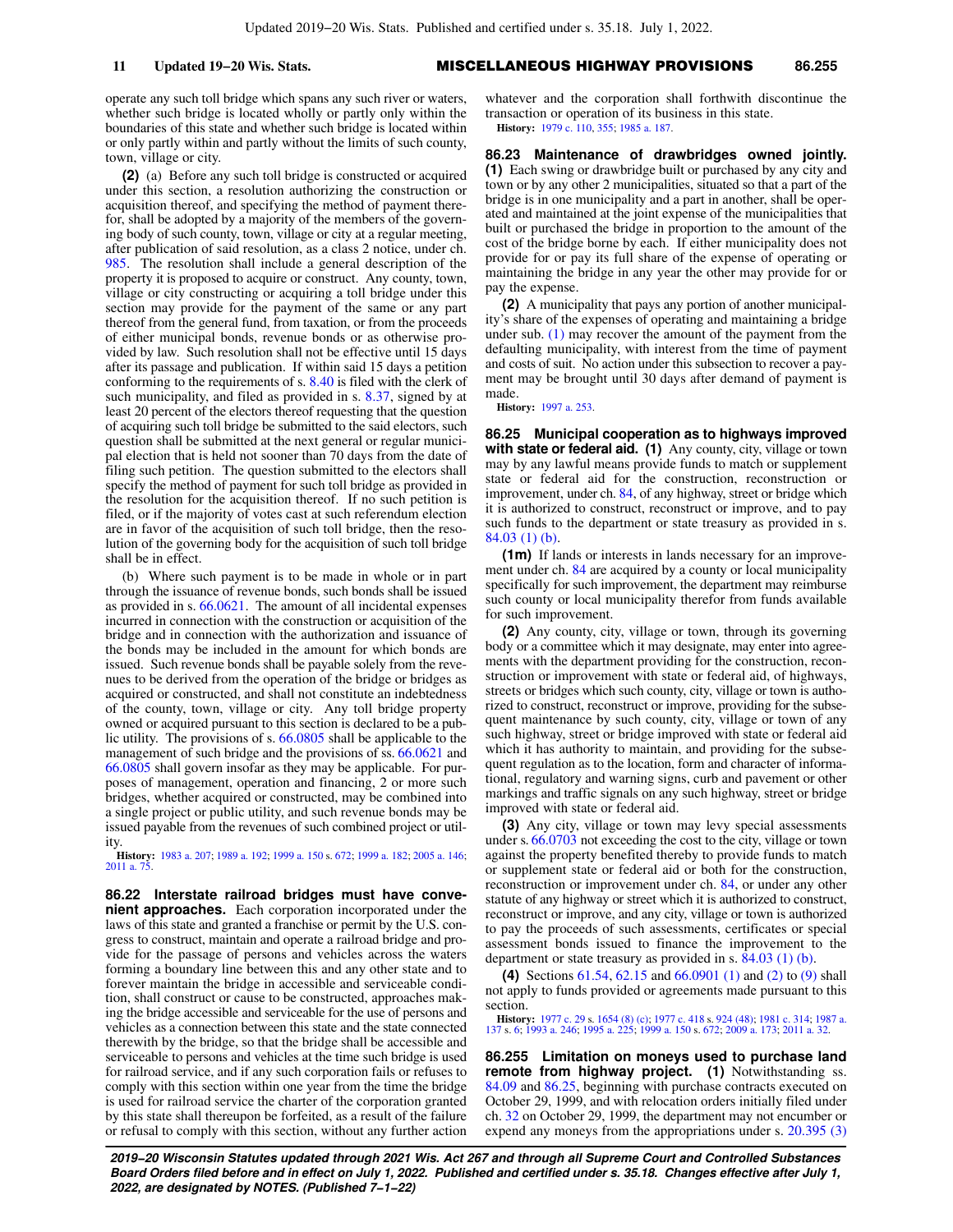operate any such toll bridge which spans any such river or waters, whether such bridge is located wholly or partly only within the boundaries of this state and whether such bridge is located within or only partly within and partly without the limits of such county, town, village or city.

**(2)** (a) Before any such toll bridge is constructed or acquired under this section, a resolution authorizing the construction or acquisition thereof, and specifying the method of payment therefor, shall be adopted by a majority of the members of the governing body of such county, town, village or city at a regular meeting, after publication of said resolution, as a class 2 notice, under ch. [985](https://docs.legis.wisconsin.gov/document/statutes/ch.%20985). The resolution shall include a general description of the property it is proposed to acquire or construct. Any county, town, village or city constructing or acquiring a toll bridge under this section may provide for the payment of the same or any part thereof from the general fund, from taxation, or from the proceeds of either municipal bonds, revenue bonds or as otherwise provided by law. Such resolution shall not be effective until 15 days after its passage and publication. If within said 15 days a petition conforming to the requirements of s. [8.40](https://docs.legis.wisconsin.gov/document/statutes/8.40) is filed with the clerk of such municipality, and filed as provided in s. [8.37,](https://docs.legis.wisconsin.gov/document/statutes/8.37) signed by at least 20 percent of the electors thereof requesting that the question of acquiring such toll bridge be submitted to the said electors, such question shall be submitted at the next general or regular municipal election that is held not sooner than 70 days from the date of filing such petition. The question submitted to the electors shall specify the method of payment for such toll bridge as provided in the resolution for the acquisition thereof. If no such petition is filed, or if the majority of votes cast at such referendum election are in favor of the acquisition of such toll bridge, then the resolution of the governing body for the acquisition of such toll bridge shall be in effect.

(b) Where such payment is to be made in whole or in part through the issuance of revenue bonds, such bonds shall be issued as provided in s. [66.0621.](https://docs.legis.wisconsin.gov/document/statutes/66.0621) The amount of all incidental expenses incurred in connection with the construction or acquisition of the bridge and in connection with the authorization and issuance of the bonds may be included in the amount for which bonds are issued. Such revenue bonds shall be payable solely from the revenues to be derived from the operation of the bridge or bridges as acquired or constructed, and shall not constitute an indebtedness of the county, town, village or city. Any toll bridge property owned or acquired pursuant to this section is declared to be a public utility. The provisions of s. [66.0805](https://docs.legis.wisconsin.gov/document/statutes/66.0805) shall be applicable to the management of such bridge and the provisions of ss. [66.0621](https://docs.legis.wisconsin.gov/document/statutes/66.0621) and [66.0805](https://docs.legis.wisconsin.gov/document/statutes/66.0805) shall govern insofar as they may be applicable. For purposes of management, operation and financing, 2 or more such bridges, whether acquired or constructed, may be combined into a single project or public utility, and such revenue bonds may be issued payable from the revenues of such combined project or utility.

**History:** [1983 a. 207;](https://docs.legis.wisconsin.gov/document/acts/1983/207) [1989 a. 192;](https://docs.legis.wisconsin.gov/document/acts/1989/192) [1999 a. 150](https://docs.legis.wisconsin.gov/document/acts/1999/150) s. [672;](https://docs.legis.wisconsin.gov/document/acts/1999/150,%20s.%20672) [1999 a. 182](https://docs.legis.wisconsin.gov/document/acts/1999/182); [2005 a. 146](https://docs.legis.wisconsin.gov/document/acts/2005/146); 2011 a. 7

**86.22 Interstate railroad bridges must have convenient approaches.** Each corporation incorporated under the laws of this state and granted a franchise or permit by the U.S. congress to construct, maintain and operate a railroad bridge and provide for the passage of persons and vehicles across the waters forming a boundary line between this and any other state and to forever maintain the bridge in accessible and serviceable condition, shall construct or cause to be constructed, approaches making the bridge accessible and serviceable for the use of persons and vehicles as a connection between this state and the state connected therewith by the bridge, so that the bridge shall be accessible and serviceable to persons and vehicles at the time such bridge is used for railroad service, and if any such corporation fails or refuses to comply with this section within one year from the time the bridge is used for railroad service the charter of the corporation granted by this state shall thereupon be forfeited, as a result of the failure or refusal to comply with this section, without any further action

whatever and the corporation shall forthwith discontinue the transaction or operation of its business in this state. **History:** [1979 c. 110](https://docs.legis.wisconsin.gov/document/acts/1979/110), [355](https://docs.legis.wisconsin.gov/document/acts/1979/355); [1985 a. 187](https://docs.legis.wisconsin.gov/document/acts/1985/187).

**86.23 Maintenance of drawbridges owned jointly. (1)** Each swing or drawbridge built or purchased by any city and town or by any other 2 municipalities, situated so that a part of the bridge is in one municipality and a part in another, shall be operated and maintained at the joint expense of the municipalities that built or purchased the bridge in proportion to the amount of the cost of the bridge borne by each. If either municipality does not provide for or pay its full share of the expense of operating or maintaining the bridge in any year the other may provide for or pay the expense.

**(2)** A municipality that pays any portion of another municipality's share of the expenses of operating and maintaining a bridge under sub. [\(1\)](https://docs.legis.wisconsin.gov/document/statutes/86.23(1)) may recover the amount of the payment from the defaulting municipality, with interest from the time of payment and costs of suit. No action under this subsection to recover a payment may be brought until 30 days after demand of payment is made.

**History:** [1997 a. 253.](https://docs.legis.wisconsin.gov/document/acts/1997/253)

**86.25 Municipal cooperation as to highways improved with state or federal aid. (1)** Any county, city, village or town may by any lawful means provide funds to match or supplement state or federal aid for the construction, reconstruction or improvement, under ch. [84,](https://docs.legis.wisconsin.gov/document/statutes/ch.%2084) of any highway, street or bridge which it is authorized to construct, reconstruct or improve, and to pay such funds to the department or state treasury as provided in s. [84.03 \(1\) \(b\)](https://docs.legis.wisconsin.gov/document/statutes/84.03(1)(b)).

**(1m)** If lands or interests in lands necessary for an improve-ment under ch. [84](https://docs.legis.wisconsin.gov/document/statutes/ch.%2084) are acquired by a county or local municipality specifically for such improvement, the department may reimburse such county or local municipality therefor from funds available for such improvement.

**(2)** Any county, city, village or town, through its governing body or a committee which it may designate, may enter into agreements with the department providing for the construction, reconstruction or improvement with state or federal aid, of highways, streets or bridges which such county, city, village or town is authorized to construct, reconstruct or improve, providing for the subsequent maintenance by such county, city, village or town of any such highway, street or bridge improved with state or federal aid which it has authority to maintain, and providing for the subsequent regulation as to the location, form and character of informational, regulatory and warning signs, curb and pavement or other markings and traffic signals on any such highway, street or bridge improved with state or federal aid.

**(3)** Any city, village or town may levy special assessments under s. [66.0703](https://docs.legis.wisconsin.gov/document/statutes/66.0703) not exceeding the cost to the city, village or town against the property benefited thereby to provide funds to match or supplement state or federal aid or both for the construction, reconstruction or improvement under ch. [84](https://docs.legis.wisconsin.gov/document/statutes/ch.%2084), or under any other statute of any highway or street which it is authorized to construct, reconstruct or improve, and any city, village or town is authorized to pay the proceeds of such assessments, certificates or special assessment bonds issued to finance the improvement to the department or state treasury as provided in s. [84.03 \(1\) \(b\).](https://docs.legis.wisconsin.gov/document/statutes/84.03(1)(b))

**(4)** Sections [61.54](https://docs.legis.wisconsin.gov/document/statutes/61.54), [62.15](https://docs.legis.wisconsin.gov/document/statutes/62.15) and [66.0901 \(1\)](https://docs.legis.wisconsin.gov/document/statutes/66.0901(1)) and [\(2\)](https://docs.legis.wisconsin.gov/document/statutes/66.0901(2)) to [\(9\)](https://docs.legis.wisconsin.gov/document/statutes/66.0901(9)) shall not apply to funds provided or agreements made pursuant to this section.

**History:** [1977 c. 29](https://docs.legis.wisconsin.gov/document/acts/1977/29) s. [1654 \(8\) \(c\);](https://docs.legis.wisconsin.gov/document/acts/1977/29,%20s.%201654) [1977 c. 418](https://docs.legis.wisconsin.gov/document/acts/1977/418) s. [924 \(48\)](https://docs.legis.wisconsin.gov/document/acts/1977/418,%20s.%20924); [1981 c. 314](https://docs.legis.wisconsin.gov/document/acts/1981/314); [1987 a.](https://docs.legis.wisconsin.gov/document/acts/1987/137) [137](https://docs.legis.wisconsin.gov/document/acts/1987/137) s. [6](https://docs.legis.wisconsin.gov/document/acts/1987/137,%20s.%206); [1993 a. 246;](https://docs.legis.wisconsin.gov/document/acts/1993/246) [1995 a. 225](https://docs.legis.wisconsin.gov/document/acts/1995/225); [1999 a. 150](https://docs.legis.wisconsin.gov/document/acts/1999/150) s. [672;](https://docs.legis.wisconsin.gov/document/acts/1999/150,%20s.%20672) [2009 a. 173](https://docs.legis.wisconsin.gov/document/acts/2009/173); [2011 a. 32](https://docs.legis.wisconsin.gov/document/acts/2011/32).

**86.255 Limitation on moneys used to purchase land remote from highway project. (1)** Notwithstanding ss. [84.09](https://docs.legis.wisconsin.gov/document/statutes/84.09) and [86.25](https://docs.legis.wisconsin.gov/document/statutes/86.25), beginning with purchase contracts executed on October 29, 1999, and with relocation orders initially filed under ch. [32](https://docs.legis.wisconsin.gov/document/statutes/ch.%2032) on October 29, 1999, the department may not encumber or expend any moneys from the appropriations under s. [20.395 \(3\)](https://docs.legis.wisconsin.gov/document/statutes/20.395(3))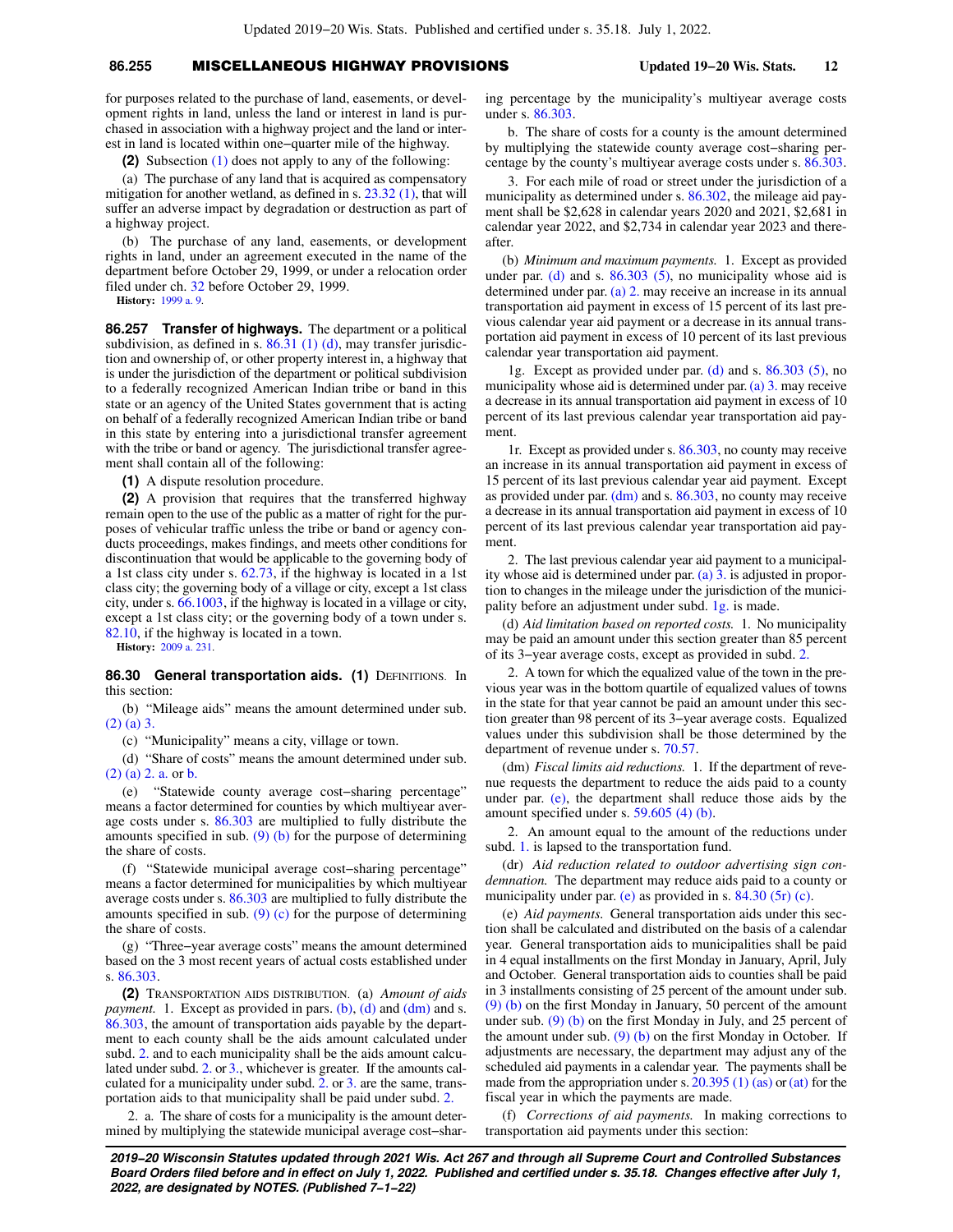## **86.255** MISCELLANEOUS HIGHWAY PROVISIONS **Updated 19−20 Wis. Stats. 12**

for purposes related to the purchase of land, easements, or development rights in land, unless the land or interest in land is purchased in association with a highway project and the land or interest in land is located within one−quarter mile of the highway.

**(2)** Subsection [\(1\)](https://docs.legis.wisconsin.gov/document/statutes/86.255(1)) does not apply to any of the following:

(a) The purchase of any land that is acquired as compensatory mitigation for another wetland, as defined in s.  $23.32(1)$ , that will suffer an adverse impact by degradation or destruction as part of a highway project.

(b) The purchase of any land, easements, or development rights in land, under an agreement executed in the name of the department before October 29, 1999, or under a relocation order filed under ch. [32](https://docs.legis.wisconsin.gov/document/statutes/ch.%2032) before October 29, 1999.

**History:** [1999 a. 9](https://docs.legis.wisconsin.gov/document/acts/1999/9).

**86.257 Transfer of highways.** The department or a political subdivision, as defined in s.  $86.31$  (1) (d), may transfer jurisdiction and ownership of, or other property interest in, a highway that is under the jurisdiction of the department or political subdivision to a federally recognized American Indian tribe or band in this state or an agency of the United States government that is acting on behalf of a federally recognized American Indian tribe or band in this state by entering into a jurisdictional transfer agreement with the tribe or band or agency. The jurisdictional transfer agreement shall contain all of the following:

**(1)** A dispute resolution procedure.

**(2)** A provision that requires that the transferred highway remain open to the use of the public as a matter of right for the purposes of vehicular traffic unless the tribe or band or agency conducts proceedings, makes findings, and meets other conditions for discontinuation that would be applicable to the governing body of a 1st class city under s. [62.73,](https://docs.legis.wisconsin.gov/document/statutes/62.73) if the highway is located in a 1st class city; the governing body of a village or city, except a 1st class city, under s. [66.1003,](https://docs.legis.wisconsin.gov/document/statutes/66.1003) if the highway is located in a village or city, except a 1st class city; or the governing body of a town under s. [82.10](https://docs.legis.wisconsin.gov/document/statutes/82.10), if the highway is located in a town.

**History:** [2009 a. 231](https://docs.legis.wisconsin.gov/document/acts/2009/231).

86.30 General transportation aids. (1) DEFINITIONS. In this section:

(b) "Mileage aids" means the amount determined under sub. [\(2\) \(a\) 3.](https://docs.legis.wisconsin.gov/document/statutes/86.30(2)(a)3.)

(c) "Municipality" means a city, village or town.

(d) "Share of costs" means the amount determined under sub. [\(2\) \(a\) 2. a.](https://docs.legis.wisconsin.gov/document/statutes/86.30(2)(a)2.a.) or [b.](https://docs.legis.wisconsin.gov/document/statutes/86.30(2)(a)2.b.)

(e) "Statewide county average cost−sharing percentage" means a factor determined for counties by which multiyear average costs under s. [86.303](https://docs.legis.wisconsin.gov/document/statutes/86.303) are multiplied to fully distribute the amounts specified in sub. [\(9\) \(b\)](https://docs.legis.wisconsin.gov/document/statutes/86.30(9)(b)) for the purpose of determining the share of costs.

(f) "Statewide municipal average cost−sharing percentage" means a factor determined for municipalities by which multiyear average costs under s. [86.303](https://docs.legis.wisconsin.gov/document/statutes/86.303) are multiplied to fully distribute the amounts specified in sub. [\(9\) \(c\)](https://docs.legis.wisconsin.gov/document/statutes/86.30(9)(c)) for the purpose of determining the share of costs.

(g) "Three−year average costs" means the amount determined based on the 3 most recent years of actual costs established under s. [86.303.](https://docs.legis.wisconsin.gov/document/statutes/86.303)

**(2)** TRANSPORTATION AIDS DISTRIBUTION. (a) *Amount of aids payment.* 1. Except as provided in pars. [\(b\),](https://docs.legis.wisconsin.gov/document/statutes/86.30(2)(b)) [\(d\)](https://docs.legis.wisconsin.gov/document/statutes/86.30(2)(d)) and [\(dm\)](https://docs.legis.wisconsin.gov/document/statutes/86.30(2)(dm)) and s. [86.303,](https://docs.legis.wisconsin.gov/document/statutes/86.303) the amount of transportation aids payable by the department to each county shall be the aids amount calculated under subd. [2.](https://docs.legis.wisconsin.gov/document/statutes/86.30(2)(a)2.) and to each municipality shall be the aids amount calculated under subd. [2.](https://docs.legis.wisconsin.gov/document/statutes/86.30(2)(a)2.) or [3.,](https://docs.legis.wisconsin.gov/document/statutes/86.30(2)(a)3.) whichever is greater. If the amounts calculated for a municipality under subd. [2.](https://docs.legis.wisconsin.gov/document/statutes/86.30(2)(a)2.) or [3.](https://docs.legis.wisconsin.gov/document/statutes/86.30(2)(a)3.) are the same, transportation aids to that municipality shall be paid under subd. [2.](https://docs.legis.wisconsin.gov/document/statutes/86.30(2)(a)2.)

2. a. The share of costs for a municipality is the amount determined by multiplying the statewide municipal average cost−sharing percentage by the municipality's multiyear average costs under s. [86.303.](https://docs.legis.wisconsin.gov/document/statutes/86.303)

b. The share of costs for a county is the amount determined by multiplying the statewide county average cost−sharing percentage by the county's multiyear average costs under s. [86.303.](https://docs.legis.wisconsin.gov/document/statutes/86.303)

3. For each mile of road or street under the jurisdiction of a municipality as determined under s. [86.302](https://docs.legis.wisconsin.gov/document/statutes/86.302), the mileage aid payment shall be \$2,628 in calendar years 2020 and 2021, \$2,681 in calendar year 2022, and \$2,734 in calendar year 2023 and thereafter.

(b) *Minimum and maximum payments.* 1. Except as provided under par. [\(d\)](https://docs.legis.wisconsin.gov/document/statutes/86.30(2)(d)) and s.  $86.303$  (5), no municipality whose aid is determined under par. [\(a\) 2.](https://docs.legis.wisconsin.gov/document/statutes/86.30(2)(a)2.) may receive an increase in its annual transportation aid payment in excess of 15 percent of its last previous calendar year aid payment or a decrease in its annual transportation aid payment in excess of 10 percent of its last previous calendar year transportation aid payment.

1g. Except as provided under par. [\(d\)](https://docs.legis.wisconsin.gov/document/statutes/86.30(2)(d)) and s. [86.303 \(5\)](https://docs.legis.wisconsin.gov/document/statutes/86.303(5)), no municipality whose aid is determined under par. [\(a\) 3.](https://docs.legis.wisconsin.gov/document/statutes/86.30(2)(a)3.) may receive a decrease in its annual transportation aid payment in excess of 10 percent of its last previous calendar year transportation aid payment.

1r. Except as provided under s. [86.303](https://docs.legis.wisconsin.gov/document/statutes/86.303), no county may receive an increase in its annual transportation aid payment in excess of 15 percent of its last previous calendar year aid payment. Except as provided under par. [\(dm\)](https://docs.legis.wisconsin.gov/document/statutes/86.30(2)(dm)) and s. [86.303](https://docs.legis.wisconsin.gov/document/statutes/86.303), no county may receive a decrease in its annual transportation aid payment in excess of 10 percent of its last previous calendar year transportation aid payment.

2. The last previous calendar year aid payment to a municipality whose aid is determined under par. [\(a\) 3.](https://docs.legis.wisconsin.gov/document/statutes/86.30(2)(a)3.) is adjusted in proportion to changes in the mileage under the jurisdiction of the municipality before an adjustment under subd. [1g.](https://docs.legis.wisconsin.gov/document/statutes/86.30(2)(b)1g.) is made.

(d) *Aid limitation based on reported costs.* 1. No municipality may be paid an amount under this section greater than 85 percent of its 3−year average costs, except as provided in subd. [2.](https://docs.legis.wisconsin.gov/document/statutes/86.30(2)(d)2.)

2. A town for which the equalized value of the town in the previous year was in the bottom quartile of equalized values of towns in the state for that year cannot be paid an amount under this section greater than 98 percent of its 3−year average costs. Equalized values under this subdivision shall be those determined by the department of revenue under s. [70.57](https://docs.legis.wisconsin.gov/document/statutes/70.57).

(dm) *Fiscal limits aid reductions.* 1. If the department of revenue requests the department to reduce the aids paid to a county under par. [\(e\),](https://docs.legis.wisconsin.gov/document/statutes/86.30(2)(e)) the department shall reduce those aids by the amount specified under s. [59.605 \(4\) \(b\).](https://docs.legis.wisconsin.gov/document/statutes/59.605(4)(b))

2. An amount equal to the amount of the reductions under subd. [1.](https://docs.legis.wisconsin.gov/document/statutes/86.30(2)(dm)1.) is lapsed to the transportation fund.

(dr) *Aid reduction related to outdoor advertising sign condemnation.* The department may reduce aids paid to a county or municipality under par. [\(e\)](https://docs.legis.wisconsin.gov/document/statutes/86.30(2)(e)) as provided in s. [84.30 \(5r\) \(c\).](https://docs.legis.wisconsin.gov/document/statutes/84.30(5r)(c))

(e) *Aid payments.* General transportation aids under this section shall be calculated and distributed on the basis of a calendar year. General transportation aids to municipalities shall be paid in 4 equal installments on the first Monday in January, April, July and October. General transportation aids to counties shall be paid in 3 installments consisting of 25 percent of the amount under sub. [\(9\) \(b\)](https://docs.legis.wisconsin.gov/document/statutes/86.30(9)(b)) on the first Monday in January, 50 percent of the amount under sub.  $(9)$  (b) on the first Monday in July, and 25 percent of the amount under sub.  $(9)$  (b) on the first Monday in October. If adjustments are necessary, the department may adjust any of the scheduled aid payments in a calendar year. The payments shall be made from the appropriation under s.  $20.395(1)$  (as) or [\(at\)](https://docs.legis.wisconsin.gov/document/statutes/20.395(1)(at)) for the fiscal year in which the payments are made.

(f) *Corrections of aid payments.* In making corrections to transportation aid payments under this section: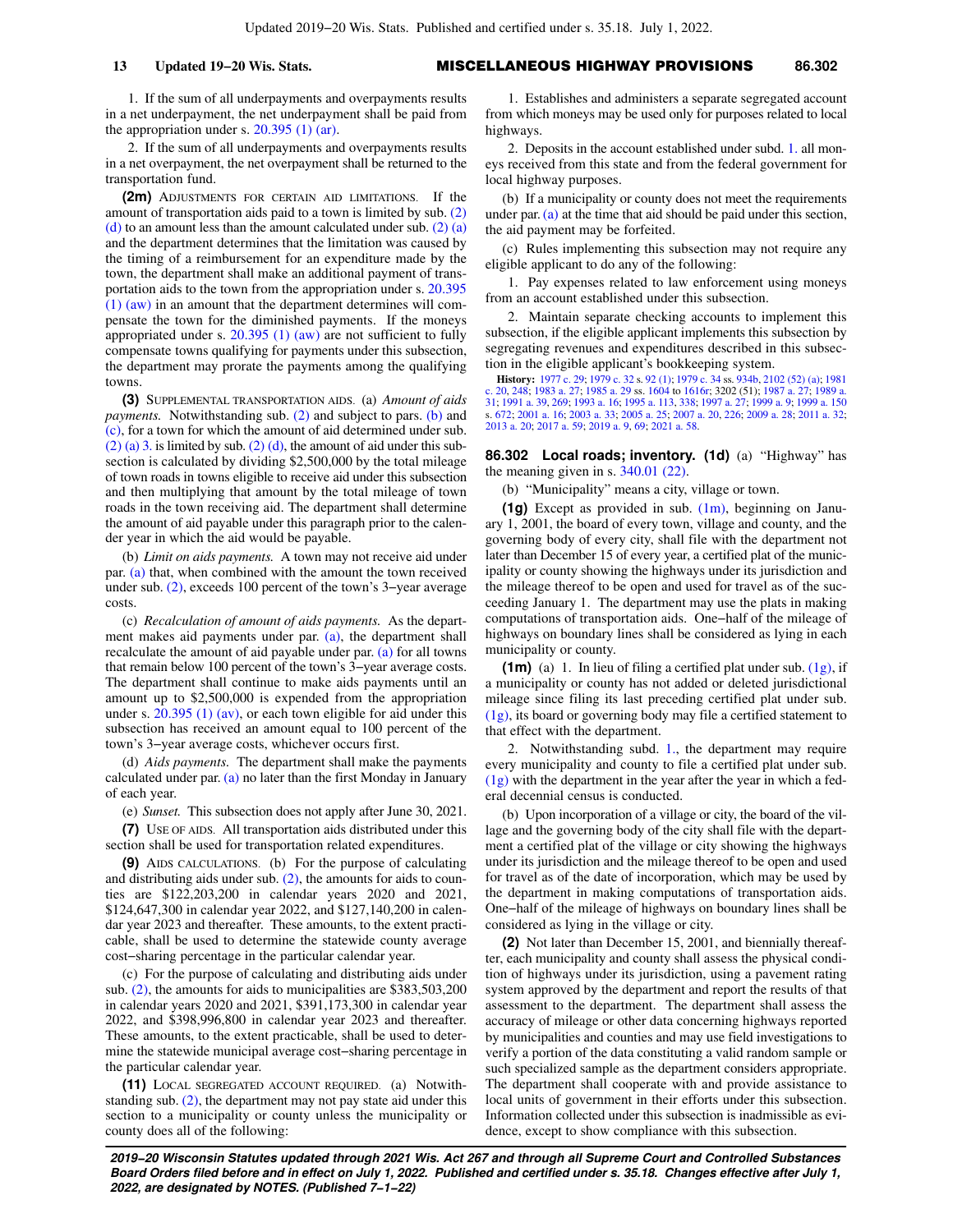**13 Updated 19−20 Wis. Stats.** MISCELLANEOUS HIGHWAY PROVISIONS **86.302**

1. If the sum of all underpayments and overpayments results in a net underpayment, the net underpayment shall be paid from the appropriation under s.  $20.395$  (1) (ar).

2. If the sum of all underpayments and overpayments results in a net overpayment, the net overpayment shall be returned to the transportation fund.

**(2m)** ADJUSTMENTS FOR CERTAIN AID LIMITATIONS. If the amount of transportation aids paid to a town is limited by sub. [\(2\)](https://docs.legis.wisconsin.gov/document/statutes/86.30(2)(d))  $(d)$  to an amount less than the amount calculated under sub.  $(2)$   $(a)$ and the department determines that the limitation was caused by the timing of a reimbursement for an expenditure made by the town, the department shall make an additional payment of transportation aids to the town from the appropriation under s. [20.395](https://docs.legis.wisconsin.gov/document/statutes/20.395(1)(aw)) [\(1\) \(aw\)](https://docs.legis.wisconsin.gov/document/statutes/20.395(1)(aw)) in an amount that the department determines will compensate the town for the diminished payments. If the moneys appropriated under s. [20.395 \(1\) \(aw\)](https://docs.legis.wisconsin.gov/document/statutes/20.395(1)(aw)) are not sufficient to fully compensate towns qualifying for payments under this subsection, the department may prorate the payments among the qualifying towns.

**(3)** SUPPLEMENTAL TRANSPORTATION AIDS. (a) *Amount of aids payments.* Notwithstanding sub. [\(2\)](https://docs.legis.wisconsin.gov/document/statutes/86.30(2)) and subject to pars. [\(b\)](https://docs.legis.wisconsin.gov/document/statutes/86.30(3)(b)) and [\(c\),](https://docs.legis.wisconsin.gov/document/statutes/86.30(3)(c)) for a town for which the amount of aid determined under sub.  $(2)$  (a) 3. is limited by sub.  $(2)$  (d), the amount of aid under this subsection is calculated by dividing \$2,500,000 by the total mileage of town roads in towns eligible to receive aid under this subsection and then multiplying that amount by the total mileage of town roads in the town receiving aid. The department shall determine the amount of aid payable under this paragraph prior to the calender year in which the aid would be payable.

(b) *Limit on aids payments.* A town may not receive aid under par. [\(a\)](https://docs.legis.wisconsin.gov/document/statutes/86.30(3)(a)) that, when combined with the amount the town received under sub. [\(2\),](https://docs.legis.wisconsin.gov/document/statutes/86.30(2)) exceeds 100 percent of the town's 3−year average costs.

(c) *Recalculation of amount of aids payments.* As the department makes aid payments under par. [\(a\),](https://docs.legis.wisconsin.gov/document/statutes/86.30(3)(a)) the department shall recalculate the amount of aid payable under par. [\(a\)](https://docs.legis.wisconsin.gov/document/statutes/86.30(3)(a)) for all towns that remain below 100 percent of the town's 3−year average costs. The department shall continue to make aids payments until an amount up to \$2,500,000 is expended from the appropriation under s. [20.395 \(1\) \(av\),](https://docs.legis.wisconsin.gov/document/statutes/20.395(1)(av)) or each town eligible for aid under this subsection has received an amount equal to 100 percent of the town's 3−year average costs, whichever occurs first.

(d) *Aids payments.* The department shall make the payments calculated under par.  $(a)$  no later than the first Monday in January of each year.

(e) *Sunset.* This subsection does not apply after June 30, 2021.

**(7)** USE OF AIDS. All transportation aids distributed under this section shall be used for transportation related expenditures.

**(9)** AIDS CALCULATIONS. (b) For the purpose of calculating and distributing aids under sub. [\(2\)](https://docs.legis.wisconsin.gov/document/statutes/86.30(2)), the amounts for aids to counties are \$122,203,200 in calendar years 2020 and 2021, \$124,647,300 in calendar year 2022, and \$127,140,200 in calendar year 2023 and thereafter. These amounts, to the extent practicable, shall be used to determine the statewide county average cost−sharing percentage in the particular calendar year.

(c) For the purpose of calculating and distributing aids under sub. [\(2\)](https://docs.legis.wisconsin.gov/document/statutes/86.30(2)), the amounts for aids to municipalities are \$383,503,200 in calendar years 2020 and 2021, \$391,173,300 in calendar year 2022, and \$398,996,800 in calendar year 2023 and thereafter. These amounts, to the extent practicable, shall be used to determine the statewide municipal average cost−sharing percentage in the particular calendar year.

**(11)** LOCAL SEGREGATED ACCOUNT REQUIRED. (a) Notwithstanding sub.  $(2)$ , the department may not pay state aid under this section to a municipality or county unless the municipality or county does all of the following:

1. Establishes and administers a separate segregated account from which moneys may be used only for purposes related to local highways.

2. Deposits in the account established under subd. [1.](https://docs.legis.wisconsin.gov/document/statutes/86.30(11)(a)1.) all moneys received from this state and from the federal government for local highway purposes.

(b) If a municipality or county does not meet the requirements under par. [\(a\)](https://docs.legis.wisconsin.gov/document/statutes/86.30(11)(a)) at the time that aid should be paid under this section, the aid payment may be forfeited.

(c) Rules implementing this subsection may not require any eligible applicant to do any of the following:

1. Pay expenses related to law enforcement using moneys from an account established under this subsection.

2. Maintain separate checking accounts to implement this subsection, if the eligible applicant implements this subsection by segregating revenues and expenditures described in this subsection in the eligible applicant's bookkeeping system.

**History:** [1977 c. 29](https://docs.legis.wisconsin.gov/document/acts/1977/29); [1979 c. 32](https://docs.legis.wisconsin.gov/document/acts/1979/32) s. [92 \(1\)](https://docs.legis.wisconsin.gov/document/acts/1979/32,%20s.%2092); [1979 c. 34](https://docs.legis.wisconsin.gov/document/acts/1979/34) ss. [934b](https://docs.legis.wisconsin.gov/document/acts/1979/34,%20s.%20934b), [2102 \(52\) \(a\);](https://docs.legis.wisconsin.gov/document/acts/1979/34,%20s.%202102) [1981](https://docs.legis.wisconsin.gov/document/acts/1981/20) [c. 20,](https://docs.legis.wisconsin.gov/document/acts/1981/20) [248;](https://docs.legis.wisconsin.gov/document/acts/1981/248) [1983 a. 27;](https://docs.legis.wisconsin.gov/document/acts/1983/27) [1985 a. 29](https://docs.legis.wisconsin.gov/document/acts/1985/29) ss. [1604](https://docs.legis.wisconsin.gov/document/acts/1985/29,%20s.%201604) to [1616r;](https://docs.legis.wisconsin.gov/document/acts/1985/29,%20s.%201616r) 3202 (51); [1987 a. 27;](https://docs.legis.wisconsin.gov/document/acts/1987/27) [1989 a.](https://docs.legis.wisconsin.gov/document/acts/1989/31) [31](https://docs.legis.wisconsin.gov/document/acts/1989/31); [1991 a. 39](https://docs.legis.wisconsin.gov/document/acts/1991/39), [269](https://docs.legis.wisconsin.gov/document/acts/1991/269); [1993 a. 16;](https://docs.legis.wisconsin.gov/document/acts/1993/16) [1995 a. 113](https://docs.legis.wisconsin.gov/document/acts/1995/113), [338](https://docs.legis.wisconsin.gov/document/acts/1995/338); [1997 a. 27](https://docs.legis.wisconsin.gov/document/acts/1997/27); [1999 a. 9](https://docs.legis.wisconsin.gov/document/acts/1999/9); [1999 a. 150](https://docs.legis.wisconsin.gov/document/acts/1999/150) s. [672;](https://docs.legis.wisconsin.gov/document/acts/1999/150,%20s.%20672) [2001 a. 16](https://docs.legis.wisconsin.gov/document/acts/2001/16); [2003 a. 33](https://docs.legis.wisconsin.gov/document/acts/2003/33); [2005 a. 25;](https://docs.legis.wisconsin.gov/document/acts/2005/25) [2007 a. 20](https://docs.legis.wisconsin.gov/document/acts/2007/20), [226](https://docs.legis.wisconsin.gov/document/acts/2007/226); [2009 a. 28](https://docs.legis.wisconsin.gov/document/acts/2009/28); [2011 a. 32](https://docs.legis.wisconsin.gov/document/acts/2011/32); [2013 a. 20](https://docs.legis.wisconsin.gov/document/acts/2013/20); [2017 a. 59;](https://docs.legis.wisconsin.gov/document/acts/2017/59) [2019 a. 9](https://docs.legis.wisconsin.gov/document/acts/2019/9), [69;](https://docs.legis.wisconsin.gov/document/acts/2019/69) [2021 a. 58.](https://docs.legis.wisconsin.gov/document/acts/2021/58)

**86.302 Local roads; inventory. (1d)** (a) "Highway" has the meaning given in s. [340.01 \(22\).](https://docs.legis.wisconsin.gov/document/statutes/340.01(22))

(b) "Municipality" means a city, village or town.

**(1g)** Except as provided in sub. [\(1m\)](https://docs.legis.wisconsin.gov/document/statutes/86.302(1m)), beginning on January 1, 2001, the board of every town, village and county, and the governing body of every city, shall file with the department not later than December 15 of every year, a certified plat of the municipality or county showing the highways under its jurisdiction and the mileage thereof to be open and used for travel as of the succeeding January 1. The department may use the plats in making computations of transportation aids. One−half of the mileage of highways on boundary lines shall be considered as lying in each municipality or county.

**(1m)** (a) 1. In lieu of filing a certified plat under sub. [\(1g\),](https://docs.legis.wisconsin.gov/document/statutes/86.302(1g)) if a municipality or county has not added or deleted jurisdictional mileage since filing its last preceding certified plat under sub. [\(1g\)](https://docs.legis.wisconsin.gov/document/statutes/86.302(1g)), its board or governing body may file a certified statement to that effect with the department.

2. Notwithstanding subd. [1.](https://docs.legis.wisconsin.gov/document/statutes/86.302(1m)(a)1.), the department may require every municipality and county to file a certified plat under sub. [\(1g\)](https://docs.legis.wisconsin.gov/document/statutes/86.302(1g)) with the department in the year after the year in which a federal decennial census is conducted.

(b) Upon incorporation of a village or city, the board of the village and the governing body of the city shall file with the department a certified plat of the village or city showing the highways under its jurisdiction and the mileage thereof to be open and used for travel as of the date of incorporation, which may be used by the department in making computations of transportation aids. One−half of the mileage of highways on boundary lines shall be considered as lying in the village or city.

**(2)** Not later than December 15, 2001, and biennially thereafter, each municipality and county shall assess the physical condition of highways under its jurisdiction, using a pavement rating system approved by the department and report the results of that assessment to the department. The department shall assess the accuracy of mileage or other data concerning highways reported by municipalities and counties and may use field investigations to verify a portion of the data constituting a valid random sample or such specialized sample as the department considers appropriate. The department shall cooperate with and provide assistance to local units of government in their efforts under this subsection. Information collected under this subsection is inadmissible as evidence, except to show compliance with this subsection.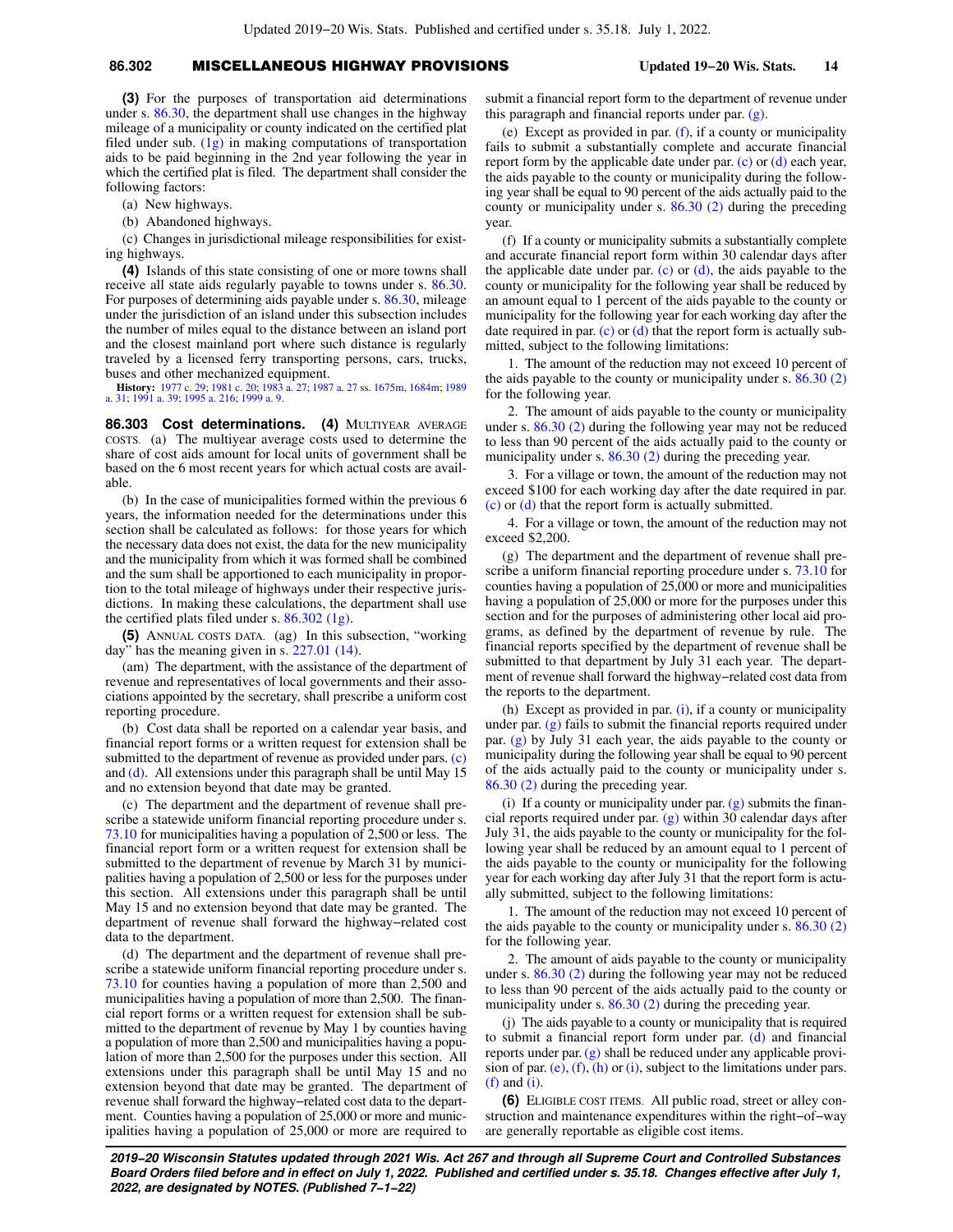## **86.302** MISCELLANEOUS HIGHWAY PROVISIONS **Updated 19−20 Wis. Stats. 14**

**(3)** For the purposes of transportation aid determinations under s. [86.30](https://docs.legis.wisconsin.gov/document/statutes/86.30), the department shall use changes in the highway mileage of a municipality or county indicated on the certified plat filed under sub.  $(1g)$  in making computations of transportation aids to be paid beginning in the 2nd year following the year in which the certified plat is filed. The department shall consider the following factors:

- (a) New highways.
- (b) Abandoned highways.

(c) Changes in jurisdictional mileage responsibilities for existing highways.

**(4)** Islands of this state consisting of one or more towns shall receive all state aids regularly payable to towns under s. [86.30.](https://docs.legis.wisconsin.gov/document/statutes/86.30) For purposes of determining aids payable under s. [86.30](https://docs.legis.wisconsin.gov/document/statutes/86.30), mileage under the jurisdiction of an island under this subsection includes the number of miles equal to the distance between an island port and the closest mainland port where such distance is regularly traveled by a licensed ferry transporting persons, cars, trucks, buses and other mechanized equipment.

**History:** [1977 c. 29](https://docs.legis.wisconsin.gov/document/acts/1977/29); [1981 c. 20;](https://docs.legis.wisconsin.gov/document/acts/1981/20) [1983 a. 27](https://docs.legis.wisconsin.gov/document/acts/1983/27); [1987 a. 27](https://docs.legis.wisconsin.gov/document/acts/1987/27) ss. [1675m,](https://docs.legis.wisconsin.gov/document/acts/1987/27,%20s.%201675m) [1684m;](https://docs.legis.wisconsin.gov/document/acts/1987/27,%20s.%201684m) [1989](https://docs.legis.wisconsin.gov/document/acts/1989/31) [a. 31](https://docs.legis.wisconsin.gov/document/acts/1989/31); [1991 a. 39;](https://docs.legis.wisconsin.gov/document/acts/1991/39) [1995 a. 216](https://docs.legis.wisconsin.gov/document/acts/1995/216); [1999 a. 9.](https://docs.legis.wisconsin.gov/document/acts/1999/9)

**86.303 Cost determinations. (4)** MULTIYEAR AVERAGE COSTS. (a) The multiyear average costs used to determine the share of cost aids amount for local units of government shall be based on the 6 most recent years for which actual costs are available.

(b) In the case of municipalities formed within the previous 6 years, the information needed for the determinations under this section shall be calculated as follows: for those years for which the necessary data does not exist, the data for the new municipality and the municipality from which it was formed shall be combined and the sum shall be apportioned to each municipality in proportion to the total mileage of highways under their respective jurisdictions. In making these calculations, the department shall use the certified plats filed under s. [86.302 \(1g\).](https://docs.legis.wisconsin.gov/document/statutes/86.302(1g))

**(5)** ANNUAL COSTS DATA. (ag) In this subsection, "working day" has the meaning given in s. [227.01 \(14\)](https://docs.legis.wisconsin.gov/document/statutes/227.01(14)).

(am) The department, with the assistance of the department of revenue and representatives of local governments and their associations appointed by the secretary, shall prescribe a uniform cost reporting procedure.

(b) Cost data shall be reported on a calendar year basis, and financial report forms or a written request for extension shall be submitted to the department of revenue as provided under pars. [\(c\)](https://docs.legis.wisconsin.gov/document/statutes/86.303(5)(c)) and [\(d\).](https://docs.legis.wisconsin.gov/document/statutes/86.303(5)(d)) All extensions under this paragraph shall be until May 15 and no extension beyond that date may be granted.

(c) The department and the department of revenue shall prescribe a statewide uniform financial reporting procedure under s. [73.10](https://docs.legis.wisconsin.gov/document/statutes/73.10) for municipalities having a population of 2,500 or less. The financial report form or a written request for extension shall be submitted to the department of revenue by March 31 by municipalities having a population of 2,500 or less for the purposes under this section. All extensions under this paragraph shall be until May 15 and no extension beyond that date may be granted. The department of revenue shall forward the highway−related cost data to the department.

(d) The department and the department of revenue shall prescribe a statewide uniform financial reporting procedure under s. [73.10](https://docs.legis.wisconsin.gov/document/statutes/73.10) for counties having a population of more than 2,500 and municipalities having a population of more than 2,500. The financial report forms or a written request for extension shall be submitted to the department of revenue by May 1 by counties having a population of more than 2,500 and municipalities having a population of more than 2,500 for the purposes under this section. All extensions under this paragraph shall be until May 15 and no extension beyond that date may be granted. The department of revenue shall forward the highway−related cost data to the department. Counties having a population of 25,000 or more and municipalities having a population of 25,000 or more are required to submit a financial report form to the department of revenue under this paragraph and financial reports under par. [\(g\)](https://docs.legis.wisconsin.gov/document/statutes/86.303(5)(g)).

(e) Except as provided in par. [\(f\)](https://docs.legis.wisconsin.gov/document/statutes/86.303(5)(f)), if a county or municipality fails to submit a substantially complete and accurate financial report form by the applicable date under par. [\(c\)](https://docs.legis.wisconsin.gov/document/statutes/86.303(5)(c)) or [\(d\)](https://docs.legis.wisconsin.gov/document/statutes/86.303(5)(d)) each year, the aids payable to the county or municipality during the following year shall be equal to 90 percent of the aids actually paid to the county or municipality under s. [86.30 \(2\)](https://docs.legis.wisconsin.gov/document/statutes/86.30(2)) during the preceding year.

(f) If a county or municipality submits a substantially complete and accurate financial report form within 30 calendar days after the applicable date under par.  $(c)$  or  $(d)$ , the aids payable to the county or municipality for the following year shall be reduced by an amount equal to 1 percent of the aids payable to the county or municipality for the following year for each working day after the date required in par. [\(c\)](https://docs.legis.wisconsin.gov/document/statutes/86.303(5)(c)) or  $(d)$  that the report form is actually submitted, subject to the following limitations:

1. The amount of the reduction may not exceed 10 percent of the aids payable to the county or municipality under s. [86.30 \(2\)](https://docs.legis.wisconsin.gov/document/statutes/86.30(2)) for the following year.

2. The amount of aids payable to the county or municipality under s. [86.30 \(2\)](https://docs.legis.wisconsin.gov/document/statutes/86.30(2)) during the following year may not be reduced to less than 90 percent of the aids actually paid to the county or municipality under s. [86.30 \(2\)](https://docs.legis.wisconsin.gov/document/statutes/86.30(2)) during the preceding year.

3. For a village or town, the amount of the reduction may not exceed \$100 for each working day after the date required in par. [\(c\)](https://docs.legis.wisconsin.gov/document/statutes/86.303(5)(c)) or [\(d\)](https://docs.legis.wisconsin.gov/document/statutes/86.303(5)(d)) that the report form is actually submitted.

4. For a village or town, the amount of the reduction may not exceed \$2,200.

(g) The department and the department of revenue shall prescribe a uniform financial reporting procedure under s. [73.10](https://docs.legis.wisconsin.gov/document/statutes/73.10) for counties having a population of 25,000 or more and municipalities having a population of 25,000 or more for the purposes under this section and for the purposes of administering other local aid programs, as defined by the department of revenue by rule. The financial reports specified by the department of revenue shall be submitted to that department by July 31 each year. The department of revenue shall forward the highway−related cost data from the reports to the department.

(h) Except as provided in par.  $(i)$ , if a county or municipality under par. [\(g\)](https://docs.legis.wisconsin.gov/document/statutes/86.303(5)(g)) fails to submit the financial reports required under par. [\(g\)](https://docs.legis.wisconsin.gov/document/statutes/86.303(5)(g)) by July 31 each year, the aids payable to the county or municipality during the following year shall be equal to 90 percent of the aids actually paid to the county or municipality under s. [86.30 \(2\)](https://docs.legis.wisconsin.gov/document/statutes/86.30(2)) during the preceding year.

(i) If a county or municipality under par.  $(g)$  submits the financial reports required under par. [\(g\)](https://docs.legis.wisconsin.gov/document/statutes/86.303(5)(g)) within 30 calendar days after July 31, the aids payable to the county or municipality for the following year shall be reduced by an amount equal to 1 percent of the aids payable to the county or municipality for the following year for each working day after July 31 that the report form is actually submitted, subject to the following limitations:

1. The amount of the reduction may not exceed 10 percent of the aids payable to the county or municipality under s. [86.30 \(2\)](https://docs.legis.wisconsin.gov/document/statutes/86.30(2)) for the following year.

2. The amount of aids payable to the county or municipality under s. [86.30 \(2\)](https://docs.legis.wisconsin.gov/document/statutes/86.30(2)) during the following year may not be reduced to less than 90 percent of the aids actually paid to the county or municipality under s. [86.30 \(2\)](https://docs.legis.wisconsin.gov/document/statutes/86.30(2)) during the preceding year.

(j) The aids payable to a county or municipality that is required to submit a financial report form under par. [\(d\)](https://docs.legis.wisconsin.gov/document/statutes/86.303(5)(d)) and financial reports under par. [\(g\)](https://docs.legis.wisconsin.gov/document/statutes/86.303(5)(g)) shall be reduced under any applicable provi-sion of par. [\(e\)](https://docs.legis.wisconsin.gov/document/statutes/86.303(5)(e)),  $(f)$ ,  $(h)$  or  $(i)$ , subject to the limitations under pars.  $(f)$  and  $(i)$ .

**(6)** ELIGIBLE COST ITEMS. All public road, street or alley construction and maintenance expenditures within the right−of−way are generally reportable as eligible cost items.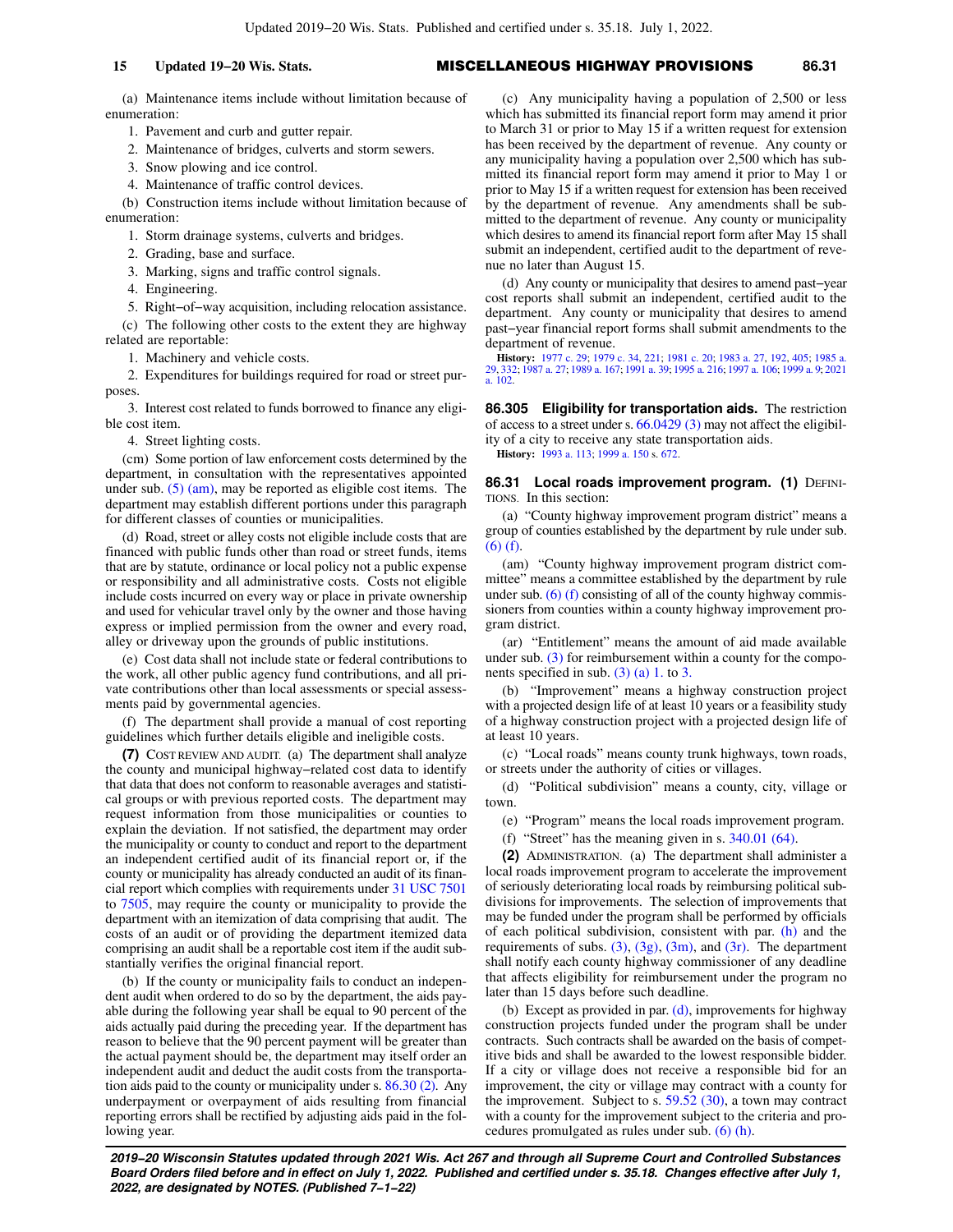## **15 Updated 19−20 Wis. Stats.** MISCELLANEOUS HIGHWAY PROVISIONS **86.31**

(a) Maintenance items include without limitation because of enumeration:

1. Pavement and curb and gutter repair.

2. Maintenance of bridges, culverts and storm sewers.

3. Snow plowing and ice control.

4. Maintenance of traffic control devices.

(b) Construction items include without limitation because of enumeration:

1. Storm drainage systems, culverts and bridges.

2. Grading, base and surface.

3. Marking, signs and traffic control signals.

4. Engineering.

5. Right−of−way acquisition, including relocation assistance. (c) The following other costs to the extent they are highway

related are reportable:

1. Machinery and vehicle costs.

2. Expenditures for buildings required for road or street purposes.

3. Interest cost related to funds borrowed to finance any eligible cost item.

4. Street lighting costs.

(cm) Some portion of law enforcement costs determined by the department, in consultation with the representatives appointed under sub.  $(5)$  (am), may be reported as eligible cost items. The department may establish different portions under this paragraph for different classes of counties or municipalities.

(d) Road, street or alley costs not eligible include costs that are financed with public funds other than road or street funds, items that are by statute, ordinance or local policy not a public expense or responsibility and all administrative costs. Costs not eligible include costs incurred on every way or place in private ownership and used for vehicular travel only by the owner and those having express or implied permission from the owner and every road, alley or driveway upon the grounds of public institutions.

(e) Cost data shall not include state or federal contributions to the work, all other public agency fund contributions, and all private contributions other than local assessments or special assessments paid by governmental agencies.

(f) The department shall provide a manual of cost reporting guidelines which further details eligible and ineligible costs.

**(7)** COST REVIEW AND AUDIT. (a) The department shall analyze the county and municipal highway−related cost data to identify that data that does not conform to reasonable averages and statistical groups or with previous reported costs. The department may request information from those municipalities or counties to explain the deviation. If not satisfied, the department may order the municipality or county to conduct and report to the department an independent certified audit of its financial report or, if the county or municipality has already conducted an audit of its financial report which complies with requirements under [31 USC 7501](https://docs.legis.wisconsin.gov/document/usc/31%20USC%207501) to [7505,](https://docs.legis.wisconsin.gov/document/usc/31%20USC%207505) may require the county or municipality to provide the department with an itemization of data comprising that audit. The costs of an audit or of providing the department itemized data comprising an audit shall be a reportable cost item if the audit substantially verifies the original financial report.

(b) If the county or municipality fails to conduct an independent audit when ordered to do so by the department, the aids payable during the following year shall be equal to 90 percent of the aids actually paid during the preceding year. If the department has reason to believe that the 90 percent payment will be greater than the actual payment should be, the department may itself order an independent audit and deduct the audit costs from the transportation aids paid to the county or municipality under s. [86.30 \(2\).](https://docs.legis.wisconsin.gov/document/statutes/86.30(2)) Any underpayment or overpayment of aids resulting from financial reporting errors shall be rectified by adjusting aids paid in the following year.

(c) Any municipality having a population of 2,500 or less which has submitted its financial report form may amend it prior to March 31 or prior to May 15 if a written request for extension has been received by the department of revenue. Any county or any municipality having a population over 2,500 which has submitted its financial report form may amend it prior to May 1 or prior to May 15 if a written request for extension has been received by the department of revenue. Any amendments shall be submitted to the department of revenue. Any county or municipality which desires to amend its financial report form after May 15 shall submit an independent, certified audit to the department of revenue no later than August 15.

(d) Any county or municipality that desires to amend past−year cost reports shall submit an independent, certified audit to the department. Any county or municipality that desires to amend past−year financial report forms shall submit amendments to the department of revenue.

**History:** [1977 c. 29](https://docs.legis.wisconsin.gov/document/acts/1977/29); [1979 c. 34,](https://docs.legis.wisconsin.gov/document/acts/1979/34) [221;](https://docs.legis.wisconsin.gov/document/acts/1979/221) [1981 c. 20](https://docs.legis.wisconsin.gov/document/acts/1981/20); [1983 a. 27](https://docs.legis.wisconsin.gov/document/acts/1983/27), [192,](https://docs.legis.wisconsin.gov/document/acts/1983/192) [405;](https://docs.legis.wisconsin.gov/document/acts/1983/405) [1985 a.](https://docs.legis.wisconsin.gov/document/acts/1985/29) [29](https://docs.legis.wisconsin.gov/document/acts/1985/29), [332](https://docs.legis.wisconsin.gov/document/acts/1985/332); [1987 a. 27;](https://docs.legis.wisconsin.gov/document/acts/1987/27) [1989 a. 167;](https://docs.legis.wisconsin.gov/document/acts/1989/167) [1991 a. 39;](https://docs.legis.wisconsin.gov/document/acts/1991/39) [1995 a. 216;](https://docs.legis.wisconsin.gov/document/acts/1995/216) [1997 a. 106](https://docs.legis.wisconsin.gov/document/acts/1997/106); [1999 a. 9](https://docs.legis.wisconsin.gov/document/acts/1999/9); [2021](https://docs.legis.wisconsin.gov/document/acts/2021/102) [a. 102](https://docs.legis.wisconsin.gov/document/acts/2021/102).

**86.305 Eligibility for transportation aids.** The restriction of access to a street under s. [66.0429 \(3\)](https://docs.legis.wisconsin.gov/document/statutes/66.0429(3)) may not affect the eligibility of a city to receive any state transportation aids. **History:** [1993 a. 113](https://docs.legis.wisconsin.gov/document/acts/1993/113); [1999 a. 150](https://docs.legis.wisconsin.gov/document/acts/1999/150) s. [672.](https://docs.legis.wisconsin.gov/document/acts/1999/150,%20s.%20672)

**86.31 Local roads improvement program. (1) DEFINI-**TIONS. In this section:

(a) "County highway improvement program district" means a group of counties established by the department by rule under sub. [\(6\) \(f\).](https://docs.legis.wisconsin.gov/document/statutes/86.31(6)(f))

(am) "County highway improvement program district committee" means a committee established by the department by rule under sub.  $(6)$  (f) consisting of all of the county highway commissioners from counties within a county highway improvement program district.

(ar) "Entitlement" means the amount of aid made available under sub. [\(3\)](https://docs.legis.wisconsin.gov/document/statutes/86.31(3)) for reimbursement within a county for the components specified in sub. [\(3\) \(a\) 1.](https://docs.legis.wisconsin.gov/document/statutes/86.31(3)(a)1.) to [3.](https://docs.legis.wisconsin.gov/document/statutes/86.31(3)(a)3.)

(b) "Improvement" means a highway construction project with a projected design life of at least 10 years or a feasibility study of a highway construction project with a projected design life of at least 10 years.

(c) "Local roads" means county trunk highways, town roads, or streets under the authority of cities or villages.

(d) "Political subdivision" means a county, city, village or town.

(e) "Program" means the local roads improvement program.

(f) "Street" has the meaning given in s. [340.01 \(64\).](https://docs.legis.wisconsin.gov/document/statutes/340.01(64))

**(2)** ADMINISTRATION. (a) The department shall administer a local roads improvement program to accelerate the improvement of seriously deteriorating local roads by reimbursing political subdivisions for improvements. The selection of improvements that may be funded under the program shall be performed by officials of each political subdivision, consistent with par. [\(h\)](https://docs.legis.wisconsin.gov/document/statutes/86.31(2)(h)) and the requirements of subs.  $(3)$ ,  $(3g)$ ,  $(3m)$ , and  $(3r)$ . The department shall notify each county highway commissioner of any deadline that affects eligibility for reimbursement under the program no later than 15 days before such deadline.

(b) Except as provided in par. [\(d\),](https://docs.legis.wisconsin.gov/document/statutes/86.31(2)(d)) improvements for highway construction projects funded under the program shall be under contracts. Such contracts shall be awarded on the basis of competitive bids and shall be awarded to the lowest responsible bidder. If a city or village does not receive a responsible bid for an improvement, the city or village may contract with a county for the improvement. Subject to s. [59.52 \(30\),](https://docs.legis.wisconsin.gov/document/statutes/59.52(30)) a town may contract with a county for the improvement subject to the criteria and procedures promulgated as rules under sub. [\(6\) \(h\).](https://docs.legis.wisconsin.gov/document/statutes/86.31(6)(h))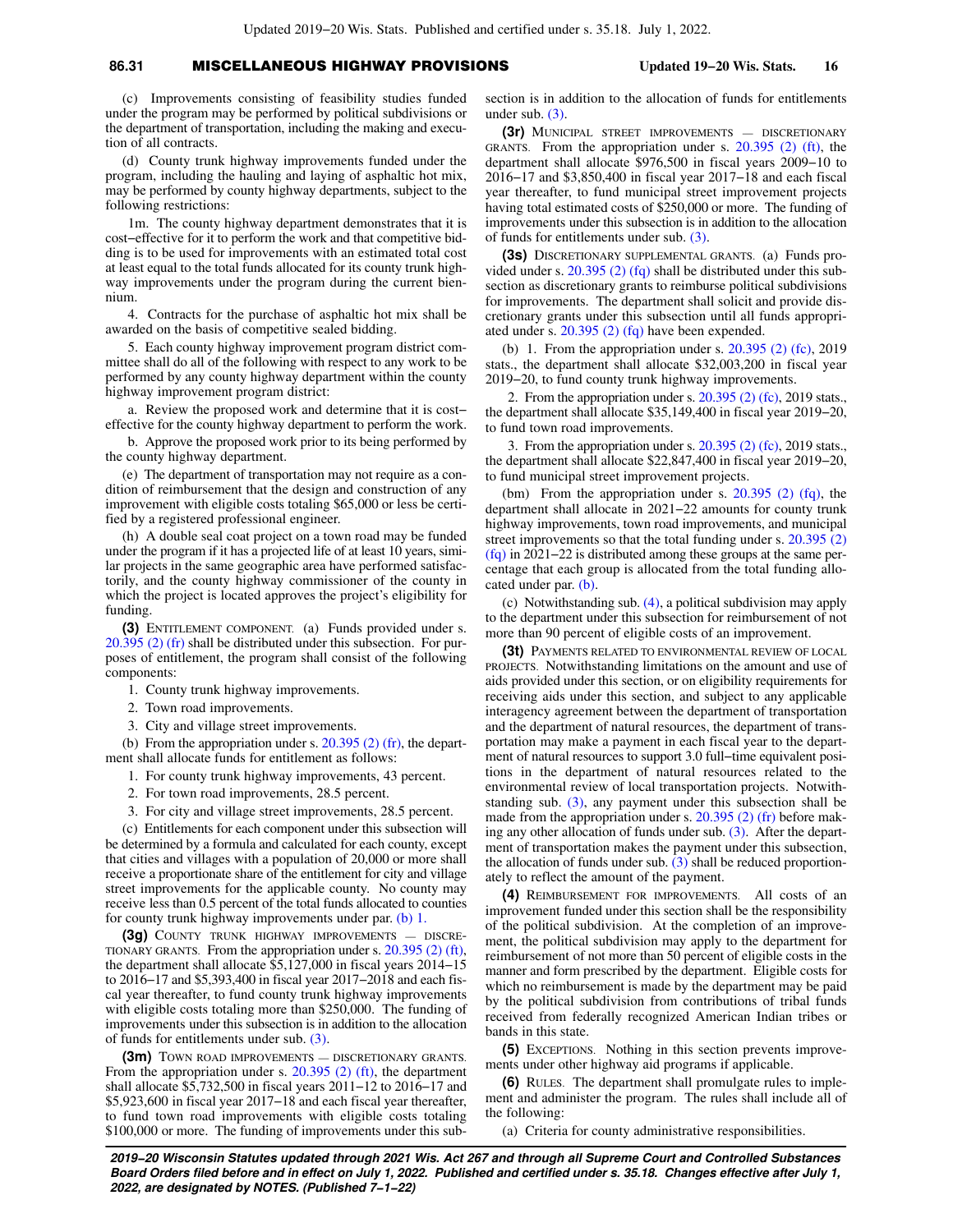## **86.31** MISCELLANEOUS HIGHWAY PROVISIONS **Updated 19−20 Wis. Stats. 16**

(c) Improvements consisting of feasibility studies funded under the program may be performed by political subdivisions or the department of transportation, including the making and execution of all contracts.

(d) County trunk highway improvements funded under the program, including the hauling and laying of asphaltic hot mix, may be performed by county highway departments, subject to the following restrictions:

1m. The county highway department demonstrates that it is cost−effective for it to perform the work and that competitive bidding is to be used for improvements with an estimated total cost at least equal to the total funds allocated for its county trunk highway improvements under the program during the current biennium.

4. Contracts for the purchase of asphaltic hot mix shall be awarded on the basis of competitive sealed bidding.

5. Each county highway improvement program district committee shall do all of the following with respect to any work to be performed by any county highway department within the county highway improvement program district:

a. Review the proposed work and determine that it is cost− effective for the county highway department to perform the work.

b. Approve the proposed work prior to its being performed by the county highway department.

(e) The department of transportation may not require as a condition of reimbursement that the design and construction of any improvement with eligible costs totaling \$65,000 or less be certified by a registered professional engineer.

(h) A double seal coat project on a town road may be funded under the program if it has a projected life of at least 10 years, similar projects in the same geographic area have performed satisfactorily, and the county highway commissioner of the county in which the project is located approves the project's eligibility for funding.

**(3)** ENTITLEMENT COMPONENT. (a) Funds provided under s. [20.395 \(2\) \(fr\)](https://docs.legis.wisconsin.gov/document/statutes/20.395(2)(fr)) shall be distributed under this subsection. For purposes of entitlement, the program shall consist of the following components:

1. County trunk highway improvements.

2. Town road improvements.

3. City and village street improvements.

(b) From the appropriation under s.  $20.395$  (2) (fr), the department shall allocate funds for entitlement as follows:

1. For county trunk highway improvements, 43 percent.

2. For town road improvements, 28.5 percent.

3. For city and village street improvements, 28.5 percent.

(c) Entitlements for each component under this subsection will be determined by a formula and calculated for each county, except that cities and villages with a population of 20,000 or more shall receive a proportionate share of the entitlement for city and village street improvements for the applicable county. No county may receive less than 0.5 percent of the total funds allocated to counties for county trunk highway improvements under par. [\(b\) 1.](https://docs.legis.wisconsin.gov/document/statutes/86.31(3)(b)1.)

**(3g)** COUNTY TRUNK HIGHWAY IMPROVEMENTS — DISCRE-TIONARY GRANTS. From the appropriation under s. [20.395 \(2\) \(ft\),](https://docs.legis.wisconsin.gov/document/statutes/20.395(2)(ft)) the department shall allocate \$5,127,000 in fiscal years 2014−15 to 2016−17 and \$5,393,400 in fiscal year 2017−2018 and each fiscal year thereafter, to fund county trunk highway improvements with eligible costs totaling more than \$250,000. The funding of improvements under this subsection is in addition to the allocation of funds for entitlements under sub. [\(3\).](https://docs.legis.wisconsin.gov/document/statutes/86.31(3))

**(3m)** TOWN ROAD IMPROVEMENTS — DISCRETIONARY GRANTS. From the appropriation under s. [20.395 \(2\) \(ft\)](https://docs.legis.wisconsin.gov/document/statutes/20.395(2)(ft)), the department shall allocate \$5,732,500 in fiscal years 2011−12 to 2016−17 and \$5,923,600 in fiscal year 2017−18 and each fiscal year thereafter, to fund town road improvements with eligible costs totaling \$100,000 or more. The funding of improvements under this subsection is in addition to the allocation of funds for entitlements under sub. [\(3\).](https://docs.legis.wisconsin.gov/document/statutes/86.31(3))

**(3r)** MUNICIPAL STREET IMPROVEMENTS — DISCRETIONARY GRANTS. From the appropriation under s. [20.395 \(2\) \(ft\)](https://docs.legis.wisconsin.gov/document/statutes/20.395(2)(ft)), the department shall allocate \$976,500 in fiscal years 2009−10 to 2016−17 and \$3,850,400 in fiscal year 2017−18 and each fiscal year thereafter, to fund municipal street improvement projects having total estimated costs of \$250,000 or more. The funding of improvements under this subsection is in addition to the allocation of funds for entitlements under sub. [\(3\).](https://docs.legis.wisconsin.gov/document/statutes/86.31(3))

**(3s)** DISCRETIONARY SUPPLEMENTAL GRANTS. (a) Funds provided under s. [20.395 \(2\) \(fq\)](https://docs.legis.wisconsin.gov/document/statutes/20.395(2)(fq)) shall be distributed under this subsection as discretionary grants to reimburse political subdivisions for improvements. The department shall solicit and provide discretionary grants under this subsection until all funds appropriated under s. [20.395 \(2\) \(fq\)](https://docs.legis.wisconsin.gov/document/statutes/20.395(2)(fq)) have been expended.

(b) 1. From the appropriation under s. [20.395 \(2\) \(fc\)](https://docs.legis.wisconsin.gov/document/statutes/2019/20.395(2)(fc)), 2019 stats., the department shall allocate \$32,003,200 in fiscal year 2019−20, to fund county trunk highway improvements.

2. From the appropriation under s. [20.395 \(2\) \(fc\)](https://docs.legis.wisconsin.gov/document/statutes/2019/20.395(2)(fc)), 2019 stats., the department shall allocate \$35,149,400 in fiscal year 2019−20, to fund town road improvements.

3. From the appropriation under s. [20.395 \(2\) \(fc\)](https://docs.legis.wisconsin.gov/document/statutes/2019/20.395(2)(fc)), 2019 stats., the department shall allocate \$22,847,400 in fiscal year 2019−20, to fund municipal street improvement projects.

(bm) From the appropriation under s.  $20.395$  (2) (fq), the department shall allocate in 2021−22 amounts for county trunk highway improvements, town road improvements, and municipal street improvements so that the total funding under s. [20.395 \(2\)](https://docs.legis.wisconsin.gov/document/statutes/20.395(2)(fq)) [\(fq\)](https://docs.legis.wisconsin.gov/document/statutes/20.395(2)(fq)) in 2021−22 is distributed among these groups at the same percentage that each group is allocated from the total funding allocated under par. [\(b\)](https://docs.legis.wisconsin.gov/document/statutes/86.31(3s)(b)).

(c) Notwithstanding sub. [\(4\)](https://docs.legis.wisconsin.gov/document/statutes/86.31(4)), a political subdivision may apply to the department under this subsection for reimbursement of not more than 90 percent of eligible costs of an improvement.

**(3t)** PAYMENTS RELATED TO ENVIRONMENTAL REVIEW OF LOCAL PROJECTS. Notwithstanding limitations on the amount and use of aids provided under this section, or on eligibility requirements for receiving aids under this section, and subject to any applicable interagency agreement between the department of transportation and the department of natural resources, the department of transportation may make a payment in each fiscal year to the department of natural resources to support 3.0 full−time equivalent positions in the department of natural resources related to the environmental review of local transportation projects. Notwithstanding sub. [\(3\)](https://docs.legis.wisconsin.gov/document/statutes/86.31(3)), any payment under this subsection shall be made from the appropriation under s. [20.395 \(2\) \(fr\)](https://docs.legis.wisconsin.gov/document/statutes/20.395(2)(fr)) before making any other allocation of funds under sub.  $(3)$ . After the department of transportation makes the payment under this subsection, the allocation of funds under sub. [\(3\)](https://docs.legis.wisconsin.gov/document/statutes/86.31(3)) shall be reduced proportionately to reflect the amount of the payment.

**(4)** REIMBURSEMENT FOR IMPROVEMENTS. All costs of an improvement funded under this section shall be the responsibility of the political subdivision. At the completion of an improvement, the political subdivision may apply to the department for reimbursement of not more than 50 percent of eligible costs in the manner and form prescribed by the department. Eligible costs for which no reimbursement is made by the department may be paid by the political subdivision from contributions of tribal funds received from federally recognized American Indian tribes or bands in this state.

**(5)** EXCEPTIONS. Nothing in this section prevents improvements under other highway aid programs if applicable.

**(6)** RULES. The department shall promulgate rules to implement and administer the program. The rules shall include all of the following:

(a) Criteria for county administrative responsibilities.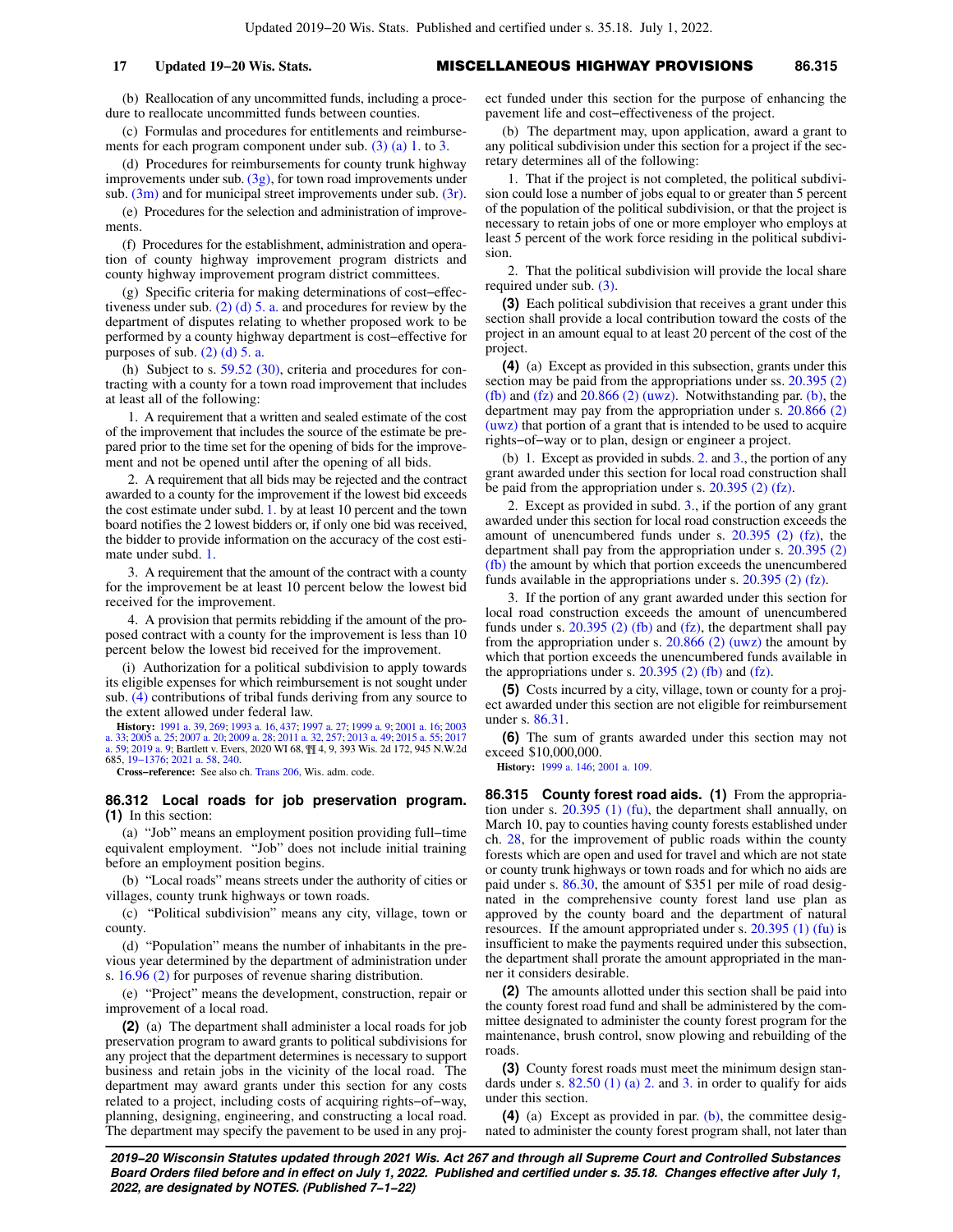(b) Reallocation of any uncommitted funds, including a procedure to reallocate uncommitted funds between counties.

(c) Formulas and procedures for entitlements and reimbursements for each program component under sub. [\(3\) \(a\) 1.](https://docs.legis.wisconsin.gov/document/statutes/86.31(3)(a)1.) to [3.](https://docs.legis.wisconsin.gov/document/statutes/86.31(3)(a)3.)

(d) Procedures for reimbursements for county trunk highway improvements under sub.  $(3g)$ , for town road improvements under sub.  $(3m)$  and for municipal street improvements under sub.  $(3r)$ .

(e) Procedures for the selection and administration of improvements.

(f) Procedures for the establishment, administration and operation of county highway improvement program districts and county highway improvement program district committees.

(g) Specific criteria for making determinations of cost−effectiveness under sub. [\(2\) \(d\) 5. a.](https://docs.legis.wisconsin.gov/document/statutes/86.31(2)(d)5.a.) and procedures for review by the department of disputes relating to whether proposed work to be performed by a county highway department is cost−effective for purposes of sub.  $(2)$  (d) 5. a.

(h) Subject to s. [59.52 \(30\),](https://docs.legis.wisconsin.gov/document/statutes/59.52(30)) criteria and procedures for contracting with a county for a town road improvement that includes at least all of the following:

1. A requirement that a written and sealed estimate of the cost of the improvement that includes the source of the estimate be prepared prior to the time set for the opening of bids for the improvement and not be opened until after the opening of all bids.

2. A requirement that all bids may be rejected and the contract awarded to a county for the improvement if the lowest bid exceeds the cost estimate under subd. [1.](https://docs.legis.wisconsin.gov/document/statutes/86.31(6)(h)1.) by at least 10 percent and the town board notifies the 2 lowest bidders or, if only one bid was received, the bidder to provide information on the accuracy of the cost estimate under subd. [1.](https://docs.legis.wisconsin.gov/document/statutes/86.31(6)(h)1.)

3. A requirement that the amount of the contract with a county for the improvement be at least 10 percent below the lowest bid received for the improvement.

4. A provision that permits rebidding if the amount of the proposed contract with a county for the improvement is less than 10 percent below the lowest bid received for the improvement.

(i) Authorization for a political subdivision to apply towards its eligible expenses for which reimbursement is not sought under sub. [\(4\)](https://docs.legis.wisconsin.gov/document/statutes/86.31(4)) contributions of tribal funds deriving from any source to the extent allowed under federal law.

**History:** [1991 a. 39](https://docs.legis.wisconsin.gov/document/acts/1991/39), [269;](https://docs.legis.wisconsin.gov/document/acts/1991/269) [1993 a. 16,](https://docs.legis.wisconsin.gov/document/acts/1993/16) [437;](https://docs.legis.wisconsin.gov/document/acts/1993/437) [1997 a. 27](https://docs.legis.wisconsin.gov/document/acts/1997/27); [1999 a. 9;](https://docs.legis.wisconsin.gov/document/acts/1999/9) [2001 a. 16;](https://docs.legis.wisconsin.gov/document/acts/2001/16) [2003](https://docs.legis.wisconsin.gov/document/acts/2003/33) [a. 33;](https://docs.legis.wisconsin.gov/document/acts/2003/33) [2005 a. 25](https://docs.legis.wisconsin.gov/document/acts/2005/25); [2007 a. 20;](https://docs.legis.wisconsin.gov/document/acts/2007/20) [2009 a. 28](https://docs.legis.wisconsin.gov/document/acts/2009/28); [2011 a. 32](https://docs.legis.wisconsin.gov/document/acts/2011/32), [257;](https://docs.legis.wisconsin.gov/document/acts/2011/257) [2013 a. 49](https://docs.legis.wisconsin.gov/document/acts/2013/49); [2015 a. 55;](https://docs.legis.wisconsin.gov/document/acts/2015/55) [2017](https://docs.legis.wisconsin.gov/document/acts/2017/59) [a. 59](https://docs.legis.wisconsin.gov/document/acts/2017/59); [2019 a. 9;](https://docs.legis.wisconsin.gov/document/acts/2019/9) Bartlett v. Evers, 2020 WI 68, ¶¶ 4, 9, 393 Wis. 2d 172, 945 N.W.2d 685, [19−1376](https://docs.legis.wisconsin.gov/document/wisupremecourt/19-1376); [2021 a. 58,](https://docs.legis.wisconsin.gov/document/acts/2021/58) [240.](https://docs.legis.wisconsin.gov/document/acts/2021/240)

**Cross−reference:** See also ch. [Trans 206](https://docs.legis.wisconsin.gov/document/administrativecode/ch.%20Trans%20206), Wis. adm. code.

**86.312 Local roads for job preservation program. (1)** In this section:

(a) "Job" means an employment position providing full−time equivalent employment. "Job" does not include initial training before an employment position begins.

(b) "Local roads" means streets under the authority of cities or villages, county trunk highways or town roads.

(c) "Political subdivision" means any city, village, town or county.

(d) "Population" means the number of inhabitants in the previous year determined by the department of administration under s. [16.96 \(2\)](https://docs.legis.wisconsin.gov/document/statutes/16.96(2)) for purposes of revenue sharing distribution.

(e) "Project" means the development, construction, repair or improvement of a local road.

**(2)** (a) The department shall administer a local roads for job preservation program to award grants to political subdivisions for any project that the department determines is necessary to support business and retain jobs in the vicinity of the local road. The department may award grants under this section for any costs related to a project, including costs of acquiring rights−of−way, planning, designing, engineering, and constructing a local road. The department may specify the pavement to be used in any project funded under this section for the purpose of enhancing the pavement life and cost−effectiveness of the project.

(b) The department may, upon application, award a grant to any political subdivision under this section for a project if the secretary determines all of the following:

1. That if the project is not completed, the political subdivision could lose a number of jobs equal to or greater than 5 percent of the population of the political subdivision, or that the project is necessary to retain jobs of one or more employer who employs at least 5 percent of the work force residing in the political subdivision.

2. That the political subdivision will provide the local share required under sub. [\(3\).](https://docs.legis.wisconsin.gov/document/statutes/86.312(3))

**(3)** Each political subdivision that receives a grant under this section shall provide a local contribution toward the costs of the project in an amount equal to at least 20 percent of the cost of the project.

**(4)** (a) Except as provided in this subsection, grants under this section may be paid from the appropriations under ss. [20.395 \(2\)](https://docs.legis.wisconsin.gov/document/statutes/20.395(2)(fb)) [\(fb\)](https://docs.legis.wisconsin.gov/document/statutes/20.395(2)(fb)) and  $(fz)$  and  $20.866$   $(2)$  (uwz). Notwithstanding par. [\(b\),](https://docs.legis.wisconsin.gov/document/statutes/86.312(4)(b)) the department may pay from the appropriation under s. [20.866 \(2\)](https://docs.legis.wisconsin.gov/document/statutes/20.866(2)(uwz)) [\(uwz\)](https://docs.legis.wisconsin.gov/document/statutes/20.866(2)(uwz)) that portion of a grant that is intended to be used to acquire rights−of−way or to plan, design or engineer a project.

(b) 1. Except as provided in subds. [2.](https://docs.legis.wisconsin.gov/document/statutes/86.312(4)(b)2.) and [3.](https://docs.legis.wisconsin.gov/document/statutes/86.312(4)(b)3.), the portion of any grant awarded under this section for local road construction shall be paid from the appropriation under s. [20.395 \(2\) \(fz\).](https://docs.legis.wisconsin.gov/document/statutes/20.395(2)(fz))

2. Except as provided in subd. [3.,](https://docs.legis.wisconsin.gov/document/statutes/86.312(4)(b)3.) if the portion of any grant awarded under this section for local road construction exceeds the amount of unencumbered funds under s. [20.395 \(2\) \(fz\),](https://docs.legis.wisconsin.gov/document/statutes/20.395(2)(fz)) the department shall pay from the appropriation under s. [20.395 \(2\)](https://docs.legis.wisconsin.gov/document/statutes/20.395(2)(fb)) [\(fb\)](https://docs.legis.wisconsin.gov/document/statutes/20.395(2)(fb)) the amount by which that portion exceeds the unencumbered funds available in the appropriations under s. [20.395 \(2\) \(fz\)](https://docs.legis.wisconsin.gov/document/statutes/20.395(2)(fz)).

3. If the portion of any grant awarded under this section for local road construction exceeds the amount of unencumbered funds under s.  $20.395$  (2) (fb) and [\(fz\)](https://docs.legis.wisconsin.gov/document/statutes/20.395(2)(fz)), the department shall pay from the appropriation under s.  $20.866$  (2) (uwz) the amount by which that portion exceeds the unencumbered funds available in the appropriations under s.  $20.395$  (2) (fb) and [\(fz\)](https://docs.legis.wisconsin.gov/document/statutes/20.395(2)(fz)).

**(5)** Costs incurred by a city, village, town or county for a project awarded under this section are not eligible for reimbursement under s. [86.31](https://docs.legis.wisconsin.gov/document/statutes/86.31).

**(6)** The sum of grants awarded under this section may not exceed \$10,000,000.

**History:** [1999 a. 146;](https://docs.legis.wisconsin.gov/document/acts/1999/146) [2001 a. 109](https://docs.legis.wisconsin.gov/document/acts/2001/109).

**86.315 County forest road aids. (1)** From the appropriation under s. [20.395 \(1\) \(fu\)](https://docs.legis.wisconsin.gov/document/statutes/20.395(1)(fu)), the department shall annually, on March 10, pay to counties having county forests established under ch. [28](https://docs.legis.wisconsin.gov/document/statutes/ch.%2028), for the improvement of public roads within the county forests which are open and used for travel and which are not state or county trunk highways or town roads and for which no aids are paid under s. [86.30](https://docs.legis.wisconsin.gov/document/statutes/86.30), the amount of \$351 per mile of road designated in the comprehensive county forest land use plan as approved by the county board and the department of natural resources. If the amount appropriated under s. [20.395 \(1\) \(fu\)](https://docs.legis.wisconsin.gov/document/statutes/20.395(1)(fu)) is insufficient to make the payments required under this subsection, the department shall prorate the amount appropriated in the manner it considers desirable.

**(2)** The amounts allotted under this section shall be paid into the county forest road fund and shall be administered by the committee designated to administer the county forest program for the maintenance, brush control, snow plowing and rebuilding of the roads.

**(3)** County forest roads must meet the minimum design standards under s.  $82.50$  (1) (a) 2. and [3.](https://docs.legis.wisconsin.gov/document/statutes/82.50(1)(a)3.) in order to qualify for aids under this section.

**(4)** (a) Except as provided in par. [\(b\),](https://docs.legis.wisconsin.gov/document/statutes/86.315(4)(b)) the committee designated to administer the county forest program shall, not later than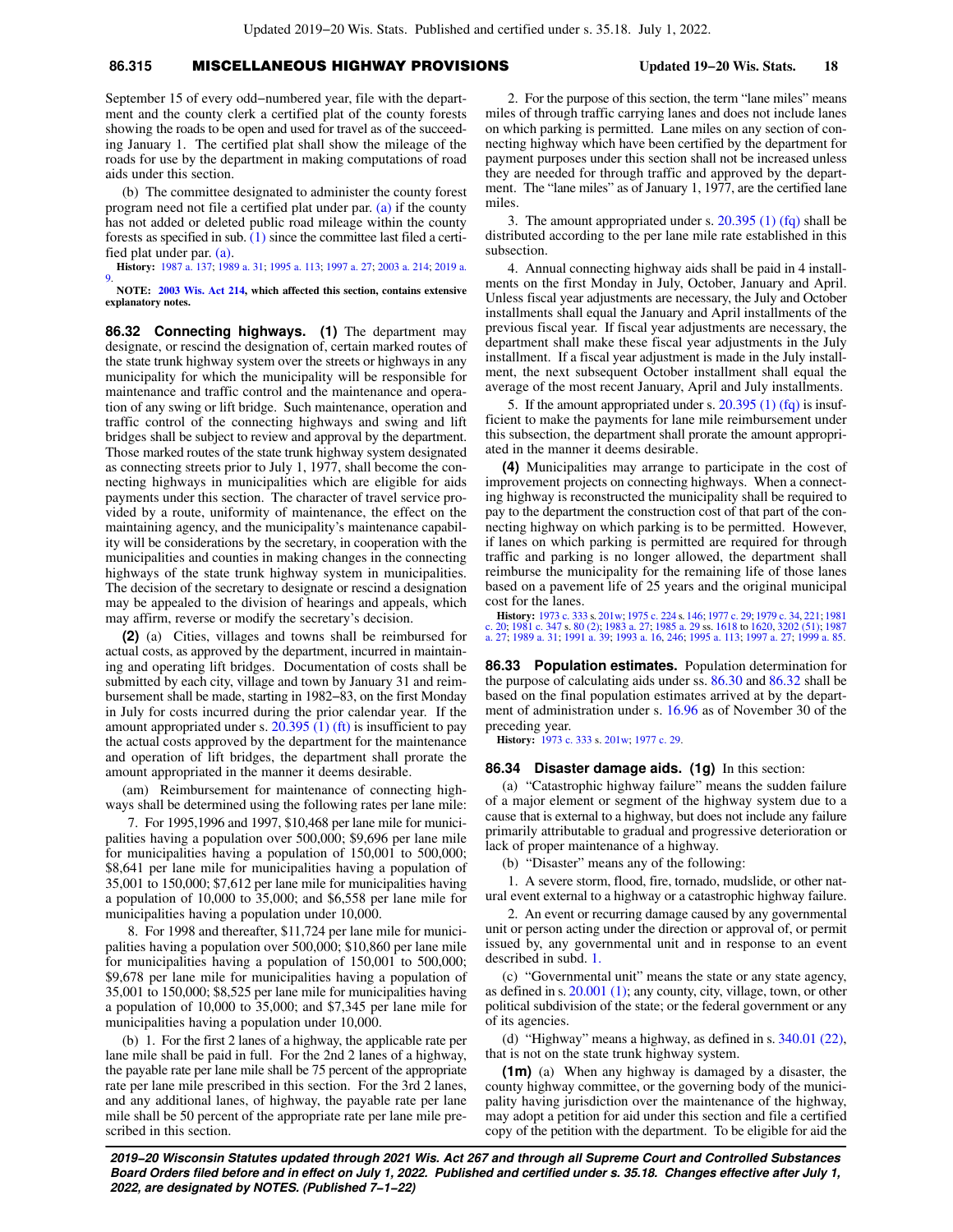# **86.315** MISCELLANEOUS HIGHWAY PROVISIONS **Updated 19−20 Wis. Stats. 18**

September 15 of every odd−numbered year, file with the department and the county clerk a certified plat of the county forests showing the roads to be open and used for travel as of the succeeding January 1. The certified plat shall show the mileage of the roads for use by the department in making computations of road aids under this section.

(b) The committee designated to administer the county forest program need not file a certified plat under par. [\(a\)](https://docs.legis.wisconsin.gov/document/statutes/86.315(4)(a)) if the county has not added or deleted public road mileage within the county forests as specified in sub. [\(1\)](https://docs.legis.wisconsin.gov/document/statutes/86.315(1)) since the committee last filed a certified plat under par. [\(a\)](https://docs.legis.wisconsin.gov/document/statutes/86.315(4)(a)).

**History:** [1987 a. 137](https://docs.legis.wisconsin.gov/document/acts/1987/137); [1989 a. 31;](https://docs.legis.wisconsin.gov/document/acts/1989/31) [1995 a. 113;](https://docs.legis.wisconsin.gov/document/acts/1995/113) [1997 a. 27](https://docs.legis.wisconsin.gov/document/acts/1997/27); [2003 a. 214;](https://docs.legis.wisconsin.gov/document/acts/2003/214) [2019 a.](https://docs.legis.wisconsin.gov/document/acts/2019/9) [9](https://docs.legis.wisconsin.gov/document/acts/2019/9).

**NOTE: [2003 Wis. Act 214](https://docs.legis.wisconsin.gov/document/acts/2003/214), which affected this section, contains extensive explanatory notes.**

**86.32 Connecting highways. (1)** The department may designate, or rescind the designation of, certain marked routes of the state trunk highway system over the streets or highways in any municipality for which the municipality will be responsible for maintenance and traffic control and the maintenance and operation of any swing or lift bridge. Such maintenance, operation and traffic control of the connecting highways and swing and lift bridges shall be subject to review and approval by the department. Those marked routes of the state trunk highway system designated as connecting streets prior to July 1, 1977, shall become the connecting highways in municipalities which are eligible for aids payments under this section. The character of travel service provided by a route, uniformity of maintenance, the effect on the maintaining agency, and the municipality's maintenance capability will be considerations by the secretary, in cooperation with the municipalities and counties in making changes in the connecting highways of the state trunk highway system in municipalities. The decision of the secretary to designate or rescind a designation may be appealed to the division of hearings and appeals, which may affirm, reverse or modify the secretary's decision.

**(2)** (a) Cities, villages and towns shall be reimbursed for actual costs, as approved by the department, incurred in maintaining and operating lift bridges. Documentation of costs shall be submitted by each city, village and town by January 31 and reimbursement shall be made, starting in 1982−83, on the first Monday in July for costs incurred during the prior calendar year. If the amount appropriated under s.  $20.395$  (1) (ft) is insufficient to pay the actual costs approved by the department for the maintenance and operation of lift bridges, the department shall prorate the amount appropriated in the manner it deems desirable.

(am) Reimbursement for maintenance of connecting highways shall be determined using the following rates per lane mile:

7. For 1995,1996 and 1997, \$10,468 per lane mile for municipalities having a population over 500,000; \$9,696 per lane mile for municipalities having a population of 150,001 to 500,000; \$8,641 per lane mile for municipalities having a population of 35,001 to 150,000; \$7,612 per lane mile for municipalities having a population of 10,000 to 35,000; and \$6,558 per lane mile for municipalities having a population under 10,000.

8. For 1998 and thereafter, \$11,724 per lane mile for municipalities having a population over 500,000; \$10,860 per lane mile for municipalities having a population of 150,001 to 500,000; \$9,678 per lane mile for municipalities having a population of 35,001 to 150,000; \$8,525 per lane mile for municipalities having a population of 10,000 to 35,000; and \$7,345 per lane mile for municipalities having a population under 10,000.

(b) 1. For the first 2 lanes of a highway, the applicable rate per lane mile shall be paid in full. For the 2nd 2 lanes of a highway, the payable rate per lane mile shall be 75 percent of the appropriate rate per lane mile prescribed in this section. For the 3rd 2 lanes, and any additional lanes, of highway, the payable rate per lane mile shall be 50 percent of the appropriate rate per lane mile prescribed in this section.

2. For the purpose of this section, the term "lane miles" means miles of through traffic carrying lanes and does not include lanes on which parking is permitted. Lane miles on any section of connecting highway which have been certified by the department for payment purposes under this section shall not be increased unless they are needed for through traffic and approved by the department. The "lane miles" as of January 1, 1977, are the certified lane miles.

3. The amount appropriated under s. [20.395 \(1\) \(fq\)](https://docs.legis.wisconsin.gov/document/statutes/20.395(1)(fq)) shall be distributed according to the per lane mile rate established in this subsection.

4. Annual connecting highway aids shall be paid in 4 installments on the first Monday in July, October, January and April. Unless fiscal year adjustments are necessary, the July and October installments shall equal the January and April installments of the previous fiscal year. If fiscal year adjustments are necessary, the department shall make these fiscal year adjustments in the July installment. If a fiscal year adjustment is made in the July installment, the next subsequent October installment shall equal the average of the most recent January, April and July installments.

5. If the amount appropriated under s. [20.395 \(1\) \(fq\)](https://docs.legis.wisconsin.gov/document/statutes/20.395(1)(fq)) is insufficient to make the payments for lane mile reimbursement under this subsection, the department shall prorate the amount appropriated in the manner it deems desirable.

**(4)** Municipalities may arrange to participate in the cost of improvement projects on connecting highways. When a connecting highway is reconstructed the municipality shall be required to pay to the department the construction cost of that part of the connecting highway on which parking is to be permitted. However, if lanes on which parking is permitted are required for through traffic and parking is no longer allowed, the department shall reimburse the municipality for the remaining life of those lanes based on a pavement life of 25 years and the original municipal cost for the lanes.

**History:** [1973 c. 333](https://docs.legis.wisconsin.gov/document/acts/1973/333) s. [201w](https://docs.legis.wisconsin.gov/document/acts/1973/333,%20s.%20201w); [1975 c. 224](https://docs.legis.wisconsin.gov/document/acts/1975/224) s. [146;](https://docs.legis.wisconsin.gov/document/acts/1975/224,%20s.%20146) [1977 c. 29;](https://docs.legis.wisconsin.gov/document/acts/1977/29) [1979 c. 34,](https://docs.legis.wisconsin.gov/document/acts/1979/34) [221](https://docs.legis.wisconsin.gov/document/acts/1979/221); [1981](https://docs.legis.wisconsin.gov/document/acts/1981/20) [c. 20](https://docs.legis.wisconsin.gov/document/acts/1981/20); [1981 c. 347](https://docs.legis.wisconsin.gov/document/acts/1981/347) s. [80 \(2\)](https://docs.legis.wisconsin.gov/document/acts/1981/347,%20s.%2080); [1983 a. 27;](https://docs.legis.wisconsin.gov/document/acts/1983/27) [1985 a. 29](https://docs.legis.wisconsin.gov/document/acts/1985/29) ss. [1618](https://docs.legis.wisconsin.gov/document/acts/1985/29,%20s.%201618) to [1620](https://docs.legis.wisconsin.gov/document/acts/1985/29,%20s.%201620), [3202 \(51\);](https://docs.legis.wisconsin.gov/document/acts/1985/29,%20s.%203202) [1987](https://docs.legis.wisconsin.gov/document/acts/1987/27) [a. 27;](https://docs.legis.wisconsin.gov/document/acts/1987/27) [1989 a. 31;](https://docs.legis.wisconsin.gov/document/acts/1989/31) [1991 a. 39;](https://docs.legis.wisconsin.gov/document/acts/1991/39) [1993 a. 16](https://docs.legis.wisconsin.gov/document/acts/1993/16), [246](https://docs.legis.wisconsin.gov/document/acts/1993/246); [1995 a. 113;](https://docs.legis.wisconsin.gov/document/acts/1995/113) [1997 a. 27;](https://docs.legis.wisconsin.gov/document/acts/1997/27) [1999 a. 85.](https://docs.legis.wisconsin.gov/document/acts/1999/85)

**86.33 Population estimates.** Population determination for the purpose of calculating aids under ss. [86.30](https://docs.legis.wisconsin.gov/document/statutes/86.30) and [86.32](https://docs.legis.wisconsin.gov/document/statutes/86.32) shall be based on the final population estimates arrived at by the department of administration under s. [16.96](https://docs.legis.wisconsin.gov/document/statutes/16.96) as of November 30 of the preceding year.

**History:** [1973 c. 333](https://docs.legis.wisconsin.gov/document/acts/1973/333) s. [201w](https://docs.legis.wisconsin.gov/document/acts/1973/333,%20s.%20201w); [1977 c. 29](https://docs.legis.wisconsin.gov/document/acts/1977/29).

## **86.34 Disaster damage aids. (1g)** In this section:

(a) "Catastrophic highway failure" means the sudden failure of a major element or segment of the highway system due to a cause that is external to a highway, but does not include any failure primarily attributable to gradual and progressive deterioration or lack of proper maintenance of a highway.

(b) "Disaster" means any of the following:

1. A severe storm, flood, fire, tornado, mudslide, or other natural event external to a highway or a catastrophic highway failure.

2. An event or recurring damage caused by any governmental unit or person acting under the direction or approval of, or permit issued by, any governmental unit and in response to an event described in subd. [1.](https://docs.legis.wisconsin.gov/document/statutes/86.34(1g)(b)1.)

(c) "Governmental unit" means the state or any state agency, as defined in s. [20.001 \(1\);](https://docs.legis.wisconsin.gov/document/statutes/20.001(1)) any county, city, village, town, or other political subdivision of the state; or the federal government or any of its agencies.

(d) "Highway" means a highway, as defined in s. [340.01 \(22\),](https://docs.legis.wisconsin.gov/document/statutes/340.01(22)) that is not on the state trunk highway system.

**(1m)** (a) When any highway is damaged by a disaster, the county highway committee, or the governing body of the municipality having jurisdiction over the maintenance of the highway, may adopt a petition for aid under this section and file a certified copy of the petition with the department. To be eligible for aid the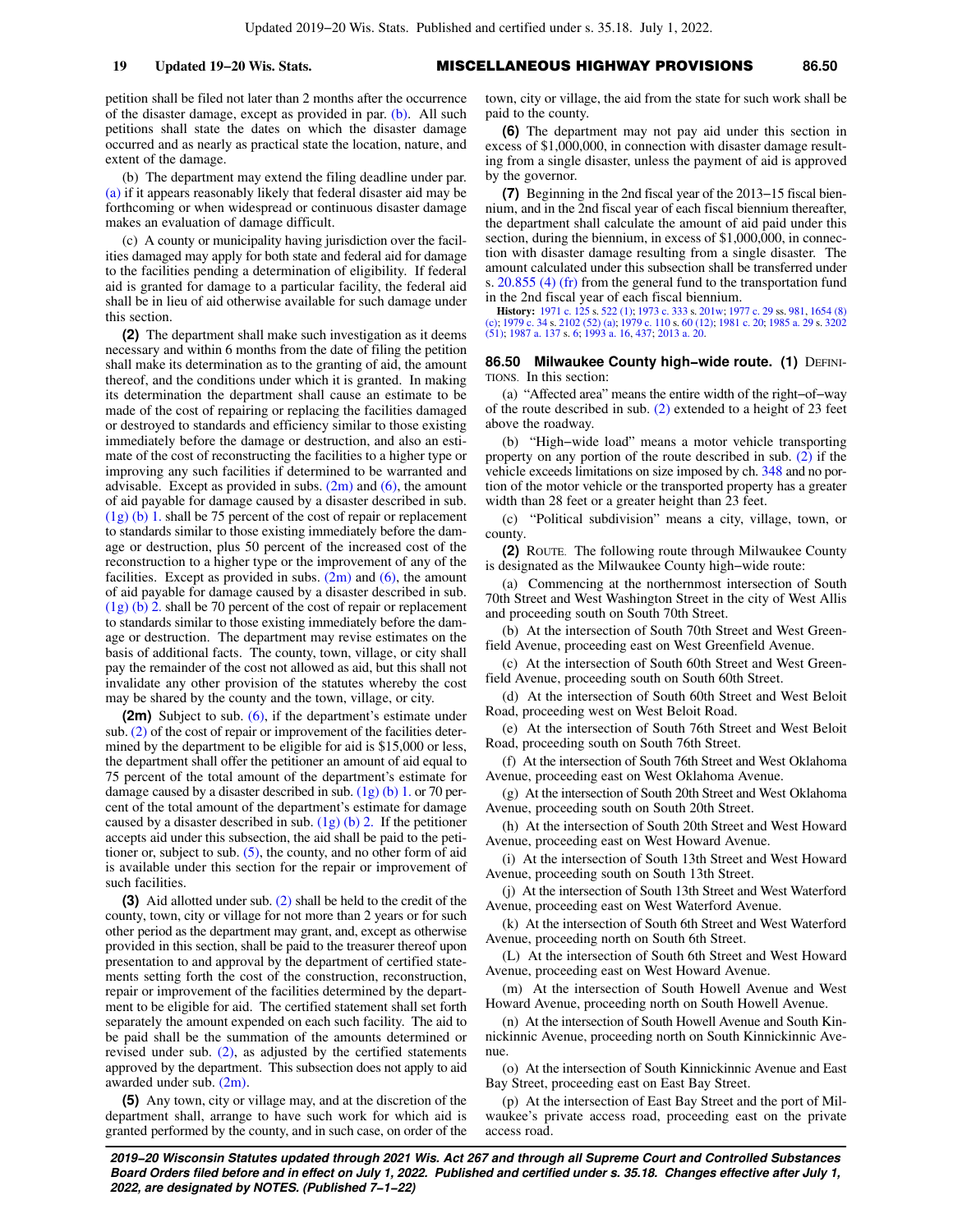petition shall be filed not later than 2 months after the occurrence of the disaster damage, except as provided in par. [\(b\).](https://docs.legis.wisconsin.gov/document/statutes/86.34(1m)(b)) All such petitions shall state the dates on which the disaster damage occurred and as nearly as practical state the location, nature, and extent of the damage.

(b) The department may extend the filing deadline under par. [\(a\)](https://docs.legis.wisconsin.gov/document/statutes/86.34(1m)(a)) if it appears reasonably likely that federal disaster aid may be forthcoming or when widespread or continuous disaster damage makes an evaluation of damage difficult.

(c) A county or municipality having jurisdiction over the facilities damaged may apply for both state and federal aid for damage to the facilities pending a determination of eligibility. If federal aid is granted for damage to a particular facility, the federal aid shall be in lieu of aid otherwise available for such damage under this section.

**(2)** The department shall make such investigation as it deems necessary and within 6 months from the date of filing the petition shall make its determination as to the granting of aid, the amount thereof, and the conditions under which it is granted. In making its determination the department shall cause an estimate to be made of the cost of repairing or replacing the facilities damaged or destroyed to standards and efficiency similar to those existing immediately before the damage or destruction, and also an estimate of the cost of reconstructing the facilities to a higher type or improving any such facilities if determined to be warranted and advisable. Except as provided in subs.  $(2m)$  and  $(6)$ , the amount of aid payable for damage caused by a disaster described in sub. [\(1g\) \(b\) 1.](https://docs.legis.wisconsin.gov/document/statutes/86.34(1g)(b)1.) shall be 75 percent of the cost of repair or replacement to standards similar to those existing immediately before the damage or destruction, plus 50 percent of the increased cost of the reconstruction to a higher type or the improvement of any of the facilities. Except as provided in subs.  $(2m)$  and  $(6)$ , the amount of aid payable for damage caused by a disaster described in sub. [\(1g\) \(b\) 2.](https://docs.legis.wisconsin.gov/document/statutes/86.34(1g)(b)2.) shall be 70 percent of the cost of repair or replacement to standards similar to those existing immediately before the damage or destruction. The department may revise estimates on the basis of additional facts. The county, town, village, or city shall pay the remainder of the cost not allowed as aid, but this shall not invalidate any other provision of the statutes whereby the cost may be shared by the county and the town, village, or city.

**(2m)** Subject to sub. [\(6\),](https://docs.legis.wisconsin.gov/document/statutes/86.34(6)) if the department's estimate under sub. [\(2\)](https://docs.legis.wisconsin.gov/document/statutes/86.34(2)) of the cost of repair or improvement of the facilities determined by the department to be eligible for aid is \$15,000 or less, the department shall offer the petitioner an amount of aid equal to 75 percent of the total amount of the department's estimate for damage caused by a disaster described in sub.  $(1g)$  (b) 1. or 70 percent of the total amount of the department's estimate for damage caused by a disaster described in sub.  $(1g)$  (b) 2. If the petitioner accepts aid under this subsection, the aid shall be paid to the petitioner or, subject to sub.  $(5)$ , the county, and no other form of aid is available under this section for the repair or improvement of such facilities.

**(3)** Aid allotted under sub. [\(2\)](https://docs.legis.wisconsin.gov/document/statutes/86.34(2)) shall be held to the credit of the county, town, city or village for not more than 2 years or for such other period as the department may grant, and, except as otherwise provided in this section, shall be paid to the treasurer thereof upon presentation to and approval by the department of certified statements setting forth the cost of the construction, reconstruction, repair or improvement of the facilities determined by the department to be eligible for aid. The certified statement shall set forth separately the amount expended on each such facility. The aid to be paid shall be the summation of the amounts determined or revised under sub. [\(2\)](https://docs.legis.wisconsin.gov/document/statutes/86.34(2)), as adjusted by the certified statements approved by the department. This subsection does not apply to aid awarded under sub. [\(2m\)](https://docs.legis.wisconsin.gov/document/statutes/86.34(2m)).

**(5)** Any town, city or village may, and at the discretion of the department shall, arrange to have such work for which aid is granted performed by the county, and in such case, on order of the town, city or village, the aid from the state for such work shall be paid to the county.

**(6)** The department may not pay aid under this section in excess of \$1,000,000, in connection with disaster damage resulting from a single disaster, unless the payment of aid is approved by the governor.

**(7)** Beginning in the 2nd fiscal year of the 2013−15 fiscal biennium, and in the 2nd fiscal year of each fiscal biennium thereafter, the department shall calculate the amount of aid paid under this section, during the biennium, in excess of \$1,000,000, in connection with disaster damage resulting from a single disaster. The amount calculated under this subsection shall be transferred under s. [20.855 \(4\) \(fr\)](https://docs.legis.wisconsin.gov/document/statutes/20.855(4)(fr)) from the general fund to the transportation fund in the 2nd fiscal year of each fiscal biennium.

**History:** [1971 c. 125](https://docs.legis.wisconsin.gov/document/acts/1971/125) s. [522 \(1\)](https://docs.legis.wisconsin.gov/document/acts/1971/125,%20s.%20522); [1973 c. 333](https://docs.legis.wisconsin.gov/document/acts/1973/333) s. [201w;](https://docs.legis.wisconsin.gov/document/acts/1973/333,%20s.%20201w) [1977 c. 29](https://docs.legis.wisconsin.gov/document/acts/1977/29) ss. [981](https://docs.legis.wisconsin.gov/document/acts/1977/29,%20s.%20981), [1654 \(8\)](https://docs.legis.wisconsin.gov/document/acts/1977/29,%20s.%201654) [\(c\);](https://docs.legis.wisconsin.gov/document/acts/1977/29,%20s.%201654) [1979 c. 34](https://docs.legis.wisconsin.gov/document/acts/1979/34) s. [2102 \(52\) \(a\);](https://docs.legis.wisconsin.gov/document/acts/1979/34,%20s.%202102) [1979 c. 110](https://docs.legis.wisconsin.gov/document/acts/1979/110) s. [60 \(12\)](https://docs.legis.wisconsin.gov/document/acts/1979/110,%20s.%2060); [1981 c. 20;](https://docs.legis.wisconsin.gov/document/acts/1981/20) [1985 a. 29](https://docs.legis.wisconsin.gov/document/acts/1985/29) s. [3202](https://docs.legis.wisconsin.gov/document/acts/1985/29,%20s.%203202) [\(51\);](https://docs.legis.wisconsin.gov/document/acts/1985/29,%20s.%203202) [1987 a. 137](https://docs.legis.wisconsin.gov/document/acts/1987/137) s. [6;](https://docs.legis.wisconsin.gov/document/acts/1987/137,%20s.%206) [1993 a. 16](https://docs.legis.wisconsin.gov/document/acts/1993/16), [437](https://docs.legis.wisconsin.gov/document/acts/1993/437); [2013 a. 20](https://docs.legis.wisconsin.gov/document/acts/2013/20).

### **86.50 Milwaukee County high–wide route. (1) DEFINI-**TIONS. In this section:

(a) "Affected area" means the entire width of the right−of−way of the route described in sub. [\(2\)](https://docs.legis.wisconsin.gov/document/statutes/86.50(2)) extended to a height of 23 feet above the roadway.

(b) "High−wide load" means a motor vehicle transporting property on any portion of the route described in sub. [\(2\)](https://docs.legis.wisconsin.gov/document/statutes/86.50(2)) if the vehicle exceeds limitations on size imposed by ch. [348](https://docs.legis.wisconsin.gov/document/statutes/ch.%20348) and no portion of the motor vehicle or the transported property has a greater width than 28 feet or a greater height than 23 feet.

(c) "Political subdivision" means a city, village, town, or county.

**(2)** ROUTE. The following route through Milwaukee County is designated as the Milwaukee County high−wide route:

(a) Commencing at the northernmost intersection of South 70th Street and West Washington Street in the city of West Allis and proceeding south on South 70th Street.

(b) At the intersection of South 70th Street and West Greenfield Avenue, proceeding east on West Greenfield Avenue.

(c) At the intersection of South 60th Street and West Greenfield Avenue, proceeding south on South 60th Street.

(d) At the intersection of South 60th Street and West Beloit Road, proceeding west on West Beloit Road.

(e) At the intersection of South 76th Street and West Beloit Road, proceeding south on South 76th Street.

(f) At the intersection of South 76th Street and West Oklahoma Avenue, proceeding east on West Oklahoma Avenue.

(g) At the intersection of South 20th Street and West Oklahoma Avenue, proceeding south on South 20th Street.

(h) At the intersection of South 20th Street and West Howard Avenue, proceeding east on West Howard Avenue.

(i) At the intersection of South 13th Street and West Howard Avenue, proceeding south on South 13th Street.

(j) At the intersection of South 13th Street and West Waterford Avenue, proceeding east on West Waterford Avenue.

(k) At the intersection of South 6th Street and West Waterford Avenue, proceeding north on South 6th Street.

(L) At the intersection of South 6th Street and West Howard Avenue, proceeding east on West Howard Avenue.

(m) At the intersection of South Howell Avenue and West Howard Avenue, proceeding north on South Howell Avenue.

(n) At the intersection of South Howell Avenue and South Kinnickinnic Avenue, proceeding north on South Kinnickinnic Avenue.

(o) At the intersection of South Kinnickinnic Avenue and East Bay Street, proceeding east on East Bay Street.

(p) At the intersection of East Bay Street and the port of Milwaukee's private access road, proceeding east on the private access road.